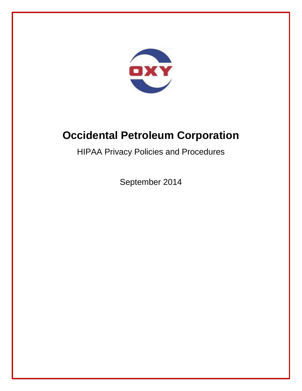<span id="page-0-0"></span>

## **Occidental Petroleum Corporation**

HIPAA Privacy Policies and Procedures

September 2014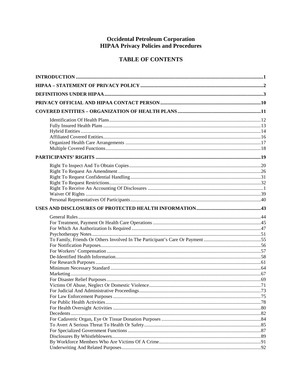# **Occidental Petroleum Corporation<br>HIPAA Privacy Policies and Procedures**

## **TABLE OF CONTENTS**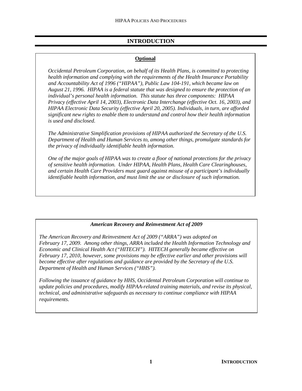## <span id="page-3-0"></span>**INTRODUCTION**

## **Optional**

*Occidental Petroleum Corporation, on behalf of its Health Plans, is committed to protecting health information and complying with the requirements of the Health Insurance Portability and Accountability Act of 1996 ("HIPAA"), Public Law 104-191, which became law on August 21, 1996. HIPAA is a federal statute that was designed to ensure the protection of an individual's personal health information. This statute has three components: HIPAA Privacy (effective April 14, 2003), Electronic Data Interchange (effective Oct. 16, 2003), and HIPAA Electronic Data Security (effective April 20, 2005). Individuals, in turn, are afforded significant new rights to enable them to understand and control how their health information is used and disclosed.*

*The Administrative Simplification provisions of HIPAA authorized the Secretary of the U.S. Department of Health and Human Services to, among other things, promulgate standards for the privacy of individually identifiable health information.*

*One of the major goals of HIPAA was to create a floor of national protections for the privacy of sensitive health information. Under HIPAA, Health Plans, Health Care Clearinghouses, and certain Health Care Providers must guard against misuse of a participant's individually identifiable health information, and must limit the use or disclosure of such information.*

## *American Recovery and Reinvestment Act of 2009*

*The American Recovery and Reinvestment Act of 2009 ("ARRA") was adopted on February 17, 2009. Among other things, ARRA included the Health Information Technology and Economic and Clinical Health Act ("HITECH"). HITECH generally became effective on February 17, 2010, however, some provisions may be effective earlier and other provisions will become effective after regulations and guidance are provided by the Secretary of the U.S. Department of Health and Human Services ("HHS").*

*Following the issuance of guidance by HHS, Occidental Petroleum Corporation will continue to update policies and procedures, modify HIPAA-related training materials, and revise its physical, technical, and administrative safeguards as necessary to continue compliance with HIPAA requirements.*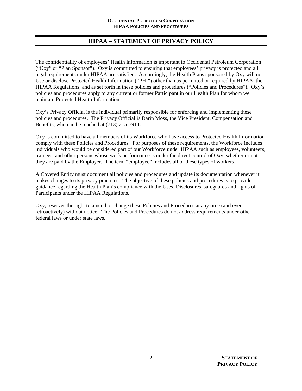## <span id="page-4-0"></span>**HIPAA – STATEMENT OF PRIVACY POLICY**

The confidentiality of employees' Health Information is important to Occidental Petroleum Corporation ("Oxy" or "Plan Sponsor"). Oxy is committed to ensuring that employees' privacy is protected and all legal requirements under HIPAA are satisfied. Accordingly, the Health Plans sponsored by Oxy will not Use or disclose Protected Health Information ("PHI") other than as permitted or required by HIPAA, the HIPAA Regulations, and as set forth in these policies and procedures ("Policies and Procedures"). Oxy's policies and procedures apply to any current or former Participant in our Health Plan for whom we maintain Protected Health Information.

Oxy's Privacy Official is the individual primarily responsible for enforcing and implementing these policies and procedures. The Privacy Official is Darin Moss, the Vice President, Compensation and Benefits, who can be reached at (713) 215-7911.

Oxy is committed to have all members of its Workforce who have access to Protected Health Information comply with these Policies and Procedures. For purposes of these requirements, the Workforce includes individuals who would be considered part of our Workforce under HIPAA such as employees, volunteers, trainees, and other persons whose work performance is under the direct control of Oxy, whether or not they are paid by the Employer. The term "employee" includes all of these types of workers.

A Covered Entity must document all policies and procedures and update its documentation whenever it makes changes to its privacy practices. The objective of these policies and procedures is to provide guidance regarding the Health Plan's compliance with the Uses, Disclosures, safeguards and rights of Participants under the HIPAA Regulations.

Oxy, reserves the right to amend or change these Policies and Procedures at any time (and even retroactively) without notice. The Policies and Procedures do not address requirements under other federal laws or under state laws.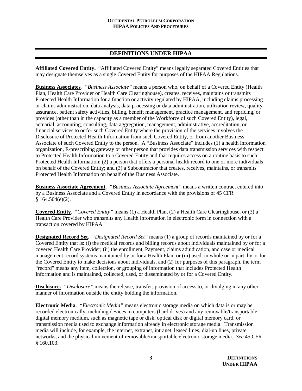## <span id="page-5-0"></span>**DEFINITIONS UNDER HIPAA**

**Affiliated Covered Entity.** "Affiliated Covered Entity" means legally separated Covered Entities that may designate themselves as a single Covered Entity for purposes of the HIPAA Regulations.

**Business Associates***. "Business Associate"* means a person who, on behalf of a Covered Entity (Health Plan, Health Care Provider or Health Care Clearinghouse), creates, receives, maintains or transmits Protected Health Information for a function or activity regulated by HIPAA, including claims processing or claims administration, data analysis, data processing or data administration, utilization review, quality assurance, patient safety activities, billing, benefit management, practice management, and repricing, or provides (other than in the capacity as a member of the Workforce of such Covered Entity), legal, actuarial, accounting, consulting, data aggregation, management, administrative, accreditation, or financial services to or for such Covered Entity where the provision of the services involves the Disclosure of Protected Health Information from such Covered Entity, or from another Business Associate of such Covered Entity to the person. A "Business Associate" includes (1) a health information organization, E-prescribing gateway or other person that provides data transmission services with respect to Protected Health Information to a Covered Entity and that requires access on a routine basis to such Protected Health Information; (2) a person that offers a personal health record to one or more individuals on behalf of the Covered Entity; and (3) a Subcontractor that creates, receives, maintains, or transmits Protected Health Information on behalf of the Business Associate.

**Business Associate Agreement.** *"Business Associate Agreement"* means a written contract entered into by a Business Associate and a Covered Entity in accordance with the provisions of 45 CFR  $$164.504(e)(2)$ .

**Covered Entity***.* "*Covered Entity"* means (1) a Health Plan, (2) a Health Care Clearinghouse, or (3) a Health Care Provider who transmits any Health Information in electronic form in connection with a transaction covered by HIPAA.

**Designated Record Set**. *"Designated Record Set"* means (1) a group of records maintained by or for a Covered Entity that is: (i) the medical records and billing records about individuals maintained by or for a covered Health Care Provider; (ii) the enrollment, Payment, claims adjudication, and case or medical management record systems maintained by or for a Health Plan; or (iii) used, in whole or in part, by or for the Covered Entity to make decisions about individuals, and (2) for purposes of this paragraph, the term "record" means any item, collection, or grouping of information that includes Protected Health Information and is maintained, collected, used, or disseminated by or for a Covered Entity.

**Disclosure.** *"Disclosure"* means the release, transfer, provision of access to, or divulging in any other manner of information outside the entity holding the information.

**Electronic Media**. *"Electronic Media"* means electronic storage media on which data is or may be recorded electronically, including devices in computers (hard drives) and any removable/transportable digital memory medium, such as magnetic tape or disk, optical disk or digital memory card, or transmission media used to exchange information already in electronic storage media. Transmission media will include, for example, the internet, extranet, intranet, leased lines, dial-up lines, private networks, and the physical movement of removable/transportable electronic storage media. *See* 45 CFR § 160.103.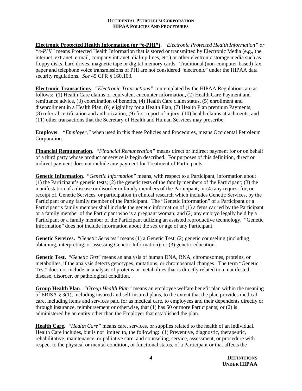**Electronic Protected Health Information (or "e-PHI").** "*Electronic Protected Health Information" or "e-PHI"* means Protected Health Information that is stored or transmitted by Electronic Media (e.g., the internet, extranet, e-mail, company intranet, dial-up lines, etc.) or other electronic storage media such as floppy disks, hard drives, magnetic tape or digital memory cards. Traditional (non-computer-based) fax, paper and telephone voice transmissions of PHI are not considered "electronic" under the HIPAA data security regulations. *See* 45 CFR § 160.103.

**Electronic Transactions***. "Electronic Transactions"* contemplated by the HIPAA Regulations are as follows: (1) Health Care claims or equivalent encounter information, (2) Health Care Payment and remittance advice, (3) coordination of benefits, (4) Health Care claim status, (5) enrollment and disenrollment in a Health Plan, (6) eligibility for a Health Plan, (7) Health Plan premium Payments, (8) referral certification and authorization, (9) first report of injury, (10) health claims attachments, and (11) other transactions that the Secretary of Health and Human Services may prescribe.

**Employer***. "Employer,"* when used in this these Policies and Procedures, means Occidental Petroleum Corporation.

**Financial Remuneration.** *"Financial Remuneration"* means direct or indirect payment for or on behalf of a third party whose product or service is begin described. For purposes of this definition, direct or indirect payment does not include any payment for Treatment of Participants.

**Genetic Information**. "*Genetic Information*" means, with respect to a Participant, information about  $(1)$  the Participant's genetic tests; (2) the genetic tests of the family members of the Participant; (3) the manifestation of a disease or disorder in family members of the Participant; or (4) any request for, or receipt of, Genetic Services, or participation in clinical research which includes Genetic Services, by the Participant or any family member of the Participant. The "Genetic Information" of a Participant or a Participant's family member shall include the genetic information of (1) a fetus carried by the Participant or a family member of the Participant who is a pregnant woman; and (2) any embryo legally held by a Participant or a family member of the Participant utilizing an assisted reproductive technology. "Genetic Information" does not include information about the sex or age of any Participant.

**Genetic Services.** "*Genetic Services*" means (1) a Genetic Test; (2) genetic counseling (including obtaining, interpreting, or assessing Genetic Information); or (3) genetic education.

**Genetic Test.** "*Genetic Test*" means an analysis of human DNA, RNA, chromosomes, proteins, or metabolites, if the analysis detects genotypes, mutations, or chromosomal changes. The term "Genetic Test" does not include an analysis of proteins or metabolites that is directly related to a manifested disease, disorder, or pathological condition.

**Group Health Plan***. "Group Health Plan"* means an employee welfare benefit plan within the meaning of ERISA § 3(1), including insured and self-insured plans, to the extent that the plan provides medical care, including items and services paid for as medical care, to employees and their dependents directly or through insurance, reimbursement or otherwise, that (1) has 50 or more Participants; or (2) is administered by an entity other than the Employer that established the plan.

**Health Care***. "Health Care"* means care, services, or supplies related to the health of an individual. Health Care includes, but is not limited to, the following: (1) Preventive, diagnostic, therapeutic, rehabilitative, maintenance, or palliative care, and counseling, service, assessment, or procedure with respect to the physical or mental condition, or functional status, of a Participant or that affects the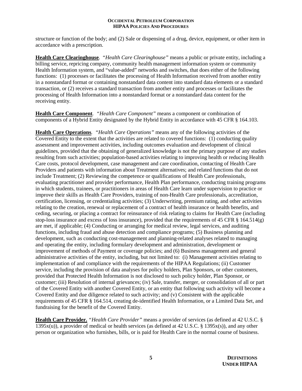structure or function of the body; and (2) Sale or dispensing of a drug, device, equipment, or other item in accordance with a prescription.

**Health Care Clearinghouse***.* "*Health Care Clearinghouse"* means a public or private entity, including a billing service, repricing company, community health management information system or community Health Information system, and "value-added" networks and switches, that does either of the following functions: (1) processes or facilitates the processing of Health Information received from another entity in a nonstandard format or containing nonstandard data content into standard data elements or a standard transaction, or (2) receives a standard transaction from another entity and processes or facilitates the processing of Health Information into a nonstandard format or a nonstandard data content for the receiving entity.

**Health Care Component***. "Health Care Component"* means a component or combination of components of a Hybrid Entity designated by the Hybrid Entity in accordance with 45 CFR § 164.103.

**Health Care Operations***. "Health Care Operations"* means any of the following activities of the Covered Entity to the extent that the activities are related to covered functions: (1) conducting quality assessment and improvement activities, including outcomes evaluation and development of clinical guidelines, provided that the obtaining of generalized knowledge is not the primary purpose of any studies resulting from such activities; population-based activities relating to improving health or reducing Health Care costs, protocol development, case management and care coordination, contacting of Health Care Providers and patients with information about Treatment alternatives; and related functions that do not include Treatment; (2) Reviewing the competence or qualifications of Health Care professionals, evaluating practitioner and provider performance, Health Plan performance, conducting training programs in which students, trainees, or practitioners in areas of Health Care learn under supervision to practice or improve their skills as Health Care Providers, training of non-Health Care professionals, accreditation, certification, licensing, or credentialing activities; (3) Underwriting, premium rating, and other activities relating to the creation, renewal or replacement of a contract of health insurance or health benefits, and ceding, securing, or placing a contract for reinsurance of risk relating to claims for Health Care (including stop-loss insurance and excess of loss insurance), provided that the requirements of 45 CFR § 164.514(g) are met, if applicable; (4) Conducting or arranging for medical review, legal services, and auditing functions, including fraud and abuse detection and compliance programs; (5) Business planning and development, such as conducting cost-management and planning-related analyses related to managing and operating the entity, including formulary development and administration, development or improvement of methods of Payment or coverage policies; and (6) Business management and general administrative activities of the entity, including, but not limited to: (i) Management activities relating to implementation of and compliance with the requirements of the HIPAA Regulations; (ii) Customer service, including the provision of data analyses for policy holders, Plan Sponsors, or other customers, provided that Protected Health Information is not disclosed to such policy holder, Plan Sponsor, or customer; (iii) Resolution of internal grievances; (iv) Sale, transfer, merger, or consolidation of all or part of the Covered Entity with another Covered Entity, or an entity that following such activity will become a Covered Entity and due diligence related to such activity; and (v) Consistent with the applicable requirements of 45 CFR § 164.514, creating de-identified Health Information, or a Limited Data Set, and fundraising for the benefit of the Covered Entity.

**Health Care Provider.** *"Health Care Provider"* means a provider of services (as defined at 42 U.S.C. § 1395x(u)), a provider of medical or health services (as defined at 42 U.S.C. § 1395x(s)), and any other person or organization who furnishes, bills, or is paid for Health Care in the normal course of business.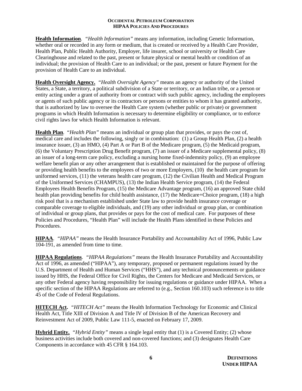**Health Information***. "Health Information"* means any information, including Genetic Information, whether oral or recorded in any form or medium, that is created or received by a Health Care Provider, Health Plan, Public Health Authority, Employer, life insurer, school or university or Health Care Clearinghouse and related to the past, present or future physical or mental health or condition of an individual; the provision of Health Care to an individual; or the past, present or future Payment for the provision of Health Care to an individual.

**Health Oversight Agency.** *"Health Oversight Agency"* means an agency or authority of the United States, a State, a territory, a political subdivision of a State or territory, or an Indian tribe, or a person or entity acting under a grant of authority from or contract with such public agency, including the employees or agents of such public agency or its contractors or persons or entities to whom it has granted authority, that is authorized by law to oversee the Health Care system (whether public or private) or government programs in which Health Information is necessary to determine eligibility or compliance, or to enforce civil rights laws for which Health Information is relevant.

**Health Plan***.* "*Health Plan"* means an individual or group plan that provides, or pays the cost of, medical care and includes the following, singly or in combination: (1) a Group Health Plan, (2) a health insurance issuer, (3) an HMO, (4) Part A or Part B of the Medicare program, (5) the Medicaid program, (6) the Voluntary Prescription Drug Benefit program, (7) an issuer of a Medicare supplemental policy, (8) an issuer of a long-term care policy, excluding a nursing home fixed-indemnity policy, (9) an employee welfare benefit plan or any other arrangement that is established or maintained for the purpose of offering or providing health benefits to the employees of two or more Employers, (10) the health care program for uniformed services, (11) the veterans health care program, (12) the Civilian Health and Medical Program of the Uniformed Services (CHAMPUS), (13) the Indian Health Service program, (14) the Federal Employees Health Benefits Program, (15) the Medicare Advantage program, (16) an approved State child health plan providing benefits for child health assistance, (17) the Medicare+Choice program, (18) a high risk pool that is a mechanism established under State law to provide health insurance coverage or comparable coverage to eligible individuals, and (19) any other individual or group plan, or combination of individual or group plans, that provides or pays for the cost of medical care. For purposes of these Policies and Procedures, "Health Plan" will include the Health Plans identified in these Policies and Procedures.

**HIPAA**. *"HIPAA"* means the Health Insurance Portability and Accountability Act of 1996, Public Law 104-191, as amended from time to time.

**HIPAA Regulations***. "HIPAA Regulations"* means the Health Insurance Portability and Accountability Act of 1996, as amended ("HIPAA"), any temporary, proposed or permanent regulations issued by the U.S. Department of Health and Human Services ("HHS"), and any technical pronouncements or guidance issued by HHS, the Federal Office for Civil Rights, the Centers for Medicare and Medicaid Services, or any other Federal agency having responsibility for issuing regulations or guidance under HIPAA. When a specific section of the HIPAA Regulations are referred to (e.g., Section 160.103) such reference is to title 45 of the Code of Federal Regulations.

**HITECH Act.** *"HITECH Act"* means the Health Information Technology for Economic and Clinical Health Act, Title XIII of Division A and Title IV of Division B of the American Recovery and Reinvestment Act of 2009, Public Law 111-5, enacted on February 17, 2009.

**Hybrid Entity.** *"Hybrid Entity"* means a single legal entity that (1) is a Covered Entity; (2) whose business activities include both covered and non-covered functions; and (3) designates Health Care Components in accordance with 45 CFR § 164.103.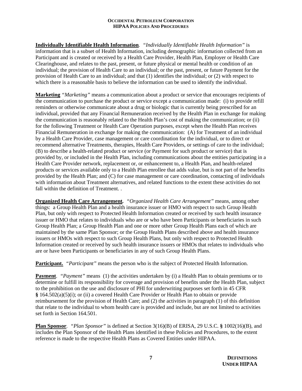**Individually Identifiable Health Information***. "Individually Identifiable Health Information"* is information that is a subset of Health Information, including demographic information collected from an Participant and is created or received by a Health Care Provider, Health Plan, Employer or Health Care Clearinghouse, and relates to the past, present, or future physical or mental health or condition of an individual; the provision of Health Care to an individual; or the past, present, or future Payment for the provision of Health Care to an individual; and that (1) identifies the individual; or (2) with respect to which there is a reasonable basis to believe the information can be used to identify the individual.

**Marketing** *"Marketing"* means a communication about a product or service that encourages recipients of the communication to purchase the product or service except a communication made: (i) to provide refill reminders or otherwise communicate about a drug or biologic that is currently being prescribed for an individual, provided that any Financial Remuneration received by the Health Plan in exchange for making the communication is reasonably related to the Health Plan's cost of making the communication; or (ii) for the following Treatment or Health Care Operation purposes, except when the Health Plan receives Financial Remuneration in exchange for making the communication: (A) for Treatment of an individual by a Health Care Provider, case management or care coordination for the individual, or to direct or recommend alternative Treatments, therapies, Health Care Providers, or settings of care to the individual; (B) to describe a health-related product or service (or Payment for such product or service) that is provided by, or included in the Health Plan, including communications about the entities participating in a Health Care Provider network, replacement or, or enhancement to, a Health Plan, and health-related products or services available only to a Health Plan enrollee that adds value, but is not part of the benefits provided by the Health Plan; and (C) for case management or care coordination, contacting of individuals with information about Treatment alternatives, and related functions to the extent these activities do not fall within the definition of Treatment. .

**Organized Health Care Arrangement***. "Organized Health Care Arrangement"* means, among other things: a Group Health Plan and a health insurance issuer or HMO with respect to such Group Health Plan, but only with respect to Protected Health Information created or received by such health insurance issuer or HMO that relates to individuals who are or who have been Participants or beneficiaries in such Group Health Plan; a Group Health Plan and one or more other Group Health Plans each of which are maintained by the same Plan Sponsor; or the Group Health Plans described above and health insurance issuers or HMOs with respect to such Group Health Plans, but only with respect to Protected Health Information created or received by such health insurance issuers or HMOs that relates to individuals who are or have been Participants or beneficiaries in any of such Group Health Plans.

**Participant.** *"Participant"* means the person who is the subject of Protected Health Information.

**Payment**. *"Payment"* means (1) the activities undertaken by (i) a Health Plan to obtain premiums or to determine or fulfill its responsibility for coverage and provision of benefits under the Health Plan, subject to the prohibition on the use and disclosure of PHI for underwriting purposes set forth in 45 CFR **§** 164.502(a)(5)(i); or (ii) a covered Health Care Provider or Health Plan to obtain or provide reimbursement for the provision of Health Care; and (2) the activities in paragraph (1) of this definition that relate to the individual to whom health care is provided and include, but are not limited to activities set forth in Section 164.501.

**Plan Sponsor***. "Plan Sponsor"* is defined at Section 3(16)(B) of ERISA, 29 U.S.C. **§** 1002(16)(B), and includes the Plan Sponsor of the Health Plans identified in these Policies and Procedures, to the extent reference is made to the respective Health Plans as Covered Entities under HIPAA.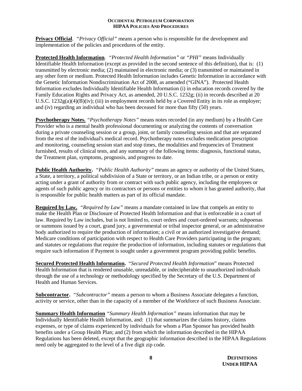**Privacy Official**. *"Privacy Official"* means a person who is responsible for the development and implementation of the policies and procedures of the entity.

**Protected Health Information***. "Protected Health Information"* or *"PHI"* means Individually Identifiable Health Information (except as provided in the second sentence of this definition), that is: (1) transmitted by electronic media; (2) maintained in electronic media; or (3) transmitted or maintained in any other form or medium. Protected Health Information includes Genetic Information in accordance with the Genetic Information Nondiscrimination Act of 2008, as amended ("GINA"). Protected Health Information excludes Individually Identifiable Health Information (i) in education records covered by the Family Education Rights and Privacy Act, as amended, 20 U.S.C. 1232g; (ii) in records described at 20 U.S.C.  $1232g(a)(4)(B)(iv)$ ; (iii) in employment records held by a Covered Entity in its role as employer; and (iv) regarding an individual who has been deceased for more than fifty (50) years.

**Psychotherapy Notes.** *"Psychotherapy Notes"* means notes recorded (in any medium) by a Health Care Provider who is a mental health professional documenting or analyzing the contents of conversation during a private counseling session or a group, joint, or family counseling session and that are separated from the rest of the individual's medical record. Psychotherapy notes excludes medication prescription and monitoring, counseling session start and stop times, the modalities and frequencies of Treatment furnished, results of clinical tests, and any summary of the following items: diagnosis, functional status, the Treatment plan, symptoms, prognosis, and progress to date.

**Public Health Authority.** *"Public Health Authority"* means an agency or authority of the United States, a State, a territory, a political subdivision of a State or territory, or an Indian tribe, or a person or entity acting under a grant of authority from or contract with such public agency, including the employees or agents of such public agency or its contractors or persons or entities to whom it has granted authority, that is responsible for public health matters as part of its official mandate.

**Required by Law.** *"Required by Law"* means a mandate contained in law that compels an entity to make the Health Plan or Disclosure of Protected Health Information and that is enforceable in a court of law. Required by Law includes, but is not limited to, court orders and court-ordered warrants; subpoenas or summons issued by a court, grand jury, a governmental or tribal inspector general, or an administrative body authorized to require the production of information; a civil or an authorized investigative demand; Medicare conditions of participation with respect to Health Care Providers participating in the program; and statutes or regulations that require the production of information, including statutes or regulations that require such information if Payment is sought under a government program providing public benefits.

**Secured Protected Health Information.** "*Secured Protected Health Information*" means Protected Health Information that is rendered unusable, unreadable, or indecipherable to unauthorized individuals through the use of a technology or methodology specified by the Secretary of the U.S. Department of Health and Human Services.

**Subcontractor.** *"Subcontractor"* means a person to whom a Business Associate delegates a function, activity or service, other than in the capacity of a member of the Workforce of such Business Associate.

**Summary Health Information** *"Summary Health Information"* means information that may be Individually Identifiable Health Information, and: (1) that summarizes the claims history, claims expenses, or type of claims experienced by individuals for whom a Plan Sponsor has provided health benefits under a Group Health Plan; and (2) from which the information described in the HIPAA Regulations has been deleted, except that the geographic information described in the HIPAA Regulations need only be aggregated to the level of a five digit zip code.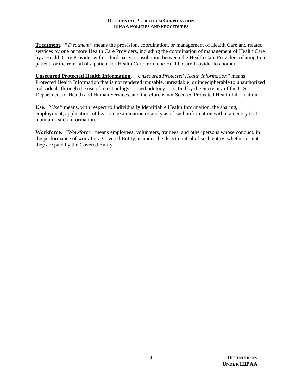**Treatment.** *"Treatment"* means the provision, coordination, or management of Health Care and related services by one or more Health Care Providers, including the coordination of management of Health Care by a Health Care Provider with a third-party; consultation between the Health Care Providers relating to a patient; or the referral of a patient for Health Care from one Health Care Provider to another.

**Unsecured Protected Health Information.** *"Unsecured Protected Health Information"* means Protected Health Information that is not rendered unusable, unreadable, or indecipherable to unauthorized individuals through the use of a technology or methodology specified by the Secretary of the U.S. Department of Health and Human Services, and therefore is not Secured Protected Health Information.

**Use.** *"Use"* means, with respect to Individually Identifiable Health Information, the sharing, employment, application, utilization, examination or analysis of such information within an entity that maintains such information.

**Workforce***. "Workforce"* means employees, volunteers, trainees, and other persons whose conduct, in the performance of work for a Covered Entity, is under the direct control of such entity, whether or not they are paid by the Covered Entity.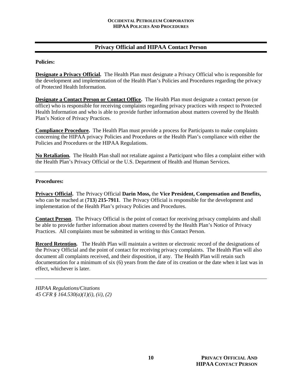## <span id="page-12-0"></span>**Privacy Official and HIPAA Contact Person**

**Policies:**

**Designate a Privacy Official***.* The Health Plan must designate a Privacy Official who is responsible for the development and implementation of the Health Plan's Policies and Procedures regarding the privacy of Protected Health Information.

**Designate a Contact Person or Contact Office.** The Health Plan must designate a contact person (or office) who is responsible for receiving complaints regarding privacy practices with respect to Protected Health Information and who is able to provide further information about matters covered by the Health Plan's Notice of Privacy Practices.

**Compliance Procedure***.* The Health Plan must provide a process for Participants to make complaints concerning the HIPAA privacy Policies and Procedures or the Health Plan's compliance with either the Policies and Procedures or the HIPAA Regulations.

**No Retaliation***.* The Health Plan shall not retaliate against a Participant who files a complaint either with the Health Plan's Privacy Official or the U.S. Department of Health and Human Services.

#### **Procedures:**

**Privacy Official.** The Privacy Official **Darin Moss,** the **Vice President, Compensation and Benefits,** who can be reached at (**713**) **215-7911**. The Privacy Official is responsible for the development and implementation of the Health Plan's privacy Policies and Procedures.

**Contact Person**. The Privacy Official is the point of contact for receiving privacy complaints and shall be able to provide further information about matters covered by the Health Plan's Notice of Privacy Practices. All complaints must be submitted in writing to this Contact Person.

**Record Retention***.* The Health Plan will maintain a written or electronic record of the designations of the Privacy Official and the point of contact for receiving privacy complaints. The Health Plan will also document all complaints received, and their disposition, if any. The Health Plan will retain such documentation for a minimum of six (6) years from the date of its creation or the date when it last was in effect, whichever is later.

*HIPAA Regulations/Citations 45 CFR § 164.530(a)(1)(i), (ii), (2)*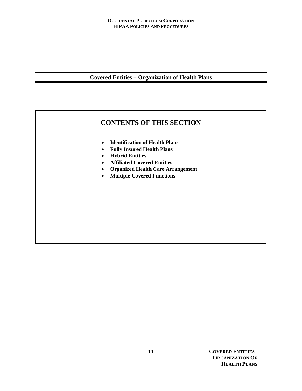## <span id="page-13-0"></span>**Covered Entities – Organization of Health Plans**

## **CONTENTS OF THIS SECTION**

- **Identification of Health Plans**
- **Fully Insured Health Plans**
- **Hybrid Entities**
- **Affiliated Covered Entities**
- **Organized Health Care Arrangement**
- **Multiple Covered Functions**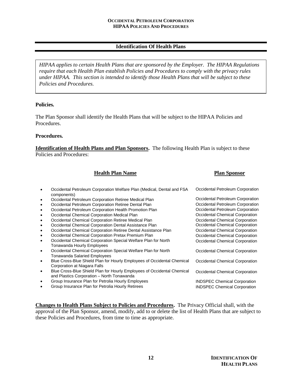#### <span id="page-14-0"></span>**Identification Of Health Plans**

*HIPAA applies to certain Health Plans that are sponsored by the Employer. The HIPAA Regulations require that each Health Plan establish Policies and Procedures to comply with the privacy rules under HIPAA. This section is intended to identify those Health Plans that will be subject to these Policies and Procedures.*

#### **Policies***.*

The Plan Sponsor shall identify the Health Plans that will be subject to the HIPAA Policies and Procedures.

#### **Procedures***.*

**Identification of Health Plans and Plan Sponsors.** The following Health Plan is subject to these Policies and Procedures:

**Health Plan Name Plan Sponsor** 

| $\bullet$ | Occidental Petroleum Corporation Welfare Plan (Medical, Dental and FSA<br>components) | Occidental Petroleum Corporation    |
|-----------|---------------------------------------------------------------------------------------|-------------------------------------|
| $\bullet$ | Occidental Petroleum Corporation Retiree Medical Plan                                 | Occidental Petroleum Corporation    |
| $\bullet$ | Occidental Petroleum Corporation Retiree Dental Plan                                  | Occidental Petroleum Corporation    |
| $\bullet$ | Occidental Petroleum Corporation Health Promotion Plan                                | Occidental Petroleum Corporation    |
| $\bullet$ | Occidental Chemical Corporation Medical Plan                                          | Occidental Chemical Corporation     |
| $\bullet$ | Occidental Chemical Corporation Retiree Medical Plan                                  | Occidental Chemical Corporation     |
| $\bullet$ | Occidental Chemical Corporation Dental Assistance Plan                                | Occidental Chemical Corporation     |
| $\bullet$ | Occidental Chemical Corporation Retiree Dental Assistance Plan                        | Occidental Chemical Corporation     |
| $\bullet$ | Occidental Chemical Corporation Pretax Premium Plan                                   | Occidental Chemical Corporation     |
| $\bullet$ | Occidental Chemical Corporation Special Welfare Plan for North                        | Occidental Chemical Corporation     |
|           | <b>Tonawanda Hourly Employees</b>                                                     |                                     |
| $\bullet$ | Occidental Chemical Corporation Special Welfare Plan for North                        | Occidental Chemical Corporation     |
|           | <b>Tonawanda Salaried Employees</b>                                                   |                                     |
| $\bullet$ | Blue Cross-Blue Shield Plan for Hourly Employees of Occidental Chemical               | Occidental Chemical Corporation     |
|           | Corporation at Niagara Falls                                                          |                                     |
| $\bullet$ | Blue Cross-Blue Shield Plan for Hourly Employees of Occidental Chemical               | Occidental Chemical Corporation     |
|           | and Plastics Corporation - North Tonawanda                                            |                                     |
| ٠         | Group Insurance Plan for Petrolia Hourly Employees                                    | <b>INDSPEC Chemical Corporation</b> |
| $\bullet$ | Group Insurance Plan for Petrolia Hourly Retirees                                     | <b>INDSPEC Chemical Corporation</b> |
|           |                                                                                       |                                     |

**Changes to Health Plans Subject to Policies and Procedures.** The Privacy Official shall, with the approval of the Plan Sponsor, amend, modify, add to or delete the list of Health Plans that are subject to these Policies and Procedures, from time to time as appropriate.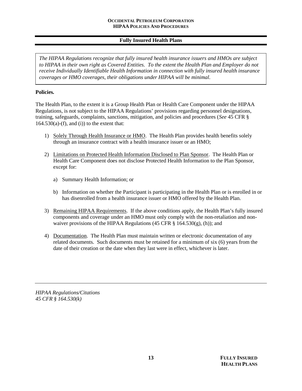## <span id="page-15-0"></span>**Fully Insured Health Plans**

*The HIPAA Regulations recognize that fully insured health insurance issuers and HMOs are subject to HIPAA in their own right as Covered Entities. To the extent the Health Plan and Employer do not receive Individually Identifiable Health Information in connection with fully insured health insurance coverages or HMO coverages, their obligations under HIPAA will be minimal.*

#### **Policies***.*

The Health Plan, to the extent it is a Group Health Plan or Health Care Component under the HIPAA Regulations, is not subject to the HIPAA Regulations' provisions regarding personnel designations, training, safeguards, complaints, sanctions, mitigation, and policies and procedures (*See* 45 CFR §  $164.530(a)$ -(f), and (i)) to the extent that:

- 1) Solely Through Health Insurance or HMO. The Health Plan provides health benefits solely through an insurance contract with a health insurance issuer or an HMO;
- 2) Limitations on Protected Health Information Disclosed to Plan Sponsor. The Health Plan or Health Care Component does not disclose Protected Health Information to the Plan Sponsor, except for:
	- a) Summary Health Information; or
	- b) Information on whether the Participant is participating in the Health Plan or is enrolled in or has disenrolled from a health insurance issuer or HMO offered by the Health Plan.
- 3) Remaining HIPAA Requirements. If the above conditions apply, the Health Plan's fully insured components and coverage under an HMO must only comply with the non-retaliation and nonwaiver provisions of the HIPAA Regulations (45 CFR  $\S$  164.530(g), (h)); and
- 4) Documentation. The Health Plan must maintain written or electronic documentation of any related documents. Such documents must be retained for a minimum of six (6) years from the date of their creation or the date when they last were in effect, whichever is later.

*HIPAA Regulations/Citations 45 CFR § 164.530(k)*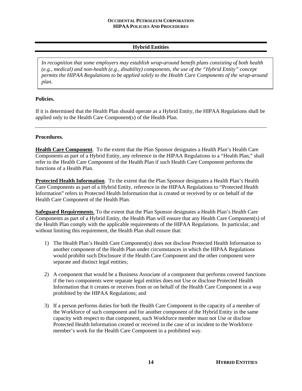## <span id="page-16-0"></span>**Hybrid Entities**

*In recognition that some employers may establish wrap-around benefit plans consisting of both health (e.g., medical) and non-health (e.g., disability) components, the use of the "Hybrid Entity" concept permits the HIPAA Regulations to be applied solely to the Health Care Components of the wrap-around plan.*

#### **Policies***.*

If it is determined that the Health Plan should operate as a Hybrid Entity, the HIPAA Regulations shall be applied only to the Health Care Component(s) of the Health Plan.

#### **Procedures***.*

**Health Care Component**. To the extent that the Plan Sponsor designates a Health Plan's Health Care Components as part of a Hybrid Entity, any reference in the HIPAA Regulations to a "Health Plan," shall refer to the Health Care Component of the Health Plan if such Health Care Component performs the functions of a Health Plan.

**Protected Health Information**. To the extent that the Plan Sponsor designates a Health Plan's Health Care Components as part of a Hybrid Entity, reference in the HIPAA Regulations to "Protected Health Information" refers to Protected Health Information that is created or received by or on behalf of the Health Care Component of the Health Plan.

**Safeguard Requirements**. To the extent that the Plan Sponsor designates a Health Plan's Health Care Components as part of a Hybrid Entity, the Health Plan will ensure that any Health Care Component(s) of the Health Plan comply with the applicable requirements of the HIPAA Regulations. In particular, and without limiting this requirement, the Health Plan shall ensure that:

- 1) The Health Plan's Health Care Component(s) does not disclose Protected Health Information to another component of the Health Plan under circumstances in which the HIPAA Regulations would prohibit such Disclosure if the Health Care Component and the other component were separate and distinct legal entities;
- 2) A component that would be a Business Associate of a component that performs covered functions if the two components were separate legal entities does not Use or disclose Protected Health Information that it creates or receives from or on behalf of the Health Care Component in a way prohibited by the HIPAA Regulations; and
- 3) If a person performs duties for both the Health Care Component in the capacity of a member of the Workforce of such component and for another component of the Hybrid Entity in the same capacity with respect to that component, such Workforce member must not Use or disclose Protected Health Information created or received in the case of or incident to the Workforce member's work for the Health Care Component in a prohibited way.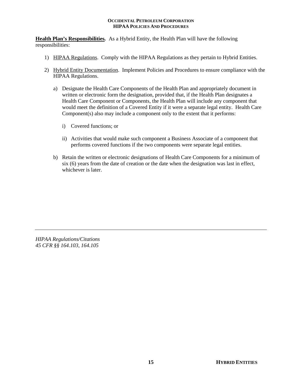**Health Plan's Responsibilities***.* As a Hybrid Entity, the Health Plan will have the following responsibilities:

- 1) HIPAA Regulations. Comply with the HIPAA Regulations as they pertain to Hybrid Entities.
- 2) Hybrid Entity Documentation. Implement Policies and Procedures to ensure compliance with the HIPAA Regulations.
	- a) Designate the Health Care Components of the Health Plan and appropriately document in written or electronic form the designation, provided that, if the Health Plan designates a Health Care Component or Components, the Health Plan will include any component that would meet the definition of a Covered Entity if it were a separate legal entity. Health Care Component(s) also may include a component only to the extent that it performs:
		- i) Covered functions; or
		- ii) Activities that would make such component a Business Associate of a component that performs covered functions if the two components were separate legal entities.
	- b) Retain the written or electronic designations of Health Care Components for a minimum of six (6) years from the date of creation or the date when the designation was last in effect, whichever is later.

*HIPAA Regulations/Citations 45 CFR §§ 164.103, 164.105*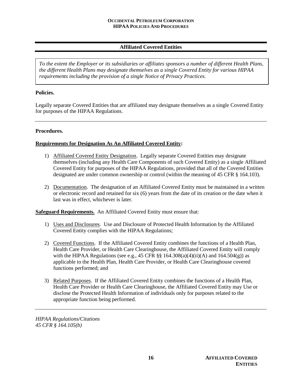## <span id="page-18-0"></span>**Affiliated Covered Entities**

*To the extent the Employer or its subsidiaries or affiliates sponsors a number of different Health Plans, the different Health Plans may designate themselves as a single Covered Entity for various HIPAA requirements including the provision of a single Notice of Privacy Practices.*

#### **Policies.**

Legally separate Covered Entities that are affiliated may designate themselves as a single Covered Entity for purposes of the HIPAA Regulations.

#### **Procedures.**

#### **Requirements for Designation As An Affiliated Covered Entity:**

- 1) Affiliated Covered Entity Designation. Legally separate Covered Entities may designate themselves (including any Health Care Components of such Covered Entity) as a single Affiliated Covered Entity for purposes of the HIPAA Regulations, provided that all of the Covered Entities designated are under common ownership or control (within the meaning of 45 CFR § 164.103).
- 2) Documentation. The designation of an Affiliated Covered Entity must be maintained in a written or electronic record and retained for six (6) years from the date of its creation or the date when it last was in effect, whichever is later.

**Safeguard Requirements.** An Affiliated Covered Entity must ensure that:

- 1) Uses and Disclosures. Use and Disclosure of Protected Health Information by the Affiliated Covered Entity complies with the HIPAA Regulations;
- 2) Covered Functions. If the Affiliated Covered Entity combines the functions of a Health Plan, Health Care Provider, or Health Care Clearinghouse, the Affiliated Covered Entity will comply with the HIPAA Regulations (see e.g., 45 CFR  $\S$ § 164.308(a)(4)(ii)(A) and 164.504(g)) as applicable to the Health Plan, Health Care Provider, or Health Care Clearinghouse covered functions performed; and
- 3) Related Purposes. If the Affiliated Covered Entity combines the functions of a Health Plan, Health Care Provider or Health Care Clearinghouse, the Affiliated Covered Entity may Use or disclose the Protected Health Information of individuals only for purposes related to the appropriate function being performed.

*HIPAA Regulations/Citations 45 CFR § 164.105(b)*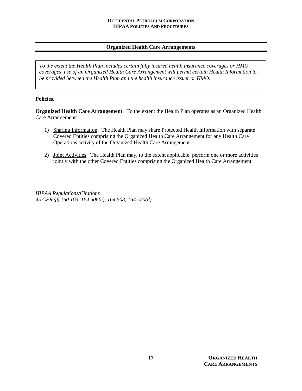#### <span id="page-19-0"></span>**Organized Health Care Arrangements**

*To the extent the Health Plan includes certain fully insured health insurance coverages or HMO coverages, use of an Organized Health Care Arrangement will permit certain Health Information to be provided between the Health Plan and the health insurance issuer or HMO.*

#### **Policies.**

**Organized Health Care Arrangement**. To the extent the Health Plan operates as an Organized Health Care Arrangement:

- 1) Sharing Information. The Health Plan may share Protected Health Information with separate Covered Entities comprising the Organized Health Care Arrangement for any Health Care Operations activity of the Organized Health Care Arrangement.
- 2) Joint Activities. The Health Plan may, to the extent applicable, perform one or more activities jointly with the other Covered Entities comprising the Organized Health Care Arrangement.

*HIPAA Regulations/Citations 45 CFR §§ 160.103, 164.506(c), 164.508, 164.520(d)*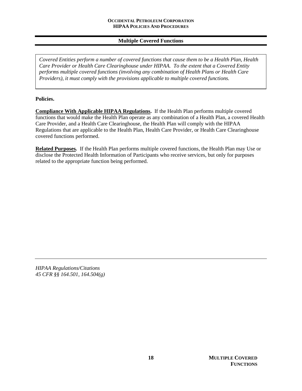## <span id="page-20-0"></span>**Multiple Covered Functions**

*Covered Entities perform a number of covered functions that cause them to be a Health Plan, Health Care Provider or Health Care Clearinghouse under HIPAA. To the extent that a Covered Entity performs multiple covered functions (involving any combination of Health Plans or Health Care Providers), it must comply with the provisions applicable to multiple covered functions.*

#### **Policies.**

**Compliance With Applicable HIPAA Regulations.** If the Health Plan performs multiple covered functions that would make the Health Plan operate as any combination of a Health Plan, a covered Health Care Provider, and a Health Care Clearinghouse, the Health Plan will comply with the HIPAA Regulations that are applicable to the Health Plan, Health Care Provider, or Health Care Clearinghouse covered functions performed.

**Related Purposes***.* If the Health Plan performs multiple covered functions, the Health Plan may Use or disclose the Protected Health Information of Participants who receive services, but only for purposes related to the appropriate function being performed.

*HIPAA Regulations/Citations 45 CFR §§ 164.501, 164.504(g)*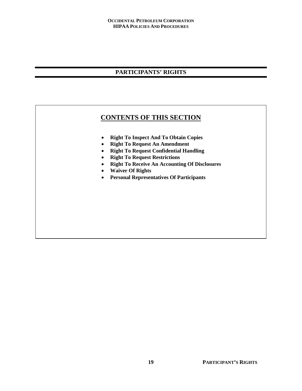## <span id="page-21-0"></span>**PARTICIPANTS' RIGHTS**

## **CONTENTS OF THIS SECTION**

- **Right To Inspect And To Obtain Copies**
- **Right To Request An Amendment**
- **Right To Request Confidential Handling**
- **Right To Request Restrictions**
- **Right To Receive An Accounting Of Disclosures**
- **Waiver Of Rights**
- **Personal Representatives Of Participants**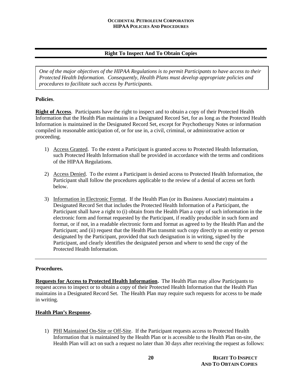## <span id="page-22-0"></span>**Right To Inspect And To Obtain Copies**

*One of the major objectives of the HIPAA Regulations is to permit Participants to have access to their Protected Health Information. Consequently, Health Plans must develop appropriate policies and procedures to facilitate such access by Participants.*

#### **Policies**.

**Right of Access**. Participants have the right to inspect and to obtain a copy of their Protected Health Information that the Health Plan maintains in a Designated Record Set, for as long as the Protected Health Information is maintained in the Designated Record Set, except for Psychotherapy Notes or information compiled in reasonable anticipation of, or for use in, a civil, criminal, or administrative action or proceeding.

- 1) Access Granted. To the extent a Participant is granted access to Protected Health Information, such Protected Health Information shall be provided in accordance with the terms and conditions of the HIPAA Regulations.
- 2) Access Denied. To the extent a Participant is denied access to Protected Health Information, the Participant shall follow the procedures applicable to the review of a denial of access set forth below.
- 3) Information in Electronic Format. If the Health Plan (or its Business Associate) maintains a Designated Record Set that includes the Protected Health Information of a Participant, the Participant shall have a right to (i) obtain from the Health Plan a copy of such information in the electronic form and format requested by the Participant, if readily producible in such form and format, or if not, in a readable electronic form and format as agreed to by the Health Plan and the Participant; and (ii) request that the Health Plan transmit such copy directly to an entity or person designated by the Participant, provided that such designation is in writing, signed by the Participant, and clearly identifies the designated person and where to send the copy of the Protected Health Information.

#### **Procedures.**

**Requests for Access to Protected Health Information.** The Health Plan may allow Participants to request access to inspect or to obtain a copy of their Protected Health Information that the Health Plan maintains in a Designated Record Set. The Health Plan may require such requests for access to be made in writing.

#### **Health Plan's Response.**

1) PHI Maintained On-Site or Off-Site. If the Participant requests access to Protected Health Information that is maintained by the Health Plan or is accessible to the Health Plan on-site, the Health Plan will act on such a request no later than 30 days after receiving the request as follows: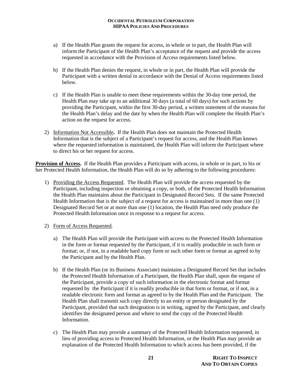- a) If the Health Plan grants the request for access, in whole or in part, the Health Plan will inform the Participant of the Health Plan's acceptance of the request and provide the access requested in accordance with the Provision of Access requirements listed below.
- b) If the Health Plan denies the request, in whole or in part, the Health Plan will provide the Participant with a written denial in accordance with the Denial of Access requirements listed below.
- c) If the Health Plan is unable to meet these requirements within the 30-day time period, the Health Plan may take up to an additional 30 days (a total of 60 days) for such actions by providing the Participant, within the first 30-day period, a written statement of the reasons for the Health Plan's delay and the date by when the Health Plan will complete the Health Plan's action on the request for access.
- 2) Information Not Accessible**.** If the Health Plan does not maintain the Protected Health Information that is the subject of a Participant's request for access, and the Health Plan knows where the requested information is maintained, the Health Plan will inform the Participant where to direct his or her request for access.

**Provision of Access.** If the Health Plan provides a Participant with access, in whole or in part, to his or her Protected Health Information, the Health Plan will do so by adhering to the following procedures:

1) Providing the Access Requested. The Health Plan will provide the access requested by the Participant, including inspection or obtaining a copy, or both, of the Protected Health Information the Health Plan maintains about the Participant in Designated Record Sets. If the same Protected Health Information that is the subject of a request for access is maintained in more than one (1) Designated Record Set or at more than one (1) location, the Health Plan need only produce the Protected Health Information once in response to a request for access.

2) Form of Access Requested*.*

- a) The Health Plan will provide the Participant with access to the Protected Health Information in the form or format requested by the Participant, if it is readily producible in such form or format; or, if not, in a readable hard copy form or such other form or format as agreed to by the Participant and by the Health Plan.
- b) If the Health Plan (or its Business Associate) maintains a Designated Record Set that includes the Protected Health Information of a Participant, the Health Plan shall, upon the request of the Participant, provide a copy of such information in the electronic format and format requested by the Participant if it is readily producible in that form or format, or if not, in a readable electronic form and format as agreed to by the Health Plan and the Participant. The Health Plan shall transmit such copy directly to an entity or person designated by the Participant, provided that such designation is in writing, signed by the Participant, and clearly identifies the designated person and where to send the copy of the Protected Health Information.
- c) The Health Plan may provide a summary of the Protected Health Information requested, in lieu of providing access to Protected Health Information, or the Health Plan may provide an explanation of the Protected Health Information to which access has been provided, if the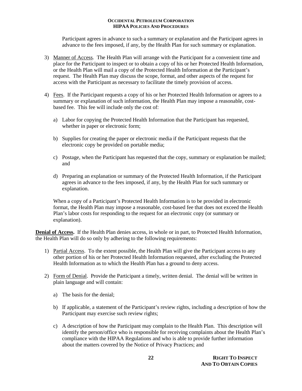Participant agrees in advance to such a summary or explanation and the Participant agrees in advance to the fees imposed, if any, by the Health Plan for such summary or explanation.

- 3) Manner of Access*.* The Health Plan will arrange with the Participant for a convenient time and place for the Participant to inspect or to obtain a copy of his or her Protected Health Information, or the Health Plan will mail a copy of the Protected Health Information at the Participant's request. The Health Plan may discuss the scope, format, and other aspects of the request for access with the Participant as necessary to facilitate the timely provision of access.
- 4) Fees. If the Participant requests a copy of his or her Protected Health Information or agrees to a summary or explanation of such information, the Health Plan may impose a reasonable, costbased fee. This fee will include only the cost of:
	- a) Labor for copying the Protected Health Information that the Participant has requested, whether in paper or electronic form;
	- b) Supplies for creating the paper or electronic media if the Participant requests that the electronic copy be provided on portable media;
	- c) Postage, when the Participant has requested that the copy, summary or explanation be mailed; and
	- d) Preparing an explanation or summary of the Protected Health Information, if the Participant agrees in advance to the fees imposed, if any, by the Health Plan for such summary or explanation.

When a copy of a Participant's Protected Health Information is to be provided in electronic format, the Health Plan may impose a reasonable, cost-based fee that does not exceed the Health Plan's labor costs for responding to the request for an electronic copy (or summary or explanation).

**Denial of Access.** If the Health Plan denies access, in whole or in part, to Protected Health Information, the Health Plan will do so only by adhering to the following requirements:

- 1) Partial Access. To the extent possible, the Health Plan will give the Participant access to any other portion of his or her Protected Health Information requested, after excluding the Protected Health Information as to which the Health Plan has a ground to deny access.
- 2) Form of Denial. Provide the Participant a timely, written denial. The denial will be written in plain language and will contain:
	- a) The basis for the denial;
	- b) If applicable, a statement of the Participant's review rights, including a description of how the Participant may exercise such review rights;
	- c) A description of how the Participant may complain to the Health Plan. This description will identify the person/office who is responsible for receiving complaints about the Health Plan's compliance with the HIPAA Regulations and who is able to provide further information about the matters covered by the Notice of Privacy Practices; and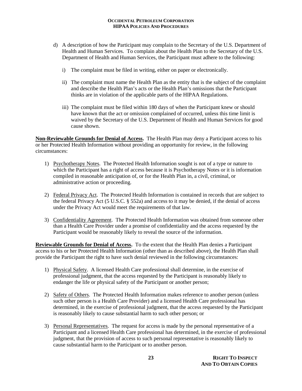- d) A description of how the Participant may complain to the Secretary of the U.S. Department of Health and Human Services. To complain about the Health Plan to the Secretary of the U.S. Department of Health and Human Services, the Participant must adhere to the following:
	- i) The complaint must be filed in writing, either on paper or electronically.
	- ii) The complaint must name the Health Plan as the entity that is the subject of the complaint and describe the Health Plan's acts or the Health Plan's omissions that the Participant thinks are in violation of the applicable parts of the HIPAA Regulations.
	- iii) The complaint must be filed within 180 days of when the Participant knew or should have known that the act or omission complained of occurred, unless this time limit is waived by the Secretary of the U.S. Department of Health and Human Services for good cause shown.

**Non-Reviewable Grounds for Denial of Access.** The Health Plan may deny a Participant access to his or her Protected Health Information without providing an opportunity for review, in the following circumstances:

- 1) Psychotherapy Notes. The Protected Health Information sought is not of a type or nature to which the Participant has a right of access because it is Psychotherapy Notes or it is information compiled in reasonable anticipation of, or for the Health Plan in, a civil, criminal, or administrative action or proceeding.
- 2) Federal Privacy Act. The Protected Health Information is contained in records that are subject to the federal Privacy Act (5 U.S.C. § 552a) and access to it may be denied, if the denial of access under the Privacy Act would meet the requirements of that law.
- 3) Confidentiality Agreement. The Protected Health Information was obtained from someone other than a Health Care Provider under a promise of confidentiality and the access requested by the Participant would be reasonably likely to reveal the source of the information.

**Reviewable Grounds for Denial of Access.** To the extent that the Health Plan denies a Participant access to his or her Protected Health Information (other than as described above), the Health Plan shall provide the Participant the right to have such denial reviewed in the following circumstances:

- 1) Physical Safety. A licensed Health Care professional shall determine, in the exercise of professional judgment, that the access requested by the Participant is reasonably likely to endanger the life or physical safety of the Participant or another person;
- 2) Safety of Others. The Protected Health Information makes reference to another person (unless such other person is a Health Care Provider) and a licensed Health Care professional has determined, in the exercise of professional judgment, that the access requested by the Participant is reasonably likely to cause substantial harm to such other person; or
- 3) Personal Representatives. The request for access is made by the personal representative of a Participant and a licensed Health Care professional has determined, in the exercise of professional judgment, that the provision of access to such personal representative is reasonably likely to cause substantial harm to the Participant or to another person.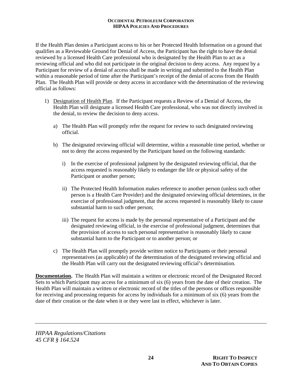If the Health Plan denies a Participant access to his or her Protected Health Information on a ground that qualifies as a Reviewable Ground for Denial of Access, the Participant has the right to have the denial reviewed by a licensed Health Care professional who is designated by the Health Plan to act as a reviewing official and who did not participate in the original decision to deny access. Any request by a Participant for review of a denial of access shall be made in writing and submitted to the Health Plan within a reasonable period of time after the Participant's receipt of the denial of access from the Health Plan. The Health Plan will provide or deny access in accordance with the determination of the reviewing official as follows:

- 1) Designation of Health Plan. If the Participant requests a Review of a Denial of Access, the Health Plan will designate a licensed Health Care professional, who was not directly involved in the denial, to review the decision to deny access.
	- a) The Health Plan will promptly refer the request for review to such designated reviewing official.
	- b) The designated reviewing official will determine, within a reasonable time period, whether or not to deny the access requested by the Participant based on the following standards:
		- i) In the exercise of professional judgment by the designated reviewing official, that the access requested is reasonably likely to endanger the life or physical safety of the Participant or another person;
		- ii) The Protected Health Information makes reference to another person (unless such other person is a Health Care Provider) and the designated reviewing official determines, in the exercise of professional judgment, that the access requested is reasonably likely to cause substantial harm to such other person;
		- iii) The request for access is made by the personal representative of a Participant and the designated reviewing official, in the exercise of professional judgment, determines that the provision of access to such personal representative is reasonably likely to cause substantial harm to the Participant or to another person; or
	- c) The Health Plan will promptly provide written notice to Participants or their personal representatives (as applicable) of the determination of the designated reviewing official and the Health Plan will carry out the designated reviewing official's determination.

**Documentation.** The Health Plan will maintain a written or electronic record of the Designated Record Sets to which Participant may access for a minimum of six (6) years from the date of their creation. The Health Plan will maintain a written or electronic record of the titles of the persons or offices responsible for receiving and processing requests for access by individuals for a minimum of six (6) years from the date of their creation or the date when it or they were last in effect, whichever is later.

*HIPAA Regulations/Citations 45 CFR § 164.524*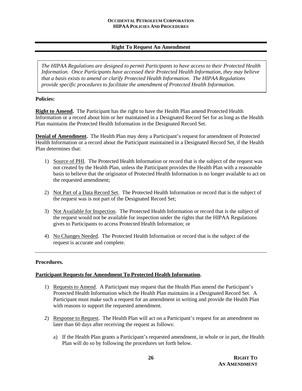## <span id="page-28-0"></span>**Right To Request An Amendment**

*The HIPAA Regulations are designed to permit Participants to have access to their Protected Health Information. Once Participants have accessed their Protected Health Information, they may believe that a basis exists to amend or clarify Protected Health Information. The HIPAA Regulations provide specific procedures to facilitate the amendment of Protected Health Information.*

#### **Policies:**

**Right to Amend.** The Participant has the right to have the Health Plan amend Protected Health Information or a record about him or her maintained in a Designated Record Set for as long as the Health Plan maintains the Protected Health Information in the Designated Record Set.

**Denial of Amendment.** The Health Plan may deny a Participant's request for amendment of Protected Health Information or a record about the Participant maintained in a Designated Record Set, if the Health Plan determines that:

- 1) Source of PHI. The Protected Health Information or record that is the subject of the request was not created by the Health Plan, unless the Participant provides the Health Plan with a reasonable basis to believe that the originator of Protected Health Information is no longer available to act on the requested amendment;
- 2) Not Part of a Data Record Set. The Protected Health Information or record that is the subject of the request was is not part of the Designated Record Set;
- 3) Not Available for Inspection. The Protected Health Information or record that is the subject of the request would not be available for inspection under the rights that the HIPAA Regulations gives to Participants to access Protected Health Information; or
- 4) No Changes Needed. The Protected Health Information or record that is the subject of the request is accurate and complete.

#### **Procedures.**

#### **Participant Requests for Amendment To Protected Health Information.**

- 1) Requests to Amend. A Participant may request that the Health Plan amend the Participant's Protected Health Information which the Health Plan maintains in a Designated Record Set. A Participant must make such a request for an amendment in writing and provide the Health Plan with reasons to support the requested amendment.
- 2) Response to Request. The Health Plan will act on a Participant's request for an amendment no later than 60 days after receiving the request as follows:
	- a) If the Health Plan grants a Participant's requested amendment, in whole or in part, the Health Plan will do so by following the procedures set forth below.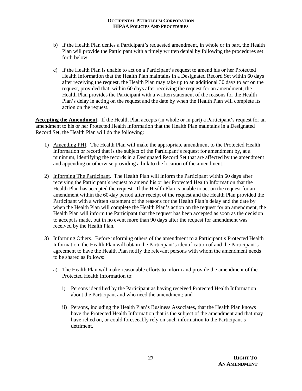- b) If the Health Plan denies a Participant's requested amendment, in whole or in part, the Health Plan will provide the Participant with a timely written denial by following the procedures set forth below.
- c) If the Health Plan is unable to act on a Participant's request to amend his or her Protected Health Information that the Health Plan maintains in a Designated Record Set within 60 days after receiving the request, the Health Plan may take up to an additional 30 days to act on the request, provided that, within 60 days after receiving the request for an amendment, the Health Plan provides the Participant with a written statement of the reasons for the Health Plan's delay in acting on the request and the date by when the Health Plan will complete its action on the request.

**Accepting the Amendment.** If the Health Plan accepts (in whole or in part) a Participant's request for an amendment to his or her Protected Health Information that the Health Plan maintains in a Designated Record Set, the Health Plan will do the following:

- 1) Amending PHI. The Health Plan will make the appropriate amendment to the Protected Health Information or record that is the subject of the Participant's request for amendment by, at a minimum, identifying the records in a Designated Record Set that are affected by the amendment and appending or otherwise providing a link to the location of the amendment.
- 2) Informing The Participant. The Health Plan will inform the Participant within 60 days after receiving the Participant's request to amend his or her Protected Health Information that the Health Plan has accepted the request. If the Health Plan is unable to act on the request for an amendment within the 60-day period after receipt of the request and the Health Plan provided the Participant with a written statement of the reasons for the Health Plan's delay and the date by when the Health Plan will complete the Health Plan's action on the request for an amendment, the Health Plan will inform the Participant that the request has been accepted as soon as the decision to accept is made, but in no event more than 90 days after the request for amendment was received by the Health Plan.
- 3) Informing Others. Before informing others of the amendment to a Participant's Protected Health Information, the Health Plan will obtain the Participant's identification of and the Participant's agreement to have the Health Plan notify the relevant persons with whom the amendment needs to be shared as follows:
	- a) The Health Plan will make reasonable efforts to inform and provide the amendment of the Protected Health Information to:
		- i) Persons identified by the Participant as having received Protected Health Information about the Participant and who need the amendment; and
		- ii) Persons, including the Health Plan's Business Associates, that the Health Plan knows have the Protected Health Information that is the subject of the amendment and that may have relied on, or could foreseeably rely on such information to the Participant's detriment.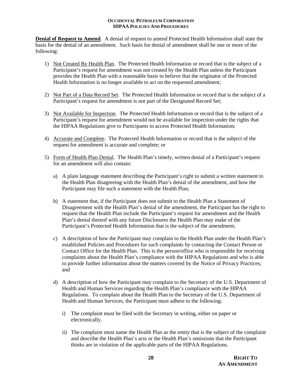**Denial of Request to Amend**. A denial of request to amend Protected Health Information shall state the basis for the denial of an amendment. Such basis for denial of amendment shall be one or more of the following:

- 1) Not Created By Health Plan. The Protected Health Information or record that is the subject of a Participant's request for amendment was not created by the Health Plan unless the Participant provides the Health Plan with a reasonable basis to believe that the originator of the Protected Health Information is no longer available to act on the requested amendment;
- 2) Not Part of a Data Record Set. The Protected Health Information or record that is the subject of a Participant's request for amendment is not part of the Designated Record Set;
- 3) Not Available for Inspection. The Protected Health Information or record that is the subject of a Participant's request for amendment would not be available for inspection under the rights that the HIPAA Regulations give to Participants to access Protected Health Information;
- 4) Accurate and Complete. The Protected Health Information or record that is the subject of the request for amendment is accurate and complete; or
- 5) Form of Health Plan Denial. The Health Plan's timely, written denial of a Participant's request for an amendment will also contain:
	- a) A plain language statement describing the Participant's right to submit a written statement to the Health Plan disagreeing with the Health Plan's denial of the amendment, and how the Participant may file such a statement with the Health Plan;
	- b) A statement that, if the Participant does not submit to the Health Plan a Statement of Disagreement with the Health Plan's denial of the amendment, the Participant has the right to request that the Health Plan include the Participant's request for amendment and the Health Plan's denial thereof with any future Disclosures the Health Plan may make of the Participant's Protected Health Information that is the subject of the amendment;
	- c) A description of how the Participant may complain to the Health Plan under the Health Plan's established Policies and Procedures for such complaints by contacting the Contact Person or Contact Office for the Health Plan. This is the person/office who is responsible for receiving complaints about the Health Plan's compliance with the HIPAA Regulations and who is able to provide further information about the matters covered by the Notice of Privacy Practices; and
	- d) A description of how the Participant may complain to the Secretary of the U.S. Department of Health and Human Services regarding the Health Plan's compliance with the HIPAA Regulations. To complain about the Health Plan to the Secretary of the U.S. Department of Health and Human Services, the Participant must adhere to the following:
		- i) The complaint must be filed with the Secretary in writing, either on paper or electronically.
		- ii) The complaint must name the Health Plan as the entity that is the subject of the complaint and describe the Health Plan's acts or the Health Plan's omissions that the Participant thinks are in violation of the applicable parts of the HIPAA Regulations.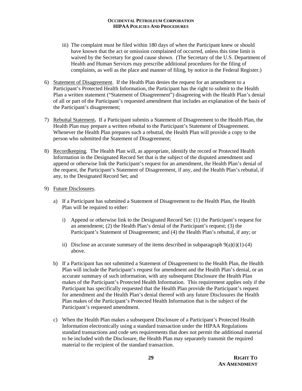- iii) The complaint must be filed within 180 days of when the Participant knew or should have known that the act or omission complained of occurred, unless this time limit is waived by the Secretary for good cause shown. (The Secretary of the U.S. Department of Health and Human Services may prescribe additional procedures for the filing of complaints, as well as the place and manner of filing, by notice in the Federal Register.)
- 6) Statement of Disagreement. If the Health Plan denies the request for an amendment to a Participant's Protected Health Information, the Participant has the right to submit to the Health Plan a written statement ("Statement of Disagreement") disagreeing with the Health Plan's denial of all or part of the Participant's requested amendment that includes an explanation of the basis of the Participant's disagreement;
- 7) Rebuttal Statement**.** If a Participant submits a Statement of Disagreement to the Health Plan, the Health Plan may prepare a written rebuttal to the Participant's Statement of Disagreement. Whenever the Health Plan prepares such a rebuttal, the Health Plan will provide a copy to the person who submitted the Statement of Disagreement;
- 8) Recordkeeping. The Health Plan will, as appropriate, identify the record or Protected Health Information in the Designated Record Set that is the subject of the disputed amendment and append or otherwise link the Participant's request for an amendment, the Health Plan's denial of the request, the Participant's Statement of Disagreement, if any, and the Health Plan's rebuttal, if any, to the Designated Record Set; and
- 9) Future Disclosures.
	- a) If a Participant has submitted a Statement of Disagreement to the Health Plan, the Health Plan will be required to either:
		- i) Append or otherwise link to the Designated Record Set: (1) the Participant's request for an amendment; (2) the Health Plan's denial of the Participant's request; (3) the Participant's Statement of Disagreement; and (4) the Health Plan's rebuttal, if any; or
		- ii) Disclose an accurate summary of the items described in subparagraph  $9(a)(i)(1)-(4)$ above.
	- b) If a Participant has not submitted a Statement of Disagreement to the Health Plan, the Health Plan will include the Participant's request for amendment and the Health Plan's denial, or an accurate summary of such information, with any subsequent Disclosure the Health Plan makes of the Participant's Protected Health Information. This requirement applies only if the Participant has specifically requested that the Health Plan provide the Participant's request for amendment and the Health Plan's denial thereof with any future Disclosures the Health Plan makes of the Participant's Protected Health Information that is the subject of the Participant's requested amendment.
	- c) When the Health Plan makes a subsequent Disclosure of a Participant's Protected Health Information electronically using a standard transaction under the HIPAA Regulations standard transactions and code sets requirements that does not permit the additional material to be included with the Disclosure, the Health Plan may separately transmit the required material to the recipient of the standard transaction.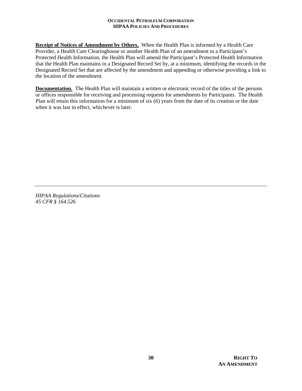**Receipt of Notices of Amendment by Others.** When the Health Plan is informed by a Health Care Provider, a Health Care Clearinghouse or another Health Plan of an amendment to a Participant's Protected Health Information, the Health Plan will amend the Participant's Protected Health Information that the Health Plan maintains in a Designated Record Set by, at a minimum, identifying the records in the Designated Record Set that are affected by the amendment and appending or otherwise providing a link to the location of the amendment.

**Documentation.** The Health Plan will maintain a written or electronic record of the titles of the persons or offices responsible for receiving and processing requests for amendments by Participants. The Health Plan will retain this information for a minimum of six (6) years from the date of its creation or the date when it was last in effect, whichever is later.

*HIPAA Regulations/Citations 45 CFR § 164.526*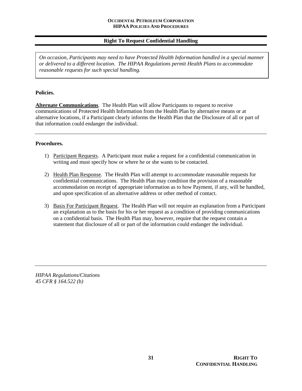## <span id="page-33-0"></span>**Right To Request Confidential Handling**

*On occasion, Participants may need to have Protected Health Information handled in a special manner or delivered to a different location. The HIPAA Regulations permit Health Plans to accommodate reasonable requests for such special handling.*

#### **Policies.**

**Alternate Communications**. The Health Plan will allow Participants to request to receive communications of Protected Health Information from the Health Plan by alternative means or at alternative locations, if a Participant clearly informs the Health Plan that the Disclosure of all or part of that information could endanger the individual.

#### **Procedures.**

- 1) Participant Requests. A Participant must make a request for a confidential communication in writing and must specify how or where he or she wants to be contacted.
- 2) Health Plan Response. The Health Plan will attempt to accommodate reasonable requests for confidential communications. The Health Plan may condition the provision of a reasonable accommodation on receipt of appropriate information as to how Payment, if any, will be handled, and upon specification of an alternative address or other method of contact.
- 3) Basis For Participant Request. The Health Plan will not require an explanation from a Participant an explanation as to the basis for his or her request as a condition of providing communications on a confidential basis. The Health Plan may, however, require that the request contain a statement that disclosure of all or part of the information could endanger the individual.

*HIPAA Regulations/Citations 45 CFR § 164.522 (b)*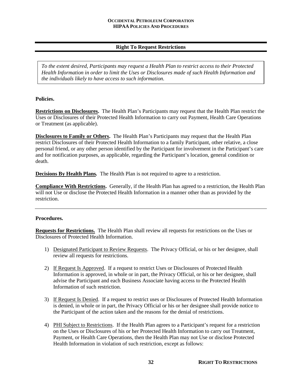## <span id="page-34-0"></span>**Right To Request Restrictions**

*To the extent desired, Participants may request a Health Plan to restrict access to their Protected Health Information in order to limit the Uses or Disclosures made of such Health Information and the individuals likely to have access to such information.*

#### **Policies.**

**Restrictions on Disclosures.** The Health Plan's Participants may request that the Health Plan restrict the Uses or Disclosures of their Protected Health Information to carry out Payment, Health Care Operations or Treatment (as applicable).

**Disclosures to Family or Others.** The Health Plan's Participants may request that the Health Plan restrict Disclosures of their Protected Health Information to a family Participant, other relative, a close personal friend, or any other person identified by the Participant for involvement in the Participant's care and for notification purposes, as applicable, regarding the Participant's location, general condition or death.

**Decisions By Health Plans***.* The Health Plan is not required to agree to a restriction.

**Compliance With Restrictions.** Generally, if the Health Plan has agreed to a restriction, the Health Plan will not Use or disclose the Protected Health Information in a manner other than as provided by the restriction.

#### **Procedures.**

**Requests for Restrictions.** The Health Plan shall review all requests for restrictions on the Uses or Disclosures of Protected Health Information.

- 1) Designated Participant to Review Requests. The Privacy Official, or his or her designee, shall review all requests for restrictions.
- 2) If Request Is Approved. If a request to restrict Uses or Disclosures of Protected Health Information is approved, in whole or in part, the Privacy Official, or his or her designee, shall advise the Participant and each Business Associate having access to the Protected Health Information of such restriction.
- 3) If Request Is Denied. If a request to restrict uses or Disclosures of Protected Health Information is denied, in whole or in part, the Privacy Official or his or her designee shall provide notice to the Participant of the action taken and the reasons for the denial of restrictions.
- 4) PHI Subject to Restrictions. If the Health Plan agrees to a Participant's request for a restriction on the Uses or Disclosures of his or her Protected Health Information to carry out Treatment, Payment, or Health Care Operations, then the Health Plan may not Use or disclose Protected Health Information in violation of such restriction, except as follows: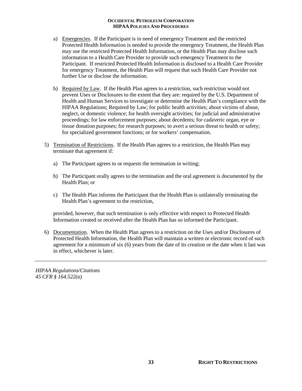- a) Emergencies. If the Participant is in need of emergency Treatment and the restricted Protected Health Information is needed to provide the emergency Treatment, the Health Plan may use the restricted Protected Health Information, or the Health Plan may disclose such information to a Health Care Provider to provide such emergency Treatment to the Participant. If restricted Protected Health Information is disclosed to a Health Care Provider for emergency Treatment, the Health Plan will request that such Health Care Provider not further Use or disclose the information.
- b) Required by Law. If the Health Plan agrees to a restriction, such restriction would not prevent Uses or Disclosures to the extent that they are: required by the U.S. Department of Health and Human Services to investigate or determine the Health Plan's compliance with the HIPAA Regulations; Required by Law; for public health activities; about victims of abuse, neglect, or domestic violence; for health oversight activities; for judicial and administrative proceedings; for law enforcement purposes; about decedents; for cadaveric organ, eye or tissue donation purposes; for research purposes; to avert a serious threat to health or safety; for specialized government functions; or for workers' compensation.
- 5) Termination of Restrictions. If the Health Plan agrees to a restriction, the Health Plan may terminate that agreement if:
	- a) The Participant agrees to or requests the termination in writing;
	- b) The Participant orally agrees to the termination and the oral agreement is documented by the Health Plan; or
	- c) The Health Plan informs the Participant that the Health Plan is unilaterally terminating the Health Plan's agreement to the restriction,

provided, however, that such termination is only effective with respect to Protected Health Information created or received after the Health Plan has so informed the Participant.

6) Documentation. When the Health Plan agrees to a restriction on the Uses and/or Disclosures of Protected Health Information, the Health Plan will maintain a written or electronic record of such agreement for a minimum of six (6) years from the date of its creation or the date when it last was in effect, whichever is later.

*HIPAA Regulations/Citations 45 CFR § 164.522(a)*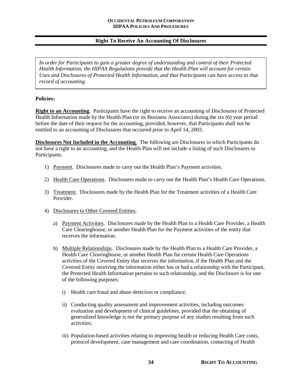# **Right To Receive An Accounting Of Disclosures**

*In order for Participants to gain a greater degree of understanding and control of their Protected Health Information, the HIPAA Regulations provide that the Health Plan will account for certain Uses and Disclosures of Protected Health Information, and that Participants can have access to that record of accounting.*

### **Policies:**

**Right to an Accounting**. Participants have the right to receive an accounting of Disclosures of Protected Health Information made by the Health Plan (or its Business Associates) during the six (6) year period before the date of their request for the accounting, provided, however, that Participants shall not be entitled to an accounting of Disclosures that occurred prior to April 14, 2003.

**Disclosures Not Included in the Accounting**. The following are Disclosures to which Participants do not have a right to an accounting, and the Health Plan will not include a listing of such Disclosures to Participants.

- 1) Payment. Disclosures made to carry out the Health Plan's Payment activities.
- 2) Health Care Operations. Disclosures made to carry out the Health Plan's Health Care Operations.
- 3) Treatment. Disclosures made by the Health Plan for the Treatment activities of a Health Care Provider.
- 4) Disclosures to Other Covered Entities.
	- a) Payment Activities. Disclosures made by the Health Plan to a Health Care Provider, a Health Care Clearinghouse, or another Health Plan for the Payment activities of the entity that receives the information.
	- b) Multiple Relationships. Disclosures made by the Health Plan to a Health Care Provider, a Health Care Clearinghouse, or another Health Plan for certain Health Care Operations activities of the Covered Entity that receives the information, if the Health Plan and the Covered Entity receiving the information either has or had a relationship with the Participant, the Protected Health Information pertains to such relationship, and the Disclosure is for one of the following purposes:
		- i) Health care fraud and abuse detection or compliance;
		- ii) Conducting quality assessment and improvement activities, including outcomes evaluation and development of clinical guidelines, provided that the obtaining of generalized knowledge is not the primary purpose of any studies resulting from such activities;
		- iii) Population-based activities relating to improving health or reducing Health Care costs, protocol development, case management and care coordination, contacting of Health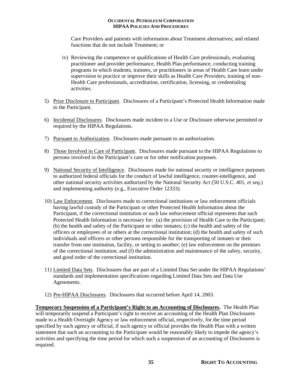Care Providers and patients with information about Treatment alternatives; and related functions that do not include Treatment; or

- iv) Reviewing the competence or qualifications of Health Care professionals, evaluating practitioner and provider performance, Health Plan performance, conducting training programs in which students, trainees, or practitioners in areas of Health Care learn under supervision to practice or improve their skills as Health Care Providers, training of non-Health Care professionals, accreditation, certification, licensing, or credentialing activities.
- 5) Prior Disclosure to Participant. Disclosures of a Participant's Protected Health Information made to the Participant.
- 6) Incidental Disclosures. Disclosures made incident to a Use or Disclosure otherwise permitted or required by the HIPAA Regulations.
- 7) Pursuant to Authorization. Disclosures made pursuant to an authorization.
- 8) Those Involved in Care of Participant. Disclosures made pursuant to the HIPAA Regulations to persons involved in the Participant's care or for other notification purposes.
- 9) National Security of Intelligence. Disclosures made for national security or intelligence purposes to authorized federal officials for the conduct of lawful intelligence, counter-intelligence, and other national security activities authorized by the National Security Act (50 U.S.C. 401, *et seq.*) and implementing authority (e.g., Executive Order 12333).
- 10) Law Enforcement. Disclosures made to correctional institutions or law enforcement officials having lawful custody of the Participant or other Protected Health Information about the Participant, if the correctional institution or such law enforcement official represents that such Protected Health Information is necessary for: (a) the provision of Health Care to the Participant; (b) the health and safety of the Participant or other inmates; (c) the health and safety of the officers or employees of or others at the correctional institution; (d) the health and safety of such individuals and officers or other persons responsible for the transporting of inmates or their transfer from one institution, facility, or setting to another; (e) law enforcement on the premises of the correctional institution; and (f) the administration and maintenance of the safety, security, and good order of the correctional institution.
- 11) Limited Data Sets. Disclosures that are part of a Limited Data Set under the HIPAA Regulations' standards and implementation specifications regarding Limited Data Sets and Data Use Agreements.
- 12) Pre-HIPAA Disclosures. Disclosures that occurred before April 14, 2003.

**Temporary Suspension of a Participant's Right to an Accounting of Disclosures.** The Health Plan will temporarily suspend a Participant's right to receive an accounting of the Health Plan Disclosures made to a Health Oversight Agency or law enforcement official, respectively, for the time period specified by such agency or official, if such agency or official provides the Health Plan with a written statement that such an accounting to the Participant would be reasonably likely to impede the agency's activities and specifying the time period for which such a suspension of an accounting of Disclosures is required.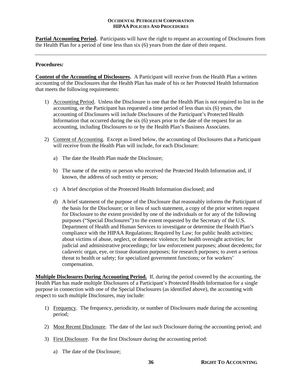**Partial Accounting Period.** Participants will have the right to request an accounting of Disclosures from the Health Plan for a period of time less than six (6) years from the date of their request.

### **Procedures***:*

**Content of the Accounting of Disclosures.** A Participant will receive from the Health Plan a written accounting of the Disclosures that the Health Plan has made of his or her Protected Health Information that meets the following requirements:

- 1) Accounting Period. Unless the Disclosure is one that the Health Plan is not required to list in the accounting, or the Participant has requested a time period of less than six (6) years, the accounting of Disclosures will include Disclosures of the Participant's Protected Health Information that occurred during the six (6) years prior to the date of the request for an accounting, including Disclosures to or by the Health Plan's Business Associates.
- 2) Content of Accounting. Except as listed below, the accounting of Disclosures that a Participant will receive from the Health Plan will include, for each Disclosure:
	- a) The date the Health Plan made the Disclosure;
	- b) The name of the entity or person who received the Protected Health Information and, if known, the address of such entity or person;
	- c) A brief description of the Protected Health Information disclosed; and
	- d) A brief statement of the purpose of the Disclosure that reasonably informs the Participant of the basis for the Disclosure; or in lieu of such statement, a copy of the prior written request for Disclosure to the extent provided by one of the individuals or for any of the following purposes ("Special Disclosures") to the extent requested by the Secretary of the U.S. Department of Health and Human Services to investigate or determine the Health Plan's compliance with the HIPAA Regulations; Required by Law; for public health activities; about victims of abuse, neglect, or domestic violence; for health oversight activities; for judicial and administrative proceedings; for law enforcement purposes; about decedents; for cadaveric organ, eye, or tissue donation purposes; for research purposes; to avert a serious threat to health or safety; for specialized government functions; or for workers' compensation.

**Multiple Disclosures During Accounting Period.** If, during the period covered by the accounting, the Health Plan has made multiple Disclosures of a Participant's Protected Health Information for a single purpose in connection with one of the Special Disclosures (as identified above), the accounting with respect to such multiple Disclosures, may include:

- 1) Frequency. The frequency, periodicity, or number of Disclosures made during the accounting period;
- 2) Most Recent Disclosure. The date of the last such Disclosure during the accounting period; and
- 3) First Disclosure. For the first Disclosure during the accounting period:
	- a) The date of the Disclosure;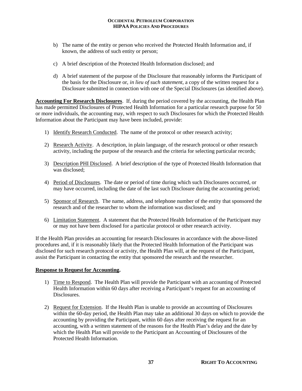- b) The name of the entity or person who received the Protected Health Information and, if known, the address of such entity or person;
- c) A brief description of the Protected Health Information disclosed; and
- d) A brief statement of the purpose of the Disclosure that reasonably informs the Participant of the basis for the Disclosure or, *in lieu of such statement*, a copy of the written request for a Disclosure submitted in connection with one of the Special Disclosures (as identified above).

**Accounting For Research Disclosures**. If, during the period covered by the accounting, the Health Plan has made permitted Disclosures of Protected Health Information for a particular research purpose for 50 or more individuals, the accounting may, with respect to such Disclosures for which the Protected Health Information about the Participant may have been included, provide:

- 1) Identify Research Conducted. The name of the protocol or other research activity;
- 2) Research Activity. A description, in plain language, of the research protocol or other research activity, including the purpose of the research and the criteria for selecting particular records;
- 3) Description PHI Disclosed. A brief description of the type of Protected Health Information that was disclosed;
- 4) Period of Disclosures. The date or period of time during which such Disclosures occurred, or may have occurred, including the date of the last such Disclosure during the accounting period;
- 5) Sponsor of Research. The name, address, and telephone number of the entity that sponsored the research and of the researcher to whom the information was disclosed; and
- 6) Limitation Statement. A statement that the Protected Health Information of the Participant may or may not have been disclosed for a particular protocol or other research activity.

If the Health Plan provides an accounting for research Disclosures in accordance with the above-listed procedures and, if it is reasonably likely that the Protected Health Information of the Participant was disclosed for such research protocol or activity, the Health Plan will, at the request of the Participant, assist the Participant in contacting the entity that sponsored the research and the researcher.

### **Response to Request for Accounting.**

- 1) Time to Respond. The Health Plan will provide the Participant with an accounting of Protected Health Information within 60 days after receiving a Participant's request for an accounting of Disclosures.
- 2) Request for Extension. If the Health Plan is unable to provide an accounting of Disclosures within the 60-day period, the Health Plan may take an additional 30 days on which to provide the accounting by providing the Participant, within 60 days after receiving the request for an accounting, with a written statement of the reasons for the Health Plan's delay and the date by which the Health Plan will provide to the Participant an Accounting of Disclosures of the Protected Health Information.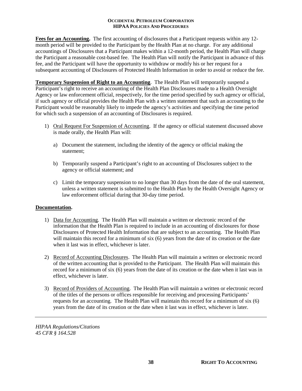**Fees for an Accounting.** The first accounting of disclosures that a Participant requests within any 12 month period will be provided to the Participant by the Health Plan at no charge. For any additional accountings of Disclosures that a Participant makes within a 12-month period, the Health Plan will charge the Participant a reasonable cost-based fee. The Health Plan will notify the Participant in advance of this fee, and the Participant will have the opportunity to withdraw or modify his or her request for a subsequent accounting of Disclosures of Protected Health Information in order to avoid or reduce the fee.

**Temporary Suspension of Right to an Accounting**. The Health Plan will temporarily suspend a Participant's right to receive an accounting of the Health Plan Disclosures made to a Health Oversight Agency or law enforcement official, respectively, for the time period specified by such agency or official, if such agency or official provides the Health Plan with a written statement that such an accounting to the Participant would be reasonably likely to impede the agency's activities and specifying the time period for which such a suspension of an accounting of Disclosures is required.

- 1) Oral Request For Suspension of Accounting. If the agency or official statement discussed above is made orally, the Health Plan will:
	- a) Document the statement, including the identity of the agency or official making the statement;
	- b) Temporarily suspend a Participant's right to an accounting of Disclosures subject to the agency or official statement; and
	- c) Limit the temporary suspension to no longer than 30 days from the date of the oral statement, unless a written statement is submitted to the Health Plan by the Health Oversight Agency or law enforcement official during that 30-day time period.

# **Documentation.**

- 1) Data for Accounting. The Health Plan will maintain a written or electronic record of the information that the Health Plan is required to include in an accounting of disclosures for those Disclosures of Protected Health Information that are subject to an accounting. The Health Plan will maintain this record for a minimum of six (6) years from the date of its creation or the date when it last was in effect, whichever is later.
- 2) Record of Accounting Disclosures. The Health Plan will maintain a written or electronic record of the written accounting that is provided to the Participant. The Health Plan will maintain this record for a minimum of six (6) years from the date of its creation or the date when it last was in effect, whichever is later.
- 3) Record of Providers of Accounting. The Health Plan will maintain a written or electronic record of the titles of the persons or offices responsible for receiving and processing Participants' requests for an accounting. The Health Plan will maintain this record for a minimum of six (6) years from the date of its creation or the date when it last was in effect, whichever is later.

*HIPAA Regulations/Citations 45 CFR § 164.528*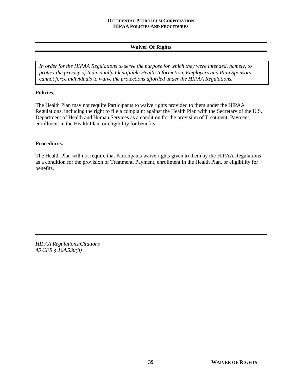# **Waiver Of Rights**

*In order for the HIPAA Regulations to serve the purpose for which they were intended, namely, to protect the privacy of Individually Identifiable Health Information, Employers and Plan Sponsors cannot force individuals to waive the protections afforded under the HIPAA Regulations.*

### **Policies***.*

The Health Plan may not require Participants to waive rights provided to them under the HIPAA Regulations, including the right to file a complaint against the Health Plan with the Secretary of the U.S. Department of Health and Human Services as a condition for the provision of Treatment, Payment, enrollment in the Health Plan, or eligibility for benefits.

### **Procedures***.*

The Health Plan will not require that Participants waive rights given to them by the HIPAA Regulations as a condition for the provision of Treatment, Payment, enrollment in the Health Plan, or eligibility for benefits.

*HIPAA Regulations/Citations 45 CFR § 164.530(h)*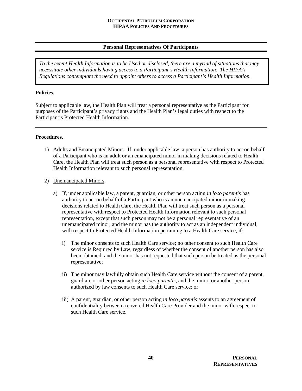# **Personal Representatives Of Participants**

*To the extent Health Information is to be Used or disclosed, there are a myriad of situations that may necessitate other individuals having access to a Participant's Health Information. The HIPAA Regulations contemplate the need to appoint others to access a Participant's Health Information.*

### **Policies***.*

Subject to applicable law, the Health Plan will treat a personal representative as the Participant for purposes of the Participant's privacy rights and the Health Plan's legal duties with respect to the Participant's Protected Health Information.

### **Procedures.**

- 1) Adults and Emancipated Minors*.* If, under applicable law, a person has authority to act on behalf of a Participant who is an adult or an emancipated minor in making decisions related to Health Care, the Health Plan will treat such person as a personal representative with respect to Protected Health Information relevant to such personal representation.
- 2) Unemancipated Minors*.*
	- a) If, under applicable law, a parent, guardian, or other person acting *in loco parentis* has authority to act on behalf of a Participant who is an unemancipated minor in making decisions related to Health Care, the Health Plan will treat such person as a personal representative with respect to Protected Health Information relevant to such personal representation, except that such person may not be a personal representative of an unemancipated minor, and the minor has the authority to act as an independent individual, with respect to Protected Health Information pertaining to a Health Care service, if:
		- i) The minor consents to such Health Care service; no other consent to such Health Care service is Required by Law, regardless of whether the consent of another person has also been obtained; and the minor has not requested that such person be treated as the personal representative;
		- ii) The minor may lawfully obtain such Health Care service without the consent of a parent, guardian, or other person acting *in loco parentis*, and the minor, or another person authorized by law consents to such Health Care service; or
		- iii) A parent, guardian, or other person acting *in loco parentis* assents to an agreement of confidentiality between a covered Health Care Provider and the minor with respect to such Health Care service.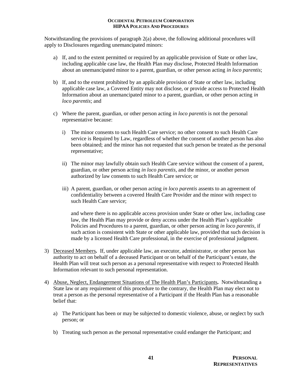Notwithstanding the provisions of paragraph 2(a) above, the following additional procedures will apply to Disclosures regarding unemancipated minors:

- a) If, and to the extent permitted or required by an applicable provision of State or other law, including applicable case law, the Health Plan may disclose, Protected Health Information about an unemancipated minor to a parent, guardian, or other person acting *in loco parentis*;
- b) If, and to the extent prohibited by an applicable provision of State or other law, including applicable case law, a Covered Entity may not disclose, or provide access to Protected Health Information about an unemancipated minor to a parent, guardian, or other person acting *in loco parentis*; and
- c) Where the parent, guardian, or other person acting *in loco parentis* is not the personal representative because:
	- i) The minor consents to such Health Care service; no other consent to such Health Care service is Required by Law, regardless of whether the consent of another person has also been obtained; and the minor has not requested that such person be treated as the personal representative;
	- ii) The minor may lawfully obtain such Health Care service without the consent of a parent, guardian, or other person acting *in loco parentis*, and the minor, or another person authorized by law consents to such Health Care service; or
	- iii) A parent, guardian, or other person acting *in loco parentis* assents to an agreement of confidentiality between a covered Health Care Provider and the minor with respect to such Health Care service;

and where there is no applicable access provision under State or other law, including case law, the Health Plan may provide or deny access under the Health Plan's applicable Policies and Procedures to a parent, guardian, or other person acting *in loco parentis,* if such action is consistent with State or other applicable law, provided that such decision is made by a licensed Health Care professional, in the exercise of professional judgment.

- 3) Deceased Members*.* If, under applicable law, an executor, administrator, or other person has authority to act on behalf of a deceased Participant or on behalf of the Participant's estate, the Health Plan will treat such person as a personal representative with respect to Protected Health Information relevant to such personal representation.
- 4) Abuse, Neglect, Endangerment Situations of The Health Plan's Participants*.* Notwithstanding a State law or any requirement of this procedure to the contrary, the Health Plan may elect not to treat a person as the personal representative of a Participant if the Health Plan has a reasonable belief that:
	- a) The Participant has been or may be subjected to domestic violence, abuse, or neglect by such person; or
	- b) Treating such person as the personal representative could endanger the Participant; and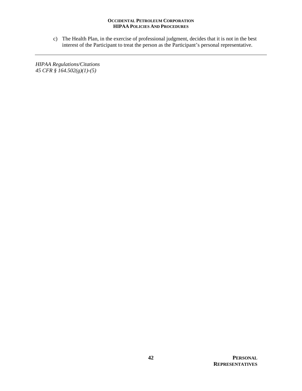c) The Health Plan, in the exercise of professional judgment, decides that it is not in the best interest of the Participant to treat the person as the Participant's personal representative.

*HIPAA Regulations/Citations 45 CFR § 164.502(g)(1)-(5)*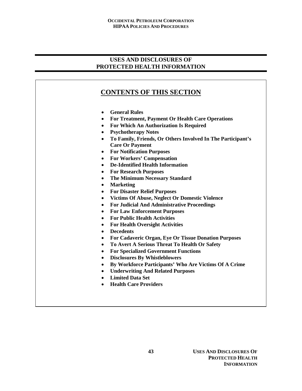# **USES AND DISCLOSURES OF PROTECTED HEALTH INFORMATION**

# **CONTENTS OF THIS SECTION**

- **General Rules**
- **For Treatment, Payment Or Health Care Operations**
- **For Which An Authorization Is Required**
- **Psychotherapy Notes**
- **To Family, Friends, Or Others Involved In The Participant's Care Or Payment**
- **For Notification Purposes**
- **For Workers' Compensation**
- **De-Identified Health Information**
- **For Research Purposes**
- **The Minimum Necessary Standard**
- **Marketing**
- **For Disaster Relief Purposes**
- **Victims Of Abuse, Neglect Or Domestic Violence**
- **For Judicial And Administrative Proceedings**
- **For Law Enforcement Purposes**
- **For Public Health Activities**
- **For Health Oversight Activities**
- **Decedents**
- **For Cadaveric Organ, Eye Or Tissue Donation Purposes**
- **To Avert A Serious Threat To Health Or Safety**
- **For Specialized Government Functions**
- **Disclosures By Whistleblowers**
- **By Workforce Participants' Who Are Victims Of A Crime**
- **Underwriting And Related Purposes**
- **Limited Data Set**
- **Health Care Providers**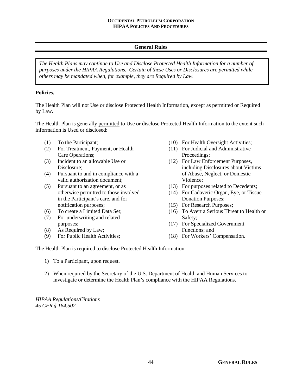# **General Rules**

*The Health Plans may continue to Use and Disclose Protected Health Information for a number of purposes under the HIPAA Regulations. Certain of these Uses or Disclosures are permitted while others may be mandated when, for example, they are Required by Law.*

# **Policies***.*

The Health Plan will not Use or disclose Protected Health Information, except as permitted or Required by Law.

The Health Plan is generally permitted to Use or disclose Protected Health Information to the extent such information is Used or disclosed:

- (1) To the Participant;
- (2) For Treatment, Payment, or Health Care Operations;
- (3) Incident to an allowable Use or Disclosure;
- (4) Pursuant to and in compliance with a valid authorization document;
- (5) Pursuant to an agreement, or as otherwise permitted to those involved in the Participant's care, and for notification purposes;
- (6) To create a Limited Data Set;
- (7) For underwriting and related purposes;
- (8) As Required by Law;
- (9) For Public Health Activities;
- (10) For Health Oversight Activities;
- (11) For Judicial and Administrative Proceedings;
- (12) For Law Enforcement Purposes, including Disclosures about Victims of Abuse, Neglect, or Domestic Violence;
- (13) For purposes related to Decedents;
- (14) For Cadaveric Organ, Eye, or Tissue Donation Purposes;
- (15) For Research Purposes;
- (16) To Avert a Serious Threat to Health or Safety;
- (17) For Specialized Government Functions; and
- (18) For Workers' Compensation.

The Health Plan is required to disclose Protected Health Information:

- 1) To a Participant, upon request.
- 2) When required by the Secretary of the U.S. Department of Health and Human Services to investigate or determine the Health Plan's compliance with the HIPAA Regulations.

*HIPAA Regulations/Citations 45 CFR § 164.502*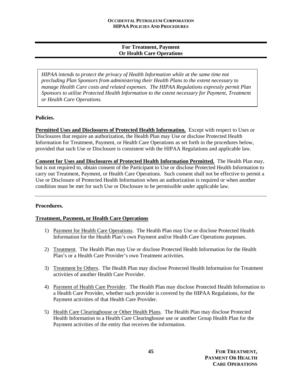# **For Treatment, Payment Or Health Care Operations**

*HIPAA intends to protect the privacy of Health Information while at the same time not precluding Plan Sponsors from administering their Health Plans to the extent necessary to manage Health Care costs and related expenses. The HIPAA Regulations expressly permit Plan Sponsors to utilize Protected Health Information to the extent necessary for Payment, Treatment or Health Care Operations.*

# **Policies.**

**Permitted Uses and Disclosures of Protected Health Information.** Except with respect to Uses or Disclosures that require an authorization, the Health Plan may Use or disclose Protected Health Information for Treatment, Payment, or Health Care Operations as set forth in the procedures below, provided that such Use or Disclosure is consistent with the HIPAA Regulations and applicable law.

**Consent for Uses and Disclosures of Protected Health Information Permitted.** The Health Plan may, but is not required to, obtain consent of the Participant to Use or disclose Protected Health Information to carry out Treatment, Payment, or Health Care Operations. Such consent shall not be effective to permit a Use or Disclosure of Protected Health Information when an authorization is required or when another condition must be met for such Use or Disclosure to be permissible under applicable law.

# **Procedures***.*

# **Treatment, Payment, or Health Care Operations**

- 1) Payment for Health Care Operations. The Health Plan may Use or disclose Protected Health Information for the Health Plan's own Payment and/or Health Care Operations purposes.
- 2) Treatment. The Health Plan may Use or disclose Protected Health Information for the Health Plan's or a Health Care Provider's own Treatment activities.
- 3) Treatment by Others. The Health Plan may disclose Protected Health Information for Treatment activities of another Health Care Provider.
- 4) Payment of Health Care Provider. The Health Plan may disclose Protected Health Information to a Health Care Provider, whether such provider is covered by the HIPAA Regulations, for the Payment activities of that Health Care Provider.
- 5) Health Care Clearinghouse or Other Health Plans. The Health Plan may disclose Protected Health Information to a Health Care Clearinghouse use or another Group Health Plan for the Payment activities of the entity that receives the information.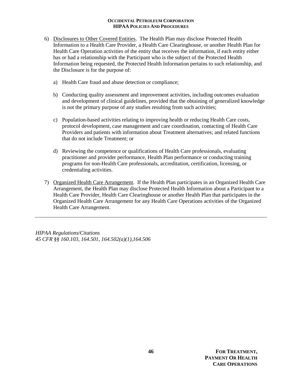- 6) Disclosures to Other Covered Entities. The Health Plan may disclose Protected Health Information to a Health Care Provider, a Health Care Clearinghouse, or another Health Plan for Health Care Operation activities of the entity that receives the information, if each entity either has or had a relationship with the Participant who is the subject of the Protected Health Information being requested, the Protected Health Information pertains to such relationship, and the Disclosure is for the purpose of:
	- a) Health Care fraud and abuse detection or compliance;
	- b) Conducting quality assessment and improvement activities, including outcomes evaluation and development of clinical guidelines, provided that the obtaining of generalized knowledge is not the primary purpose of any studies resulting from such activities;
	- c) Population-based activities relating to improving health or reducing Health Care costs, protocol development, case management and care coordination, contacting of Health Care Providers and patients with information about Treatment alternatives; and related functions that do not include Treatment; or
	- d) Reviewing the competence or qualifications of Health Care professionals, evaluating practitioner and provider performance, Health Plan performance or conducting training programs for non-Health Care professionals, accreditation, certification, licensing, or credentialing activities.
- 7) Organized Health Care Arrangement. If the Health Plan participates in an Organized Health Care Arrangement, the Health Plan may disclose Protected Health Information about a Participant to a Health Care Provider, Health Care Clearinghouse or another Health Plan that participates in the Organized Health Care Arrangement for any Health Care Operations activities of the Organized Health Care Arrangement.

*HIPAA Regulations/Citations 45 CFR §§ 160.103, 164.501, 164.502(a)(1),164.506*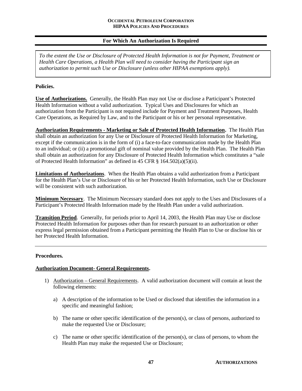# **For Which An Authorization Is Required**

*To the extent the Use or Disclosure of Protected Health Information is not for Payment, Treatment or Health Care Operations, a Health Plan will need to consider having the Participant sign an authorization to permit such Use or Disclosure (unless other HIPAA exemptions apply).*

### **Policies.**

**Use of Authorizations.** Generally, the Health Plan may not Use or disclose a Participant's Protected Health Information without a valid authorization. Typical Uses and Disclosures for which an authorization from the Participant is not required include for Payment and Treatment Purposes, Health Care Operations, as Required by Law, and to the Participant or his or her personal representative.

**Authorization Requirements - Marketing or Sale of Protected Health Information.** The Health Plan shall obtain an authorization for any Use or Disclosure of Protected Health Information for Marketing, except if the communication is in the form of (i) a face-to-face communication made by the Health Plan to an individual; or (ii) a promotional gift of nominal value provided by the Health Plan. The Health Plan shall obtain an authorization for any Disclosure of Protected Health Information which constitutes a "sale of Protected Health Information" as defined in 45 CFR § 164.502(a)(5)(ii).

**Limitations of Authorizations**. When the Health Plan obtains a valid authorization from a Participant for the Health Plan's Use or Disclosure of his or her Protected Health Information, such Use or Disclosure will be consistent with such authorization.

**Minimum Necessary**. The Minimum Necessary standard does not apply to the Uses and Disclosures of a Participant's Protected Health Information made by the Health Plan under a valid authorization.

**Transition Period**. Generally, for periods prior to April 14, 2003, the Health Plan may Use or disclose Protected Health Information for purposes other than for research pursuant to an authorization or other express legal permission obtained from a Participant permitting the Health Plan to Use or disclose his or her Protected Health Information.

### **Procedures***.*

# **Authorization Document- General Requirements.**

- 1) Authorization General Requirements. A valid authorization document will contain at least the following elements:
	- a) A description of the information to be Used or disclosed that identifies the information in a specific and meaningful fashion;
	- b) The name or other specific identification of the person(s), or class of persons, authorized to make the requested Use or Disclosure;
	- c) The name or other specific identification of the person(s), or class of persons, to whom the Health Plan may make the requested Use or Disclosure;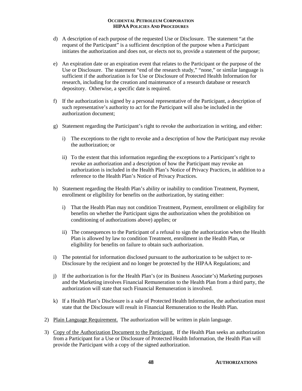- d) A description of each purpose of the requested Use or Disclosure. The statement "at the request of the Participant" is a sufficient description of the purpose when a Participant initiates the authorization and does not, or elects not to, provide a statement of the purpose;
- e) An expiration date or an expiration event that relates to the Participant or the purpose of the Use or Disclosure. The statement "end of the research study," "none," or similar language is sufficient if the authorization is for Use or Disclosure of Protected Health Information for research, including for the creation and maintenance of a research database or research depository. Otherwise, a specific date is required.
- f) If the authorization is signed by a personal representative of the Participant, a description of such representative's authority to act for the Participant will also be included in the authorization document;
- g) Statement regarding the Participant's right to revoke the authorization in writing, and either:
	- i) The exceptions to the right to revoke and a description of how the Participant may revoke the authorization; or
	- ii) To the extent that this information regarding the exceptions to a Participant's right to revoke an authorization and a description of how the Participant may revoke an authorization is included in the Health Plan's Notice of Privacy Practices, in addition to a reference to the Health Plan's Notice of Privacy Practices.
- h) Statement regarding the Health Plan's ability or inability to condition Treatment, Payment, enrollment or eligibility for benefits on the authorization, by stating either:
	- i) That the Health Plan may not condition Treatment, Payment, enrollment or eligibility for benefits on whether the Participant signs the authorization when the prohibition on conditioning of authorizations above) applies; or
	- ii) The consequences to the Participant of a refusal to sign the authorization when the Health Plan is allowed by law to condition Treatment, enrollment in the Health Plan, or eligibility for benefits on failure to obtain such authorization.
- i) The potential for information disclosed pursuant to the authorization to be subject to re-Disclosure by the recipient and no longer be protected by the HIPAA Regulations; and
- j) If the authorization is for the Health Plan's (or its Business Associate's) Marketing purposes and the Marketing involves Financial Remuneration to the Health Plan from a third party, the authorization will state that such Financial Remuneration is involved.
- k) If a Health Plan's Disclosure is a sale of Protected Health Information, the authorization must state that the Disclosure will result in Financial Remuneration to the Health Plan.
- 2) Plain Language Requirement. The authorization will be written in plain language.
- 3) Copy of the Authorization Document to the Participant. If the Health Plan seeks an authorization from a Participant for a Use or Disclosure of Protected Health Information, the Health Plan will provide the Participant with a copy of the signed authorization.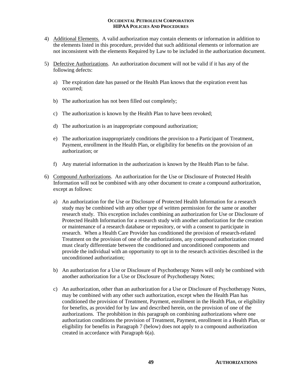- 4) Additional Elements. A valid authorization may contain elements or information in addition to the elements listed in this procedure, provided that such additional elements or information are not inconsistent with the elements Required by Law to be included in the authorization document.
- 5) Defective Authorizations. An authorization document will not be valid if it has any of the following defects:
	- a) The expiration date has passed or the Health Plan knows that the expiration event has occurred;
	- b) The authorization has not been filled out completely;
	- c) The authorization is known by the Health Plan to have been revoked;
	- d) The authorization is an inappropriate compound authorization;
	- e) The authorization inappropriately conditions the provision to a Participant of Treatment, Payment, enrollment in the Health Plan, or eligibility for benefits on the provision of an authorization; or
	- f) Any material information in the authorization is known by the Health Plan to be false.
- 6) Compound Authorizations. An authorization for the Use or Disclosure of Protected Health Information will not be combined with any other document to create a compound authorization, except as follows:
	- a) An authorization for the Use or Disclosure of Protected Health Information for a research study may be combined with any other type of written permission for the same or another research study. This exception includes combining an authorization for Use or Disclosure of Protected Health Information for a research study with another authorization for the creation or maintenance of a research database or repository, or with a consent to participate in research. When a Health Care Provider has conditioned the provision of research-related Treatment on the provision of one of the authorizations, any compound authorization created must clearly differentiate between the conditioned and unconditioned components and provide the individual with an opportunity to opt in to the research activities described in the unconditioned authorization;
	- b) An authorization for a Use or Disclosure of Psychotherapy Notes will only be combined with another authorization for a Use or Disclosure of Psychotherapy Notes;
	- c) An authorization, other than an authorization for a Use or Disclosure of Psychotherapy Notes, may be combined with any other such authorization, except when the Health Plan has conditioned the provision of Treatment, Payment, enrollment in the Health Plan, or eligibility for benefits, as provided for by law and described herein, on the provision of one of the authorizations. The prohibition in this paragraph on combining authorizations where one authorization conditions the provision of Treatment, Payment, enrollment in a Health Plan, or eligibility for benefits in Paragraph 7 (below) does not apply to a compound authorization created in accordance with Paragraph 6(a).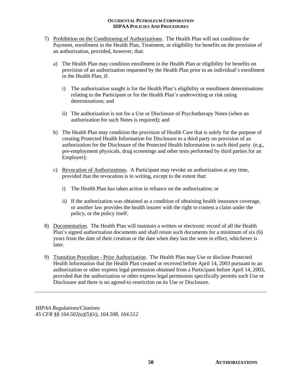- 7) Prohibition on the Conditioning of Authorizations. The Health Plan will not condition the Payment, enrollment in the Health Plan, Treatment, or eligibility for benefits on the provision of an authorization, provided, however, that:
	- a) The Health Plan may condition enrollment in the Health Plan or eligibility for benefits on provision of an authorization requested by the Health Plan prior to an individual's enrollment in the Health Plan, if:
		- i) The authorization sought is for the Health Plan's eligibility or enrollment determinations relating to the Participant or for the Health Plan's underwriting or risk rating determinations; and
		- ii) The authorization is not for a Use or Disclosure of Psychotherapy Notes (when an authorization for such Notes is required); and
	- b) The Health Plan may condition the provision of Health Care that is solely for the purpose of creating Protected Health Information for Disclosure to a third party on provision of an authorization for the Disclosure of the Protected Health Information to such third party (e.g., pre-employment physicals, drug screenings and other tests performed by third parties for an Employer);
	- c) Revocation of Authorizations. A Participant may revoke an authorization at any time, provided that the revocation is in writing, except to the extent that:
		- i) The Health Plan has taken action in reliance on the authorization; or
		- ii) If the authorization was obtained as a condition of obtaining health insurance coverage, or another law provides the health insurer with the right to contest a claim under the policy, or the policy itself.
- 8) Documentation. The Health Plan will maintain a written or electronic record of all the Health Plan's signed authorization documents and shall retain such documents for a minimum of six (6) years from the date of their creation or the date when they last the were in effect, whichever is later.
- 9) Transition Procedure Prior Authorization. The Health Plan may Use or disclose Protected Health Information that the Health Plan created or received before April 14, 2003 pursuant to an authorization or other express legal permission obtained from a Participant before April 14, 2003, provided that the authorization or other express legal permission specifically permits such Use or Disclosure and there is no agreed-to restriction on its Use or Disclosure.

*HIPAA Regulations/Citations 45 CFR §§ 164.502(a)(5)(ii), 164.508, 164.512*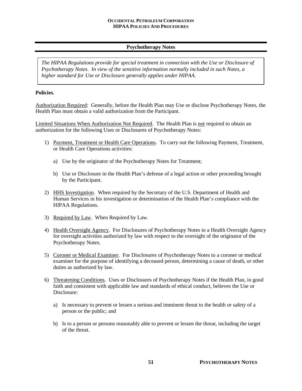# **Psychotherapy Notes**

*The HIPAA Regulations provide for special treatment in connection with the Use or Disclosure of Psychotherapy Notes. In view of the sensitive information normally included in such Notes, a higher standard for Use or Disclosure generally applies under HIPAA.*

### **Policies***.*

Authorization Required: Generally, before the Health Plan may Use or disclose Psychotherapy Notes, the Health Plan must obtain a valid authorization from the Participant.

Limited Situations When Authorization Not Required. The Health Plan is not required to obtain an authorization for the following Uses or Disclosures of Psychotherapy Notes:

- 1) Payment, Treatment or Health Care Operations. To carry out the following Payment, Treatment, or Health Care Operations activities:
	- a) Use by the originator of the Psychotherapy Notes for Treatment;
	- b) Use or Disclosure in the Health Plan's defense of a legal action or other proceeding brought by the Participant.
- 2) HHS Investigation. When required by the Secretary of the U.S. Department of Health and Human Services in his investigation or determination of the Health Plan's compliance with the HIPAA Regulations.
- 3) Required by Law. When Required by Law.
- 4) Health Oversight Agency. For Disclosures of Psychotherapy Notes to a Health Oversight Agency for oversight activities authorized by law with respect to the oversight of the originator of the Psychotherapy Notes.
- 5) Coroner or Medical Examiner. For Disclosures of Psychotherapy Notes to a coroner or medical examiner for the purpose of identifying a deceased person, determining a cause of death, or other duties as authorized by law.
- 6) Threatening Conditions. Uses or Disclosures of Psychotherapy Notes if the Health Plan, in good faith and consistent with applicable law and standards of ethical conduct, believes the Use or Disclosure:
	- a) Is necessary to prevent or lessen a serious and imminent threat to the health or safety of a person or the public; and
	- b) Is to a person or persons reasonably able to prevent or lessen the threat, including the target of the threat.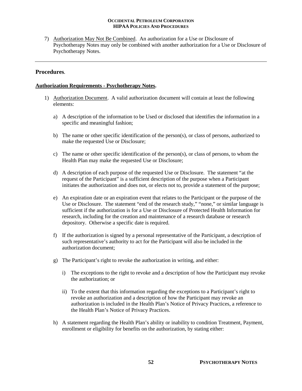7) Authorization May Not Be Combined. An authorization for a Use or Disclosure of Psychotherapy Notes may only be combined with another authorization for a Use or Disclosure of Psychotherapy Notes.

# **Procedures***.*

# **Authorization Requirements - Psychotherapy Notes.**

- 1) Authorization Document. A valid authorization document will contain at least the following elements:
	- a) A description of the information to be Used or disclosed that identifies the information in a specific and meaningful fashion;
	- b) The name or other specific identification of the person(s), or class of persons, authorized to make the requested Use or Disclosure;
	- c) The name or other specific identification of the person(s), or class of persons, to whom the Health Plan may make the requested Use or Disclosure;
	- d) A description of each purpose of the requested Use or Disclosure. The statement "at the request of the Participant" is a sufficient description of the purpose when a Participant initiates the authorization and does not, or elects not to, provide a statement of the purpose;
	- e) An expiration date or an expiration event that relates to the Participant or the purpose of the Use or Disclosure. The statement "end of the research study," "none," or similar language is sufficient if the authorization is for a Use or Disclosure of Protected Health Information for research, including for the creation and maintenance of a research database or research depository. Otherwise a specific date is required.
	- f) If the authorization is signed by a personal representative of the Participant, a description of such representative's authority to act for the Participant will also be included in the authorization document;
	- g) The Participant's right to revoke the authorization in writing, and either:
		- i) The exceptions to the right to revoke and a description of how the Participant may revoke the authorization; or
		- ii) To the extent that this information regarding the exceptions to a Participant's right to revoke an authorization and a description of how the Participant may revoke an authorization is included in the Health Plan's Notice of Privacy Practices, a reference to the Health Plan's Notice of Privacy Practices.
	- h) A statement regarding the Health Plan's ability or inability to condition Treatment, Payment, enrollment or eligibility for benefits on the authorization, by stating either: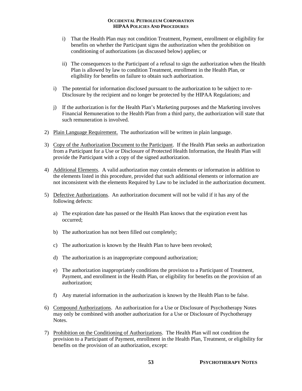- i) That the Health Plan may not condition Treatment, Payment, enrollment or eligibility for benefits on whether the Participant signs the authorization when the prohibition on conditioning of authorizations (as discussed below) applies; or
- ii) The consequences to the Participant of a refusal to sign the authorization when the Health Plan is allowed by law to condition Treatment, enrollment in the Health Plan, or eligibility for benefits on failure to obtain such authorization.
- i) The potential for information disclosed pursuant to the authorization to be subject to re-Disclosure by the recipient and no longer be protected by the HIPAA Regulations; and
- j) If the authorization is for the Health Plan's Marketing purposes and the Marketing involves Financial Remuneration to the Health Plan from a third party, the authorization will state that such remuneration is involved.
- 2) Plain Language Requirement. The authorization will be written in plain language.
- 3) Copy of the Authorization Document to the Participant. If the Health Plan seeks an authorization from a Participant for a Use or Disclosure of Protected Health Information, the Health Plan will provide the Participant with a copy of the signed authorization.
- 4) Additional Elements. A valid authorization may contain elements or information in addition to the elements listed in this procedure, provided that such additional elements or information are not inconsistent with the elements Required by Law to be included in the authorization document.
- 5) Defective Authorizations. An authorization document will not be valid if it has any of the following defects:
	- a) The expiration date has passed or the Health Plan knows that the expiration event has occurred;
	- b) The authorization has not been filled out completely;
	- c) The authorization is known by the Health Plan to have been revoked;
	- d) The authorization is an inappropriate compound authorization;
	- e) The authorization inappropriately conditions the provision to a Participant of Treatment, Payment, and enrollment in the Health Plan, or eligibility for benefits on the provision of an authorization;
	- f) Any material information in the authorization is known by the Health Plan to be false.
- 6) Compound Authorizations. An authorization for a Use or Disclosure of Psychotherapy Notes may only be combined with another authorization for a Use or Disclosure of Psychotherapy Notes.
- 7) Prohibition on the Conditioning of Authorizations. The Health Plan will not condition the provision to a Participant of Payment, enrollment in the Health Plan, Treatment, or eligibility for benefits on the provision of an authorization, except: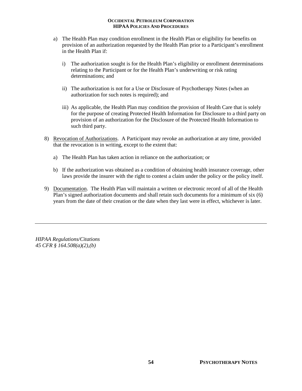- a) The Health Plan may condition enrollment in the Health Plan or eligibility for benefits on provision of an authorization requested by the Health Plan prior to a Participant's enrollment in the Health Plan if:
	- i) The authorization sought is for the Health Plan's eligibility or enrollment determinations relating to the Participant or for the Health Plan's underwriting or risk rating determinations; and
	- ii) The authorization is not for a Use or Disclosure of Psychotherapy Notes (when an authorization for such notes is required); and
	- iii) As applicable, the Health Plan may condition the provision of Health Care that is solely for the purpose of creating Protected Health Information for Disclosure to a third party on provision of an authorization for the Disclosure of the Protected Health Information to such third party.
- 8) Revocation of Authorizations. A Participant may revoke an authorization at any time, provided that the revocation is in writing, except to the extent that:
	- a) The Health Plan has taken action in reliance on the authorization; or
	- b) If the authorization was obtained as a condition of obtaining health insurance coverage, other laws provide the insurer with the right to contest a claim under the policy or the policy itself.
- 9) Documentation. The Health Plan will maintain a written or electronic record of all of the Health Plan's signed authorization documents and shall retain such documents for a minimum of six (6) years from the date of their creation or the date when they last were in effect, whichever is later.

*HIPAA Regulations/Citations 45 CFR § 164.508(a)(2),(b)*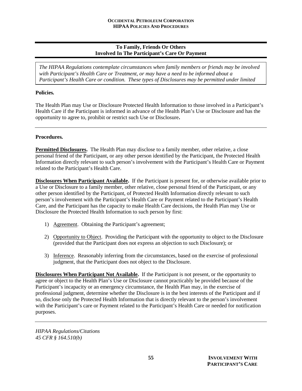# **To Family, Friends Or Others Involved In The Participant's Care Or Payment**

*The HIPAA Regulations contemplate circumstances when family members or friends may be involved with Participant's Health Care or Treatment, or may have a need to be informed about a Participant's Health Care or condition. These types of Disclosures may be permitted under limited*

# **Policies***.*

The Health Plan may Use or Disclosure Protected Health Information to those involved in a Participant's Health Care if the Participant is informed in advance of the Health Plan's Use or Disclosure and has the opportunity to agree to, prohibit or restrict such Use or Disclosure**.**

# **Procedures***.*

**Permitted Disclosures.** The Health Plan may disclose to a family member, other relative, a close personal friend of the Participant, or any other person identified by the Participant, the Protected Health Information directly relevant to such person's involvement with the Participant's Health Care or Payment related to the Participant's Health Care.

**Disclosures When Participant Available.** If the Participant is present for, or otherwise available prior to a Use or Disclosure to a family member, other relative, close personal friend of the Participant, or any other person identified by the Participant, of Protected Health Information directly relevant to such person's involvement with the Participant's Health Care or Payment related to the Participant's Health Care, and the Participant has the capacity to make Health Care decisions, the Health Plan may Use or Disclosure the Protected Health Information to such person by first:

- 1) Agreement. Obtaining the Participant's agreement;
- 2) Opportunity to Object. Providing the Participant with the opportunity to object to the Disclosure (provided that the Participant does not express an objection to such Disclosure); or
- 3) Inference. Reasonably inferring from the circumstances, based on the exercise of professional judgment, that the Participant does not object to the Disclosure.

**Disclosures When Participant Not Available.** If the Participant is not present, or the opportunity to agree or object to the Health Plan's Use or Disclosure cannot practicably be provided because of the Participant's incapacity or an emergency circumstance, the Health Plan may, in the exercise of professional judgment, determine whether the Disclosure is in the best interests of the Participant and if so, disclose only the Protected Health Information that is directly relevant to the person's involvement with the Participant's care or Payment related to the Participant's Health Care or needed for notification purposes.

*HIPAA Regulations/Citations 45 CFR § 164.510(b)*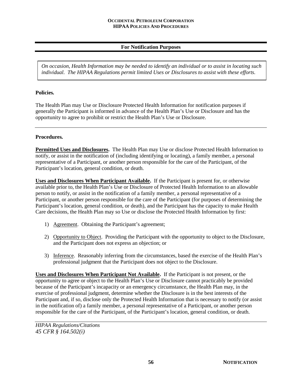# **For Notification Purposes**

*On occasion, Health Information may be needed to identify an individual or to assist in locating such individual. The HIPAA Regulations permit limited Uses or Disclosures to assist with these efforts.*

### **Policies***.*

The Health Plan may Use or Disclosure Protected Health Information for notification purposes if generally the Participant is informed in advance of the Health Plan's Use or Disclosure and has the opportunity to agree to prohibit or restrict the Health Plan's Use or Disclosure.

### **Procedures***.*

**Permitted Uses and Disclosures.** The Health Plan may Use or disclose Protected Health Information to notify, or assist in the notification of (including identifying or locating), a family member, a personal representative of a Participant, or another person responsible for the care of the Participant, of the Participant's location, general condition, or death.

**Uses and Disclosures When Participant Available.** If the Participant is present for, or otherwise available prior to, the Health Plan's Use or Disclosure of Protected Health Information to an allowable person to notify, or assist in the notification of a family member, a personal representative of a Participant, or another person responsible for the care of the Participant (for purposes of determining the Participant's location, general condition, or death), and the Participant has the capacity to make Health Care decisions, the Health Plan may so Use or disclose the Protected Health Information by first:

- 1) Agreement. Obtaining the Participant's agreement;
- 2) Opportunity to Object. Providing the Participant with the opportunity to object to the Disclosure, and the Participant does not express an objection; or
- 3) Inference. Reasonably inferring from the circumstances, based the exercise of the Health Plan's professional judgment that the Participant does not object to the Disclosure.

**Uses and Disclosures When Participant Not Available.** If the Participant is not present, or the opportunity to agree or object to the Health Plan's Use or Disclosure cannot practicably be provided because of the Participant's incapacity or an emergency circumstance, the Health Plan may, in the exercise of professional judgment, determine whether the Disclosure is in the best interests of the Participant and, if so, disclose only the Protected Health Information that is necessary to notify (or assist in the notification of) a family member, a personal representative of a Participant, or another person responsible for the care of the Participant, of the Participant's location, general condition, or death.

*HIPAA Regulations/Citations 45 CFR § 164.502(i)*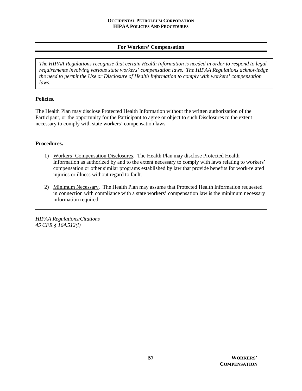# **For Workers' Compensation**

*The HIPAA Regulations recognize that certain Health Information is needed in order to respond to legal requirements involving various state workers' compensation laws. The HIPAA Regulations acknowledge the need to permit the Use or Disclosure of Health Information to comply with workers' compensation laws.*

### **Policies***.*

The Health Plan may disclose Protected Health Information without the written authorization of the Participant, or the opportunity for the Participant to agree or object to such Disclosures to the extent necessary to comply with state workers' compensation laws.

### **Procedures.**

- 1) Workers' Compensation Disclosures. The Health Plan may disclose Protected Health Information as authorized by and to the extent necessary to comply with laws relating to workers' compensation or other similar programs established by law that provide benefits for work-related injuries or illness without regard to fault.
- 2) Minimum Necessary. The Health Plan may assume that Protected Health Information requested in connection with compliance with a state workers' compensation law is the minimum necessary information required.

*HIPAA Regulations/Citations 45 CFR § 164.512(l)*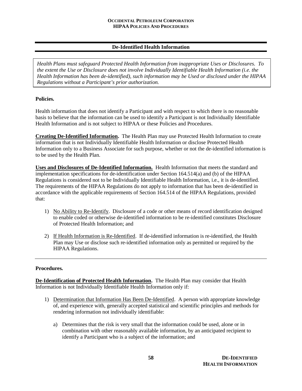# **De-Identified Health Information**

*Health Plans must safeguard Protected Health Information from inappropriate Uses or Disclosures. To the extent the Use or Disclosure does not involve Individually Identifiable Health Information (i.e. the Health Information has been de-identified), such information may be Used or disclosed under the HIPAA Regulations without a Participant's prior authorization.*

# **Policies***.*

Health information that does not identify a Participant and with respect to which there is no reasonable basis to believe that the information can be used to identify a Participant is not Individually Identifiable Health Information and is not subject to HIPAA or these Policies and Procedures.

**Creating De-Identified Information.** The Health Plan may use Protected Health Information to create information that is not Individually Identifiable Health Information or disclose Protected Health Information only to a Business Associate for such purpose, whether or not the de-identified information is to be used by the Health Plan.

**Uses and Disclosures of De-Identified Information.** Health Information that meets the standard and implementation specifications for de-identification under Section 164.514(a) and (b) of the HIPAA Regulations is considered not to be Individually Identifiable Health Information, i.e., it is de-identified. The requirements of the HIPAA Regulations do not apply to information that has been de-identified in accordance with the applicable requirements of Section 164.514 of the HIPAA Regulations, provided that:

- 1) No Ability to Re-Identify. Disclosure of a code or other means of record identification designed to enable coded or otherwise de-identified information to be re-identified constitutes Disclosure of Protected Health Information; and
- 2) If Health Information is Re-Identified. If de-identified information is re-identified, the Health Plan may Use or disclose such re-identified information only as permitted or required by the HIPAA Regulations.

# **Procedures***.*

**De-Identification of Protected Health Information.** The Health Plan may consider that Health Information is not Individually Identifiable Health Information only if:

- 1) Determination that Information Has Been De-Identified. A person with appropriate knowledge of, and experience with, generally accepted statistical and scientific principles and methods for rendering information not individually identifiable:
	- a) Determines that the risk is very small that the information could be used, alone or in combination with other reasonably available information, by an anticipated recipient to identify a Participant who is a subject of the information; and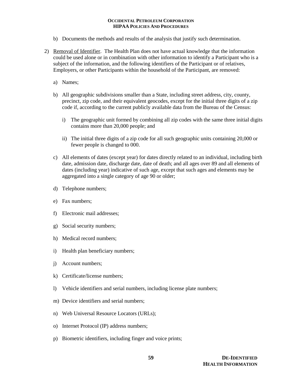- b) Documents the methods and results of the analysis that justify such determination.
- 2) Removal of Identifier. The Health Plan does not have actual knowledge that the information could be used alone or in combination with other information to identify a Participant who is a subject of the information, and the following identifiers of the Participant or of relatives, Employers, or other Participants within the household of the Participant, are removed:
	- a) Names;
	- b) All geographic subdivisions smaller than a State, including street address, city, county, precinct, zip code, and their equivalent geocodes, except for the initial three digits of a zip code if, according to the current publicly available data from the Bureau of the Census:
		- i) The geographic unit formed by combining all zip codes with the same three initial digits contains more than 20,000 people; and
		- ii) The initial three digits of a zip code for all such geographic units containing 20,000 or fewer people is changed to 000.
	- c) All elements of dates (except year) for dates directly related to an individual, including birth date, admission date, discharge date, date of death; and all ages over 89 and all elements of dates (including year) indicative of such age, except that such ages and elements may be aggregated into a single category of age 90 or older;
	- d) Telephone numbers;
	- e) Fax numbers;
	- f) Electronic mail addresses;
	- g) Social security numbers;
	- h) Medical record numbers;
	- i) Health plan beneficiary numbers;
	- j) Account numbers;
	- k) Certificate/license numbers;
	- l) Vehicle identifiers and serial numbers, including license plate numbers;
	- m) Device identifiers and serial numbers;
	- n) Web Universal Resource Locators (URLs);
	- o) Internet Protocol (IP) address numbers;
	- p) Biometric identifiers, including finger and voice prints;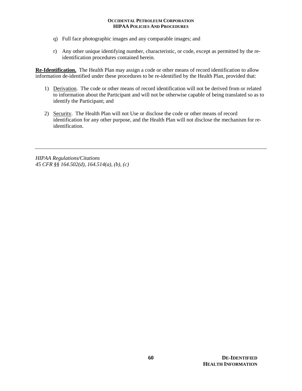- q) Full face photographic images and any comparable images; and
- r) Any other unique identifying number, characteristic, or code, except as permitted by the reidentification procedures contained herein.

**Re-Identification.** The Health Plan may assign a code or other means of record identification to allow information de-identified under these procedures to be re-identified by the Health Plan, provided that:

- 1) Derivation. The code or other means of record identification will not be derived from or related to information about the Participant and will not be otherwise capable of being translated so as to identify the Participant; and
- 2) Security. The Health Plan will not Use or disclose the code or other means of record identification for any other purpose, and the Health Plan will not disclose the mechanism for reidentification.

*HIPAA Regulations/Citations 45 CFR §§ 164.502(d), 164.514(a), (b), (c)*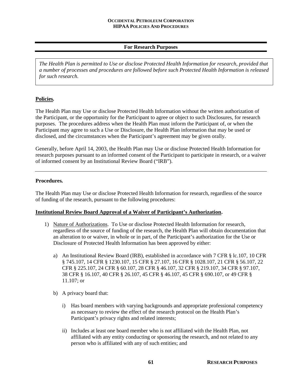# **For Research Purposes**

*The Health Plan is permitted to Use or disclose Protected Health Information for research, provided that a number of processes and procedures are followed before such Protected Health Information is released for such research.*

# **Policies***.*

The Health Plan may Use or disclose Protected Health Information without the written authorization of the Participant, or the opportunity for the Participant to agree or object to such Disclosures, for research purposes. The procedures address when the Health Plan must inform the Participant of, or when the Participant may agree to such a Use or Disclosure, the Health Plan information that may be used or disclosed, and the circumstances when the Participant's agreement may be given orally.

Generally, before April 14, 2003, the Health Plan may Use or disclose Protected Health Information for research purposes pursuant to an informed consent of the Participant to participate in research, or a waiver of informed consent by an Institutional Review Board ("IRB").

# **Procedures***.*

The Health Plan may Use or disclose Protected Health Information for research, regardless of the source of funding of the research, pursuant to the following procedures:

# **Institutional Review Board Approval of a Waiver of Participant's Authorization.**

- 1) Nature of Authorizations. To Use or disclose Protected Health Information for research, regardless of the source of funding of the research, the Health Plan will obtain documentation that an alteration to or waiver, in whole or in part, of the Participant's authorization for the Use or Disclosure of Protected Health Information has been approved by either:
	- a) An Institutional Review Board (IRB), established in accordance with 7 CFR § lc.107, 10 CFR § 745.107, 14 CFR § 1230.107, 15 CFR § 27.107, 16 CFR § 1028.107, 21 CFR § 56.107, 22 CFR § 225.107, 24 CFR § 60.107, 28 CFR § 46.107, 32 CFR § 219.107, 34 CFR § 97.107, 38 CFR § 16.107, 40 CFR § 26.107, 45 CFR § 46.107, 45 CFR § 690.107, or 49 CFR § 11.107; or
	- b) A privacy board that:
		- i) Has board members with varying backgrounds and appropriate professional competency as necessary to review the effect of the research protocol on the Health Plan's Participant's privacy rights and related interests;
		- ii) Includes at least one board member who is not affiliated with the Health Plan, not affiliated with any entity conducting or sponsoring the research, and not related to any person who is affiliated with any of such entities; and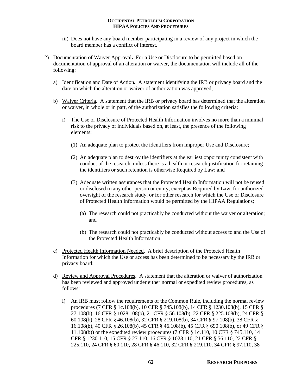- iii) Does not have any board member participating in a review of any project in which the board member has a conflict of interest.
- 2) Documentation of Waiver Approval**.** For a Use or Disclosure to be permitted based on documentation of approval of an alteration or waiver, the documentation will include all of the following:
	- a) Identification and Date of Action**.** A statement identifying the IRB or privacy board and the date on which the alteration or waiver of authorization was approved;
	- b) Waiver Criteria**.** A statement that the IRB or privacy board has determined that the alteration or waiver, in whole or in part, of the authorization satisfies the following criteria:
		- i) The Use or Disclosure of Protected Health Information involves no more than a minimal risk to the privacy of individuals based on, at least, the presence of the following elements:
			- (1) An adequate plan to protect the identifiers from improper Use and Disclosure;
			- (2) An adequate plan to destroy the identifiers at the earliest opportunity consistent with conduct of the research, unless there is a health or research justification for retaining the identifiers or such retention is otherwise Required by Law; and
			- (3) Adequate written assurances that the Protected Health Information will not be reused or disclosed to any other person or entity, except as Required by Law, for authorized oversight of the research study, or for other research for which the Use or Disclosure of Protected Health Information would be permitted by the HIPAA Regulations;
				- (a) The research could not practicably be conducted without the waiver or alteration; and
				- (b) The research could not practicably be conducted without access to and the Use of the Protected Health Information.
	- c) Protected Health Information Needed**.** A brief description of the Protected Health Information for which the Use or access has been determined to be necessary by the IRB or privacy board;
	- d) Review and Approval Procedures**.** A statement that the alteration or waiver of authorization has been reviewed and approved under either normal or expedited review procedures, as follows:
		- i) An IRB must follow the requirements of the Common Rule, including the normal review procedures (7 CFR § 1c.108(b), 10 CFR § 745.108(b), 14 CFR § 1230.108(b), 15 CFR § 27.108(b), 16 CFR § 1028.108(b), 21 CFR § 56.108(b), 22 CFR § 225.108(b), 24 CFR § 60.108(b), 28 CFR § 46.108(b), 32 CFR § 219.108(b), 34 CFR § 97.108(b), 38 CFR § 16.108(b), 40 CFR § 26.108(b), 45 CFR § 46.108(b), 45 CFR § 690.108(b), or 49 CFR § 11.108(b)) or the expedited review procedures (7 CFR § 1c.110, 10 CFR § 745.110, 14 CFR § 1230.110, 15 CFR § 27.110, 16 CFR § 1028.110, 21 CFR § 56.110, 22 CFR § 225.110, 24 CFR § 60.110, 28 CFR § 46.110, 32 CFR § 219.110, 34 CFR § 97.110, 38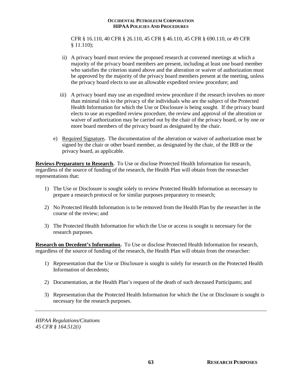CFR § 16.110, 40 CFR § 26.110, 45 CFR § 46.110, 45 CFR § 690.110, or 49 CFR § 11.110);

- ii) A privacy board must review the proposed research at convened meetings at which a majority of the privacy board members are present, including at least one board member who satisfies the criterion stated above and the alteration or waiver of authorization must be approved by the majority of the privacy board members present at the meeting, unless the privacy board elects to use an allowable expedited review procedure; and
- iii) A privacy board may use an expedited review procedure if the research involves no more than minimal risk to the privacy of the individuals who are the subject of the Protected Health Information for which the Use or Disclosure is being sought. If the privacy board elects to use an expedited review procedure, the review and approval of the alteration or waiver of authorization may be carried out by the chair of the privacy board, or by one or more board members of the privacy board as designated by the chair.
- e) Required Signature**.** The documentation of the alteration or waiver of authorization must be signed by the chair or other board member, as designated by the chair, of the IRB or the privacy board, as applicable.

**Reviews Preparatory to Research.** To Use or disclose Protected Health Information for research, regardless of the source of funding of the research, the Health Plan will obtain from the researcher representations that:

- 1) The Use or Disclosure is sought solely to review Protected Health Information as necessary to prepare a research protocol or for similar purposes preparatory to research;
- 2) No Protected Health Information is to be removed from the Health Plan by the researcher in the course of the review; and
- 3) The Protected Health Information for which the Use or access is sought is necessary for the research purposes.

**Research on Decedent's Information.** To Use or disclose Protected Health Information for research, regardless of the source of funding of the research, the Health Plan will obtain from the researcher:

- 1) Representation that the Use or Disclosure is sought is solely for research on the Protected Health Information of decedents;
- 2) Documentation, at the Health Plan's request of the death of such deceased Participants; and
- 3) Representation that the Protected Health Information for which the Use or Disclosure is sought is necessary for the research purposes.

*HIPAA Regulations/Citations 45 CFR § 164.512(i)*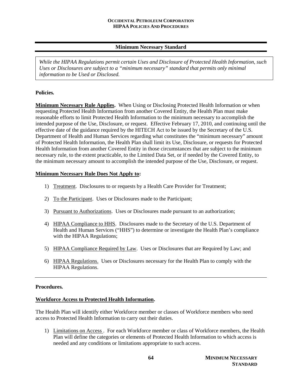# **Minimum Necessary Standard**

*While the HIPAA Regulations permit certain Uses and Disclosure of Protected Health Information, such Uses or Disclosures are subject to a "minimum necessary" standard that permits only minimal information to be Used or Disclosed.*

# **Policies***.*

**Minimum Necessary Rule Applies.** When Using or Disclosing Protected Health Information or when requesting Protected Health Information from another Covered Entity, the Health Plan must make reasonable efforts to limit Protected Health Information to the minimum necessary to accomplish the intended purpose of the Use, Disclosure, or request. Effective February 17, 2010, and continuing until the effective date of the guidance required by the HITECH Act to be issued by the Secretary of the U.S. Department of Health and Human Services regarding what constitutes the "minimum necessary" amount of Protected Health Information, the Health Plan shall limit its Use, Disclosure, or requests for Protected Health Information from another Covered Entity in those circumstances that are subject to the minimum necessary rule, to the extent practicable, to the Limited Data Set, or if needed by the Covered Entity, to the minimum necessary amount to accomplish the intended purpose of the Use, Disclosure, or request.

# **Minimum Necessary Rule Does Not Apply to:**

- 1) Treatment. Disclosures to or requests by a Health Care Provider for Treatment;
- 2) To the Participant. Uses or Disclosures made to the Participant;
- 3) Pursuant to Authorizations. Uses or Disclosures made pursuant to an authorization;
- 4) HIPAA Compliance to HHS. Disclosures made to the Secretary of the U.S. Department of Health and Human Services ("HHS") to determine or investigate the Health Plan's compliance with the HIPAA Regulations;
- 5) HIPAA Compliance Required by Law. Uses or Disclosures that are Required by Law; and
- 6) HIPAA Regulations. Uses or Disclosures necessary for the Health Plan to comply with the HIPAA Regulations.

# **Procedures***.*

# **Workforce Access to Protected Health Information.**

The Health Plan will identify either Workforce member or classes of Workforce members who need access to Protected Health Information to carry out their duties.

1) Limitations on Access . For each Workforce member or class of Workforce members, the Health Plan will define the categories or elements of Protected Health Information to which access is needed and any conditions or limitations appropriate to such access.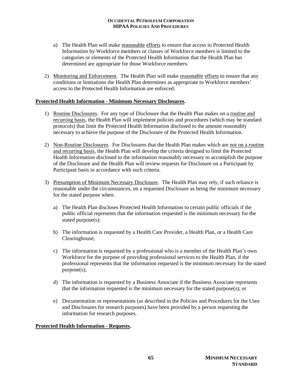- a) The Health Plan will make reasonable efforts to ensure that access to Protected Health Information by Workforce members or classes of Workforce members is limited to the categories or elements of the Protected Health Information that the Health Plan has determined are appropriate for those Workforce members.
- 2) Monitoring and Enforcement. The Health Plan will make reasonable efforts to ensure that any conditions or limitations the Health Plan determines as appropriate to Workforce members' access to the Protected Health Information are enforced.

# **Protected Health Information - Minimum Necessary Disclosures.**

- 1) Routine Disclosures. For any type of Disclosure that the Health Plan makes on a routine and recurring basis, the Health Plan will implement policies and procedures (which may be standard protocols) that limit the Protected Health Information disclosed to the amount reasonably necessary to achieve the purpose of the Disclosure of the Protected Health Information.
- 2) Non-Routine Disclosures. For Disclosures that the Health Plan makes which are not on a routine and recurring basis, the Health Plan will develop the criteria designed to limit the Protected Health Information disclosed to the information reasonably necessary to accomplish the purpose of the Disclosure and the Health Plan will review requests for Disclosure on a Participant by Participant basis in accordance with such criteria.
- 3) Presumption of Minimum Necessary Disclosure. The Health Plan may rely, if such reliance is reasonable under the circumstances, on a requested Disclosure as being the minimum necessary for the stated purpose when:
	- a) The Health Plan discloses Protected Health Information to certain public officials if the public official represents that the information requested is the minimum necessary for the stated purpose(s);
	- b) The information is requested by a Health Care Provider, a Health Plan, or a Health Care Clearinghouse;
	- c) The information is requested by a professional who is a member of the Health Plan's own Workforce for the purpose of providing professional services to the Health Plan, if the professional represents that the information requested is the minimum necessary for the stated purpose(s);
	- d) The information is requested by a Business Associate if the Business Associate represents that the information requested is the minimum necessary for the stated purpose(s); or
	- e) Documentation or representations (as described in the Policies and Procedures for the Uses and Disclosures for research purposes) have been provided by a person requesting the information for research purposes.

# **Protected Health Information - Requests.**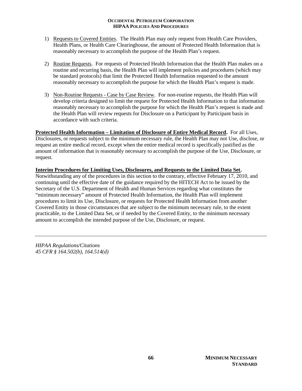- 1) Requests to Covered Entities. The Health Plan may only request from Health Care Providers, Health Plans, or Health Care Clearinghouse, the amount of Protected Health Information that is reasonably necessary to accomplish the purpose of the Health Plan's request.
- 2) Routine Requests. For requests of Protected Health Information that the Health Plan makes on a routine and recurring basis, the Health Plan will implement policies and procedures (which may be standard protocols) that limit the Protected Health Information requested to the amount reasonably necessary to accomplish the purpose for which the Health Plan's request is made.
- 3) Non-Routine Requests Case by Case Review. For non-routine requests, the Health Plan will develop criteria designed to limit the request for Protected Health Information to that information reasonably necessary to accomplish the purpose for which the Health Plan's request is made and the Health Plan will review requests for Disclosure on a Participant by Participant basis in accordance with such criteria.

**Protected Health Information – Limitation of Disclosure of Entire Medical Record.** For all Uses, Disclosures, or requests subject to the minimum necessary rule, the Health Plan may not Use, disclose, or request an entire medical record, except when the entire medical record is specifically justified as the amount of information that is reasonably necessary to accomplish the purpose of the Use, Disclosure, or request.

# **Interim Procedures for Limiting Uses, Disclosures, and Requests to the Limited Data Set.** Notwithstanding any of the procedures in this section to the contrary, effective February 17, 2010, and continuing until the effective date of the guidance required by the HITECH Act to be issued by the Secretary of the U.S. Department of Health and Human Services regarding what constitutes the "minimum necessary" amount of Protected Health Information, the Health Plan will implement procedures to limit its Use, Disclosure, or requests for Protected Health Information from another Covered Entity in those circumstances that are subject to the minimum necessary rule, to the extent practicable, to the Limited Data Set, or if needed by the Covered Entity, to the minimum necessary amount to accomplish the intended purpose of the Use, Disclosure, or request.

*HIPAA Regulations/Citations 45 CFR § 164.502(b), 164.514(d)*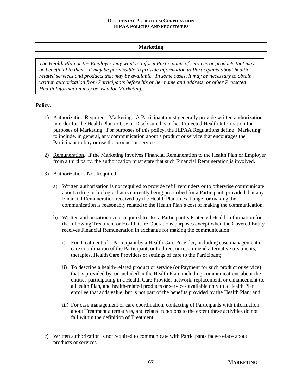# **Marketing**

*The Health Plan or the Employer may want to inform Participants of services or products that may be beneficial to them. It may be permissible to provide information to Participants about healthrelated services and products that may be available. In some cases, it may be necessary to obtain written authorization from Participants before his or her name and address, or other Protected Health Information may be used for Marketing.*

# **Policy.**

- 1) Authorization Required Marketing. A Participant must generally provide written authorization in order for the Health Plan to Use or Disclosure his or her Protected Health Information for purposes of Marketing. For purposes of this policy, the HIPAA Regulations define "Marketing" to include, in general, any communication about a product or service that encourages the Participant to buy or use the product or service.
- 2) Remuneration. If the Marketing involves Financial Remuneration to the Health Plan or Employer from a third party, the authorization must state that such Financial Remuneration is involved.

### 3) Authorizations Not Required.

- a) Written authorization is not required to provide refill reminders or to otherwise communicate about a drug or biologic that is currently being prescribed for a Participant, provided that any Financial Remuneration received by the Health Plan in exchange for making the communication is reasonably related to the Health Plan's cost of making the communication.
- b) Written authorization is not required to Use a Participant's Protected Health Information for the following Treatment or Health Care Operations purposes except when the Covered Entity receives Financial Remuneration in exchange for making the communication:
	- i) For Treatment of a Participant by a Health Care Provider, including case management or care coordination of the Participant, or to direct or recommend alternative treatments, therapies, Health Care Providers or settings of care to the Participant;
	- ii) To describe a health-related product or service (or Payment for such product or service) that is provided by, or included in the Health Plan, including communications about the entities participating in a Health Care Provider network, replacement, or enhancement to, a Health Plan, and health-related products or services available only to a Health Plan enrollee that adds value, but is not part of the benefits provided by the Health Plan; and
	- iii) For case management or care coordination, contacting of Participants with information about Treatment alternatives, and related functions to the extent these activities do not fall within the definition of Treatment.
- c) Written authorization is not required to communicate with Participants face-to-face about products or services.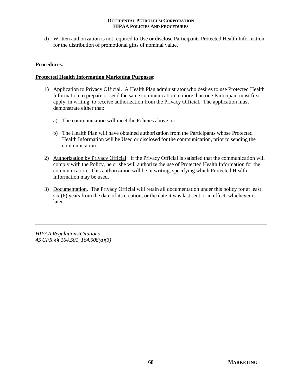d) Written authorization is not required to Use or disclose Participants Protected Health Information for the distribution of promotional gifts of nominal value.

### **Procedures***.*

### **Protected Health Information Marketing Purposes:**

- 1) Application to Privacy Official. A Health Plan administrator who desires to use Protected Health Information to prepare or send the same communication to more than one Participant must first apply, in writing, to receive authorization from the Privacy Official. The application must demonstrate either that:
	- a) The communication will meet the Policies above, or
	- b) The Health Plan will have obtained authorization from the Participants whose Protected Health Information will be Used or disclosed for the communication, prior to sending the communication.
- 2) Authorization by Privacy Official. If the Privacy Official is satisfied that the communication will comply with the Policy, he or she will authorize the use of Protected Health Information for the communication. This authorization will be in writing, specifying which Protected Health Information may be used.
- 3) Documentation. The Privacy Official will retain all documentation under this policy for at least six (6) years from the date of its creation, or the date it was last sent or in effect, whichever is later.

*HIPAA Regulations/Citations 45 CFR §§ 164.501, 164.508(a)(3)*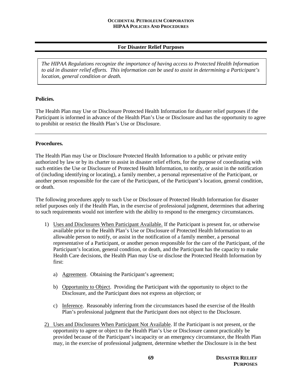# **For Disaster Relief Purposes**

*The HIPAA Regulations recognize the importance of having access to Protected Health Information to aid in disaster relief efforts. This information can be used to assist in determining a Participant's location, general condition or death.*

# **Policies***.*

The Health Plan may Use or Disclosure Protected Health Information for disaster relief purposes if the Participant is informed in advance of the Health Plan's Use or Disclosure and has the opportunity to agree to prohibit or restrict the Health Plan's Use or Disclosure.

# **Procedures***.*

The Health Plan may Use or Disclosure Protected Health Information to a public or private entity authorized by law or by its charter to assist in disaster relief efforts, for the purpose of coordinating with such entities the Use or Disclosure of Protected Health Information, to notify, or assist in the notification of (including identifying or locating), a family member, a personal representative of the Participant, or another person responsible for the care of the Participant, of the Participant's location, general condition, or death.

The following procedures apply to such Use or Disclosure of Protected Health Information for disaster relief purposes only if the Health Plan, in the exercise of professional judgment, determines that adhering to such requirements would not interfere with the ability to respond to the emergency circumstances.

- 1) Uses and Disclosures When Participant Available. If the Participant is present for, or otherwise available prior to the Health Plan's Use or Disclosure of Protected Health Information to an allowable person to notify, or assist in the notification of a family member, a personal representative of a Participant, or another person responsible for the care of the Participant, of the Participant's location, general condition, or death, and the Participant has the capacity to make Health Care decisions, the Health Plan may Use or disclose the Protected Health Information by first:
	- a) Agreement. Obtaining the Participant's agreement;
	- b) Opportunity to Object. Providing the Participant with the opportunity to object to the Disclosure, and the Participant does not express an objection; or
	- c) Inference. Reasonably inferring from the circumstances based the exercise of the Health Plan's professional judgment that the Participant does not object to the Disclosure.
- 2) Uses and Disclosures When Participant Not Available. If the Participant is not present, or the opportunity to agree or object to the Health Plan's Use or Disclosure cannot practicably be provided because of the Participant's incapacity or an emergency circumstance, the Health Plan may, in the exercise of professional judgment, determine whether the Disclosure is in the best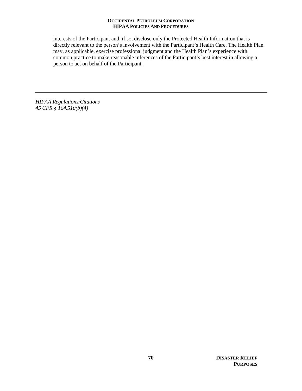interests of the Participant and, if so, disclose only the Protected Health Information that is directly relevant to the person's involvement with the Participant's Health Care. The Health Plan may, as applicable, exercise professional judgment and the Health Plan's experience with common practice to make reasonable inferences of the Participant's best interest in allowing a person to act on behalf of the Participant.

*HIPAA Regulations/Citations 45 CFR § 164.510(b)(4)*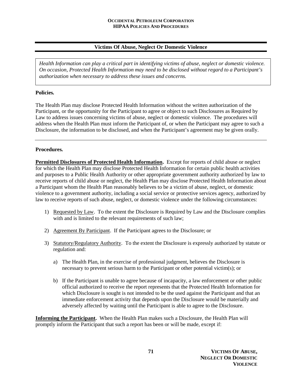# **Victims Of Abuse, Neglect Or Domestic Violence**

*Health Information can play a critical part in identifying victims of abuse, neglect or domestic violence. On occasion, Protected Health Information may need to be disclosed without regard to a Participant's authorization when necessary to address these issues and concerns.*

## **Policies***.*

The Health Plan may disclose Protected Health Information without the written authorization of the Participant, or the opportunity for the Participant to agree or object to such Disclosures as Required by Law to address issues concerning victims of abuse, neglect or domestic violence. The procedures will address when the Health Plan must inform the Participant of, or when the Participant may agree to such a Disclosure, the information to be disclosed, and when the Participant's agreement may be given orally.

## **Procedures***.*

**Permitted Disclosures of Protected Health Information.** Except for reports of child abuse or neglect for which the Health Plan may disclose Protected Health Information for certain public health activities and purposes to a Public Health Authority or other appropriate government authority authorized by law to receive reports of child abuse or neglect, the Health Plan may disclose Protected Health Information about a Participant whom the Health Plan reasonably believes to be a victim of abuse, neglect, or domestic violence to a government authority, including a social service or protective services agency, authorized by law to receive reports of such abuse, neglect, or domestic violence under the following circumstances:

- 1) Requested by Law. To the extent the Disclosure is Required by Law and the Disclosure complies with and is limited to the relevant requirements of such law;
- 2) Agreement By Participant. If the Participant agrees to the Disclosure; or
- 3) Statutory/Regulatory Authority. To the extent the Disclosure is expressly authorized by statute or regulation and:
	- a) The Health Plan, in the exercise of professional judgment, believes the Disclosure is necessary to prevent serious harm to the Participant or other potential victim(s); or
	- b) If the Participant is unable to agree because of incapacity, a law enforcement or other public official authorized to receive the report represents that the Protected Health Information for which Disclosure is sought is not intended to be the used against the Participant and that an immediate enforcement activity that depends upon the Disclosure would be materially and adversely affected by waiting until the Participant is able to agree to the Disclosure.

**Informing the Participant.** When the Health Plan makes such a Disclosure, the Health Plan will promptly inform the Participant that such a report has been or will be made, except if: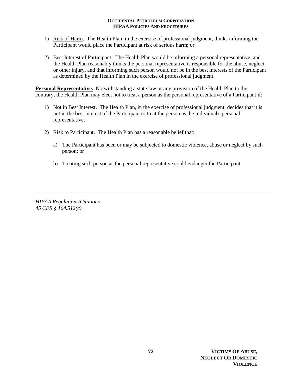- 1) Risk of Harm. The Health Plan, in the exercise of professional judgment, thinks informing the Participant would place the Participant at risk of serious harm; or
- 2) Best Interest of Participant. The Health Plan would be informing a personal representative, and the Health Plan reasonably thinks the personal representative is responsible for the abuse, neglect, or other injury, and that informing such person would not be in the best interests of the Participant as determined by the Health Plan in the exercise of professional judgment.

**Personal Representative.** Notwithstanding a state law or any provision of the Health Plan to the contrary, the Health Plan may elect not to treat a person as the personal representative of a Participant if:

- 1) Not in Best Interest. The Health Plan, in the exercise of professional judgment, decides that it is not in the best interest of the Participant to treat the person as the individual's personal representative.
- 2) Risk to Participant. The Health Plan has a reasonable belief that:
	- a) The Participant has been or may be subjected to domestic violence, abuse or neglect by such person; or
	- b) Treating such person as the personal representative could endanger the Participant.

*HIPAA Regulations/Citations 45 CFR § 164.512(c)*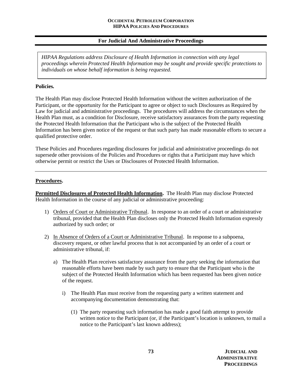# **For Judicial And Administrative Proceedings**

*HIPAA Regulations address Disclosure of Health Information in connection with any legal proceedings wherein Protected Health Information may be sought and provide specific protections to individuals on whose behalf information is being requested.*

## **Policies***.*

The Health Plan may disclose Protected Health Information without the written authorization of the Participant, or the opportunity for the Participant to agree or object to such Disclosures as Required by Law for judicial and administrative proceedings. The procedures will address the circumstances when the Health Plan must, as a condition for Disclosure, receive satisfactory assurances from the party requesting the Protected Health Information that the Participant who is the subject of the Protected Health Information has been given notice of the request or that such party has made reasonable efforts to secure a qualified protective order.

These Policies and Procedures regarding disclosures for judicial and administrative proceedings do not supersede other provisions of the Policies and Procedures or rights that a Participant may have which otherwise permit or restrict the Uses or Disclosures of Protected Health Information.

## **Procedures.**

**Permitted Disclosures of Protected Health Information.** The Health Plan may disclose Protected Health Information in the course of any judicial or administrative proceeding:

- 1) Orders of Court or Administrative Tribunal. In response to an order of a court or administrative tribunal, provided that the Health Plan discloses only the Protected Health Information expressly authorized by such order; or
- 2) In Absence of Orders of a Court or Administrative Tribunal. In response to a subpoena, discovery request, or other lawful process that is not accompanied by an order of a court or administrative tribunal, if:
	- a) The Health Plan receives satisfactory assurance from the party seeking the information that reasonable efforts have been made by such party to ensure that the Participant who is the subject of the Protected Health Information which has been requested has been given notice of the request.
		- i) The Health Plan must receive from the requesting party a written statement and accompanying documentation demonstrating that:
			- (1) The party requesting such information has made a good faith attempt to provide written notice to the Participant (or, if the Participant's location is unknown, to mail a notice to the Participant's last known address);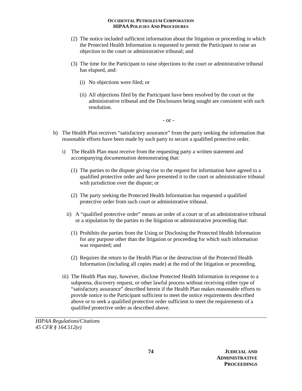- (2) The notice included sufficient information about the litigation or proceeding in which the Protected Health Information is requested to permit the Participant to raise an objection to the court or administrative tribunal; and
- (3) The time for the Participant to raise objections to the court or administrative tribunal has elapsed, and:
	- (i) No objections were filed; or
	- (ii) All objections filed by the Participant have been resolved by the court or the administrative tribunal and the Disclosures being sought are consistent with such resolution.

- or -

- b) The Health Plan receives "satisfactory assurance" from the party seeking the information that reasonable efforts have been made by such party to secure a qualified protective order.
	- i) The Health Plan must receive from the requesting party a written statement and accompanying documentation demonstrating that:
		- (1) The parties to the dispute giving rise to the request for information have agreed to a qualified protective order and have presented it to the court or administrative tribunal with jurisdiction over the dispute; or
		- (2) The party seeking the Protected Health Information has requested a qualified protective order from such court or administrative tribunal.
		- ii) A "qualified protective order" means an order of a court or of an administrative tribunal or a stipulation by the parties to the litigation or administrative proceeding that:
			- (1) Prohibits the parties from the Using or Disclosing the Protected Health Information for any purpose other than the litigation or proceeding for which such information was requested; and
			- (2) Requires the return to the Health Plan or the destruction of the Protected Health Information (including all copies made) at the end of the litigation or proceeding.
	- iii) The Health Plan may, however, disclose Protected Health Information in response to a subpoena, discovery request, or other lawful process without receiving either type of "satisfactory assurance" described herein if the Health Plan makes reasonable efforts to provide notice to the Participant sufficient to meet the notice requirements described above or to seek a qualified protective order sufficient to meet the requirements of a qualified protective order as described above.

*HIPAA Regulations/Citations 45 CFR § 164.512(e)*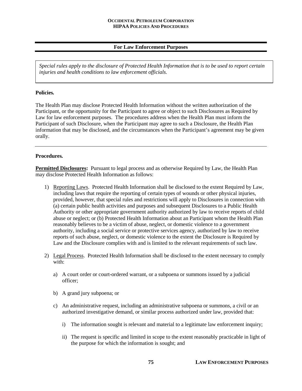## **For Law Enforcement Purposes**

*Special rules apply to the disclosure of Protected Health Information that is to be used to report certain injuries and health conditions to law enforcement officials.*

## **Policies***.*

The Health Plan may disclose Protected Health Information without the written authorization of the Participant, or the opportunity for the Participant to agree or object to such Disclosures as Required by Law for law enforcement purposes. The procedures address when the Health Plan must inform the Participant of such Disclosure, when the Participant may agree to such a Disclosure, the Health Plan information that may be disclosed, and the circumstances when the Participant's agreement may be given orally.

## **Procedures***.*

**Permitted Disclosures:** Pursuant to legal process and as otherwise Required by Law, the Health Plan may disclose Protected Health Information as follows:

- 1) Reporting Laws. Protected Health Information shall be disclosed to the extent Required by Law, including laws that require the reporting of certain types of wounds or other physical injuries, provided, however, that special rules and restrictions will apply to Disclosures in connection with (a) certain public health activities and purposes and subsequent Disclosures to a Public Health Authority or other appropriate government authority authorized by law to receive reports of child abuse or neglect; or (b) Protected Health Information about an Participant whom the Health Plan reasonably believes to be a victim of abuse, neglect, or domestic violence to a government authority, including a social service or protective services agency, authorized by law to receive reports of such abuse, neglect, or domestic violence to the extent the Disclosure is Required by Law and the Disclosure complies with and is limited to the relevant requirements of such law.
- 2) Legal Process. Protected Health Information shall be disclosed to the extent necessary to comply with:
	- a) A court order or court-ordered warrant, or a subpoena or summons issued by a judicial officer;
	- b) A grand jury subpoena; or
	- c) An administrative request, including an administrative subpoena or summons, a civil or an authorized investigative demand, or similar process authorized under law, provided that:
		- i) The information sought is relevant and material to a legitimate law enforcement inquiry;
		- ii) The request is specific and limited in scope to the extent reasonably practicable in light of the purpose for which the information is sought; and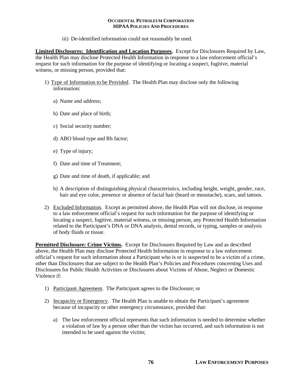iii) De-identified information could not reasonably be used.

**Limited Disclosures: Identification and Location Purposes.** Except for Disclosures Required by Law, the Health Plan may disclose Protected Health Information in response to a law enforcement official's request for such information for the purpose of identifying or locating a suspect, fugitive, material witness, or missing person, provided that:

- 1) Type of Information to be Provided. The Health Plan may disclose only the following information:
	- a) Name and address;
	- b) Date and place of birth;
	- c) Social security number;
	- d) ABO blood type and Rh factor;
	- e) Type of injury;
	- f) Date and time of Treatment;
	- g) Date and time of death, if applicable; and
	- h) A description of distinguishing physical characteristics, including height, weight, gender, race, hair and eye color, presence or absence of facial hair (beard or moustache), scars, and tattoos.
- 2) Excluded Information. Except as permitted above, the Health Plan will not disclose, in response to a law enforcement official's request for such information for the purpose of identifying or locating a suspect, fugitive, material witness, or missing person, any Protected Health Information related to the Participant's DNA or DNA analysis, dental records, or typing, samples or analysis of body fluids or tissue.

**Permitted Disclosure: Crime Victims.** Except for Disclosures Required by Law and as described above, the Health Plan may disclose Protected Health Information in response to a law enforcement official's request for such information about a Participant who is or is suspected to be a victim of a crime, other than Disclosures that are subject to the Health Plan's Policies and Procedures concerning Uses and Disclosures for Public Health Activities or Disclosures about Victims of Abuse, Neglect or Domestic Violence if:

- 1) Participant Agreement. The Participant agrees to the Disclosure; or
- 2) Incapacity or Emergency. The Health Plan is unable to obtain the Participant's agreement because of incapacity or other emergency circumstance, provided that:
	- a) The law enforcement official represents that such information is needed to determine whether a violation of law by a person other than the victim has occurred, and such information is not intended to be used against the victim;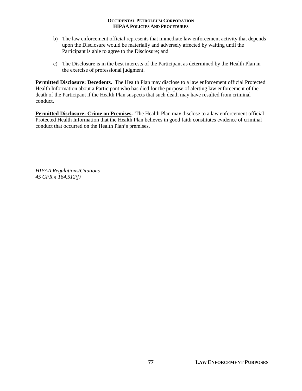- b) The law enforcement official represents that immediate law enforcement activity that depends upon the Disclosure would be materially and adversely affected by waiting until the Participant is able to agree to the Disclosure; and
- c) The Disclosure is in the best interests of the Participant as determined by the Health Plan in the exercise of professional judgment.

**Permitted Disclosure: Decedents.** The Health Plan may disclose to a law enforcement official Protected Health Information about a Participant who has died for the purpose of alerting law enforcement of the death of the Participant if the Health Plan suspects that such death may have resulted from criminal conduct.

**Permitted Disclosure: Crime on Premises.** The Health Plan may disclose to a law enforcement official Protected Health Information that the Health Plan believes in good faith constitutes evidence of criminal conduct that occurred on the Health Plan's premises.

*HIPAA Regulations/Citations 45 CFR § 164.512(f)*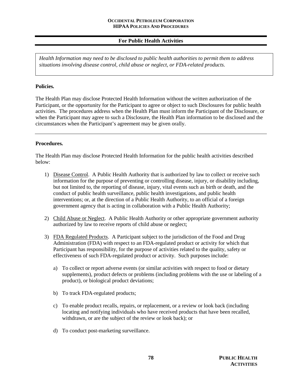# **For Public Health Activities**

*Health Information may need to be disclosed to public health authorities to permit them to address situations involving disease control, child abuse or neglect, or FDA-related products.*

#### **Policies***.*

The Health Plan may disclose Protected Health Information without the written authorization of the Participant, or the opportunity for the Participant to agree or object to such Disclosures for public health activities. The procedures address when the Health Plan must inform the Participant of the Disclosure, or when the Participant may agree to such a Disclosure, the Health Plan information to be disclosed and the circumstances when the Participant's agreement may be given orally.

## **Procedures***.*

The Health Plan may disclose Protected Health Information for the public health activities described below:

- 1) Disease Control. A Public Health Authority that is authorized by law to collect or receive such information for the purpose of preventing or controlling disease, injury, or disability including, but not limited to, the reporting of disease, injury, vital events such as birth or death, and the conduct of public health surveillance, public health investigations, and public health interventions; or, at the direction of a Public Health Authority, to an official of a foreign government agency that is acting in collaboration with a Public Health Authority;
- 2) Child Abuse or Neglect. A Public Health Authority or other appropriate government authority authorized by law to receive reports of child abuse or neglect;
- 3) FDA Regulated Products. A Participant subject to the jurisdiction of the Food and Drug Administration (FDA) with respect to an FDA-regulated product or activity for which that Participant has responsibility, for the purpose of activities related to the quality, safety or effectiveness of such FDA-regulated product or activity. Such purposes include:
	- a) To collect or report adverse events (or similar activities with respect to food or dietary supplements), product defects or problems (including problems with the use or labeling of a product), or biological product deviations;
	- b) To track FDA-regulated products;
	- c) To enable product recalls, repairs, or replacement, or a review or look back (including locating and notifying individuals who have received products that have been recalled, withdrawn, or are the subject of the review or look back); or
	- d) To conduct post-marketing surveillance.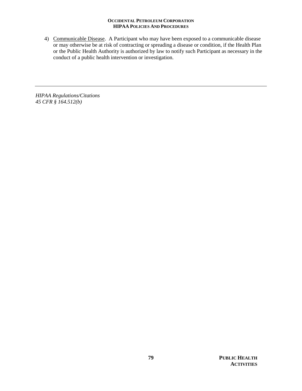4) Communicable Disease. A Participant who may have been exposed to a communicable disease or may otherwise be at risk of contracting or spreading a disease or condition, if the Health Plan or the Public Health Authority is authorized by law to notify such Participant as necessary in the conduct of a public health intervention or investigation.

*HIPAA Regulations/Citations 45 CFR § 164.512(b)*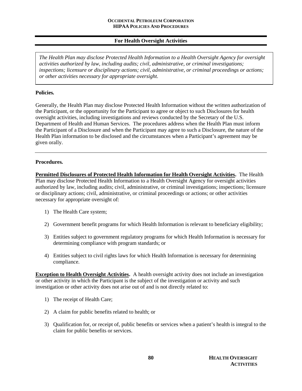# **For Health Oversight Activities**

*The Health Plan may disclose Protected Health Information to a Health Oversight Agency for oversight activities authorized by law, including audits; civil, administrative, or criminal investigations; inspections; licensure or disciplinary actions; civil, administrative, or criminal proceedings or actions; or other activities necessary for appropriate oversight.*

## **Policies***.*

Generally, the Health Plan may disclose Protected Health Information without the written authorization of the Participant, or the opportunity for the Participant to agree or object to such Disclosures for health oversight activities, including investigations and reviews conducted by the Secretary of the U.S. Department of Health and Human Services. The procedures address when the Health Plan must inform the Participant of a Disclosure and when the Participant may agree to such a Disclosure, the nature of the Health Plan information to be disclosed and the circumstances when a Participant's agreement may be given orally.

## **Procedures***.*

**Permitted Disclosures of Protected Health Information for Health Oversight Activities.** The Health Plan may disclose Protected Health Information to a Health Oversight Agency for oversight activities authorized by law, including audits; civil, administrative, or criminal investigations; inspections; licensure or disciplinary actions; civil, administrative, or criminal proceedings or actions; or other activities necessary for appropriate oversight of:

- 1) The Health Care system;
- 2) Government benefit programs for which Health Information is relevant to beneficiary eligibility;
- 3) Entities subject to government regulatory programs for which Health Information is necessary for determining compliance with program standards; or
- 4) Entities subject to civil rights laws for which Health Information is necessary for determining compliance.

**Exception to Health Oversight Activities.** A health oversight activity does not include an investigation or other activity in which the Participant is the subject of the investigation or activity and such investigation or other activity does not arise out of and is not directly related to:

- 1) The receipt of Health Care;
- 2) A claim for public benefits related to health; or
- 3) Qualification for, or receipt of, public benefits or services when a patient's health is integral to the claim for public benefits or services.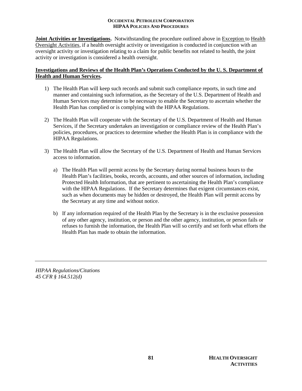**Joint Activities or Investigations.** Notwithstanding the procedure outlined above in Exception to Health Oversight Activities, if a health oversight activity or investigation is conducted in conjunction with an oversight activity or investigation relating to a claim for public benefits not related to health, the joint activity or investigation is considered a health oversight.

# **Investigations and Reviews of the Health Plan's Operations Conducted by the U. S. Department of Health and Human Services.**

- 1) The Health Plan will keep such records and submit such compliance reports, in such time and manner and containing such information, as the Secretary of the U.S. Department of Health and Human Services may determine to be necessary to enable the Secretary to ascertain whether the Health Plan has complied or is complying with the HIPAA Regulations.
- 2) The Health Plan will cooperate with the Secretary of the U.S. Department of Health and Human Services, if the Secretary undertakes an investigation or compliance review of the Health Plan's policies, procedures, or practices to determine whether the Health Plan is in compliance with the HIPAA Regulations.
- 3) The Health Plan will allow the Secretary of the U.S. Department of Health and Human Services access to information.
	- a) The Health Plan will permit access by the Secretary during normal business hours to the Health Plan's facilities, books, records, accounts, and other sources of information, including Protected Health Information, that are pertinent to ascertaining the Health Plan's compliance with the HIPAA Regulations. If the Secretary determines that exigent circumstances exist, such as when documents may be hidden or destroyed, the Health Plan will permit access by the Secretary at any time and without notice.
	- b) If any information required of the Health Plan by the Secretary is in the exclusive possession of any other agency, institution, or person and the other agency, institution, or person fails or refuses to furnish the information, the Health Plan will so certify and set forth what efforts the Health Plan has made to obtain the information.

*HIPAA Regulations/Citations 45 CFR § 164.512(d)*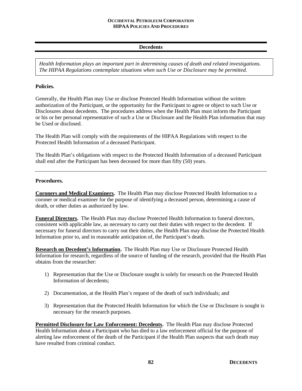# **Decedents**

*Health Information plays an important part in determining causes of death and related investigations. The HIPAA Regulations contemplate situations when such Use or Disclosure may be permitted.*

## **Policies***.*

Generally, the Health Plan may Use or disclose Protected Health Information without the written authorization of the Participant, or the opportunity for the Participant to agree or object to such Use or Disclosures about decedents. The procedures address when the Health Plan must inform the Participant or his or her personal representative of such a Use or Disclosure and the Health Plan information that may be Used or disclosed.

The Health Plan will comply with the requirements of the HIPAA Regulations with respect to the Protected Health Information of a deceased Participant.

The Health Plan's obligations with respect to the Protected Health Information of a deceased Participant shall end after the Participant has been deceased for more than fifty (50) years.

## **Procedures***.*

**Coroners and Medical Examiners.** The Health Plan may disclose Protected Health Information to a coroner or medical examiner for the purpose of identifying a deceased person, determining a cause of death, or other duties as authorized by law.

**Funeral Directors.** The Health Plan may disclose Protected Health Information to funeral directors, consistent with applicable law, as necessary to carry out their duties with respect to the decedent. If necessary for funeral directors to carry out their duties, the Health Plan may disclose the Protected Health Information prior to, and in reasonable anticipation of, the Participant's death.

**Research on Decedent's Information.** The Health Plan may Use or Disclosure Protected Health Information for research, regardless of the source of funding of the research, provided that the Health Plan obtains from the researcher:

- 1) Representation that the Use or Disclosure sought is solely for research on the Protected Health Information of decedents;
- 2) Documentation, at the Health Plan's request of the death of such individuals; and
- 3) Representation that the Protected Health Information for which the Use or Disclosure is sought is necessary for the research purposes.

**Permitted Disclosure for Law Enforcement: Decedents.** The Health Plan may disclose Protected Health Information about a Participant who has died to a law enforcement official for the purpose of alerting law enforcement of the death of the Participant if the Health Plan suspects that such death may have resulted from criminal conduct.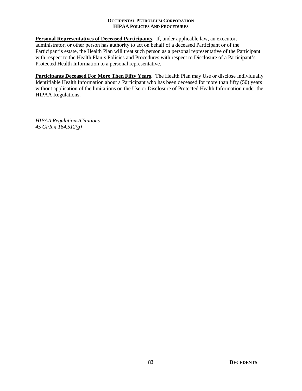**Personal Representatives of Deceased Participants.** If, under applicable law, an executor, administrator, or other person has authority to act on behalf of a deceased Participant or of the Participant's estate, the Health Plan will treat such person as a personal representative of the Participant with respect to the Health Plan's Policies and Procedures with respect to Disclosure of a Participant's Protected Health Information to a personal representative.

**Participants Deceased For More Then Fifty Years.** The Health Plan may Use or disclose Individually Identifiable Health Information about a Participant who has been deceased for more than fifty (50) years without application of the limitations on the Use or Disclosure of Protected Health Information under the HIPAA Regulations.

*HIPAA Regulations/Citations 45 CFR § 164.512(g)*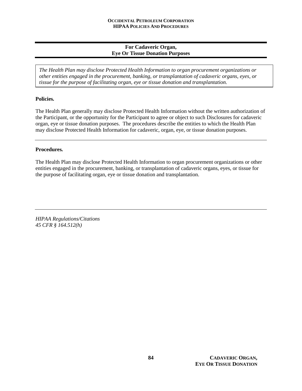# **For Cadaveric Organ, Eye Or Tissue Donation Purposes**

*The Health Plan may disclose Protected Health Information to organ procurement organizations or other entities engaged in the procurement, banking, or transplantation of cadaveric organs, eyes, or tissue for the purpose of facilitating organ, eye or tissue donation and transplantation.*

## **Policies***.*

The Health Plan generally may disclose Protected Health Information without the written authorization of the Participant, or the opportunity for the Participant to agree or object to such Disclosures for cadaveric organ, eye or tissue donation purposes. The procedures describe the entities to which the Health Plan may disclose Protected Health Information for cadaveric, organ, eye, or tissue donation purposes.

# **Procedures***.*

The Health Plan may disclose Protected Health Information to organ procurement organizations or other entities engaged in the procurement, banking, or transplantation of cadaveric organs, eyes, or tissue for the purpose of facilitating organ, eye or tissue donation and transplantation.

*HIPAA Regulations/Citations 45 CFR § 164.512(h)*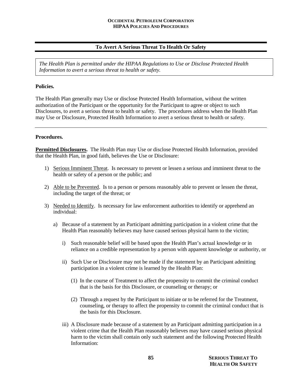# **To Avert A Serious Threat To Health Or Safety**

*The Health Plan is permitted under the HIPAA Regulations to Use or Disclose Protected Health Information to avert a serious threat to health or safety.*

#### **Policies***.*

The Health Plan generally may Use or disclose Protected Health Information, without the written authorization of the Participant or the opportunity for the Participant to agree or object to such Disclosures, to avert a serious threat to health or safety. The procedures address when the Health Plan may Use or Disclosure, Protected Health Information to avert a serious threat to health or safety.

## **Procedures***.*

**Permitted Disclosures.** The Health Plan may Use or disclose Protected Health Information, provided that the Health Plan, in good faith, believes the Use or Disclosure:

- 1) Serious Imminent Threat. Is necessary to prevent or lessen a serious and imminent threat to the health or safety of a person or the public; and
- 2) Able to be Prevented. Is to a person or persons reasonably able to prevent or lessen the threat, including the target of the threat; or
- 3) Needed to Identify. Is necessary for law enforcement authorities to identify or apprehend an individual:
	- a) Because of a statement by an Participant admitting participation in a violent crime that the Health Plan reasonably believes may have caused serious physical harm to the victim;
		- i) Such reasonable belief will be based upon the Health Plan's actual knowledge or in reliance on a credible representation by a person with apparent knowledge or authority, or
		- ii) Such Use or Disclosure may not be made if the statement by an Participant admitting participation in a violent crime is learned by the Health Plan:
			- (1) In the course of Treatment to affect the propensity to commit the criminal conduct that is the basis for this Disclosure, or counseling or therapy; or
			- (2) Through a request by the Participant to initiate or to be referred for the Treatment, counseling, or therapy to affect the propensity to commit the criminal conduct that is the basis for this Disclosure.
		- iii) A Disclosure made because of a statement by an Participant admitting participation in a violent crime that the Health Plan reasonably believes may have caused serious physical harm to the victim shall contain only such statement and the following Protected Health Information: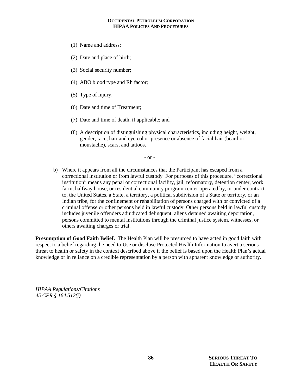- (1) Name and address;
- (2) Date and place of birth;
- (3) Social security number;
- (4) ABO blood type and Rh factor;
- (5) Type of injury;
- (6) Date and time of Treatment;
- (7) Date and time of death, if applicable; and
- (8) A description of distinguishing physical characteristics, including height, weight, gender, race, hair and eye color, presence or absence of facial hair (beard or moustache), scars, and tattoos.

- or -

b) Where it appears from all the circumstances that the Participant has escaped from a correctional institution or from lawful custody For purposes of this procedure, "correctional institution" means any penal or correctional facility, jail, reformatory, detention center, work farm, halfway house, or residential community program center operated by, or under contract to, the United States, a State, a territory, a political subdivision of a State or territory, or an Indian tribe, for the confinement or rehabilitation of persons charged with or convicted of a criminal offense or other persons held in lawful custody. Other persons held in lawful custody includes juvenile offenders adjudicated delinquent, aliens detained awaiting deportation, persons committed to mental institutions through the criminal justice system, witnesses, or others awaiting charges or trial.

**Presumption of Good Faith Belief.** The Health Plan will be presumed to have acted in good faith with respect to a belief regarding the need to Use or disclose Protected Health Information to avert a serious threat to health or safety in the context described above if the belief is based upon the Health Plan's actual knowledge or in reliance on a credible representation by a person with apparent knowledge or authority.

*HIPAA Regulations/Citations 45 CFR § 164.512(j)*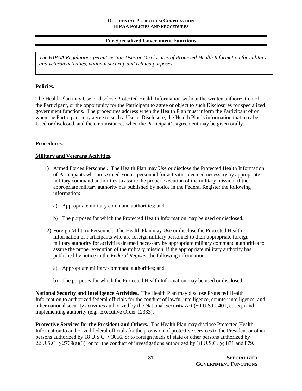# **For Specialized Government Functions**

*The HIPAA Regulations permit certain Uses or Disclosures of Protected Health Information for military and veteran activities, national security and related purposes.*

#### **Policies***.*

The Health Plan may Use or disclose Protected Health Information without the written authorization of the Participant, or the opportunity for the Participant to agree or object to such Disclosures for specialized government functions. The procedures address when the Health Plan must inform the Participant of or when the Participant may agree to such a Use or Disclosure, the Health Plan's information that may be Used or disclosed, and the circumstances when the Participant's agreement may be given orally.

## **Procedures***.*

## **Military and Veterans Activities.**

- 1) Armed Forces Personnel. The Health Plan may Use or disclose the Protected Health Information of Participants who are Armed Forces personnel for activities deemed necessary by appropriate military command authorities to assure the proper execution of the military mission, if the appropriate military authority has published by notice in the Federal Register the following information:
	- a) Appropriate military command authorities; and
	- b) The purposes for which the Protected Health Information may be used or disclosed.
- 2) Foreign Military Personnel. The Health Plan may Use or disclose the Protected Health Information of Participants who are foreign military personnel to their appropriate foreign military authority for activities deemed necessary by appropriate military command authorities to assure the proper execution of the military mission, if the appropriate military authority has published by notice in the *Federal Register* the following information:
	- a) Appropriate military command authorities; and
	- b) The purposes for which the Protected Health Information may be used or disclosed.

**National Security and Intelligence Activities.** The Health Plan may disclose Protected Health Information to authorized federal officials for the conduct of lawful intelligence, counter-intelligence, and other national security activities authorized by the National Security Act (50 U.S.C. 401, et seq.) and implementing authority (e.g., Executive Order 12333).

**Protective Services for the President and Others.** The Health Plan may disclose Protected Health Information to authorized federal officials for the provision of protective services to the President or other persons authorized by 18 U.S.C. § 3056, or to foreign heads of state or other persons authorized by 22 U.S.C. § 2709(a)(3), or for the conduct of investigations authorized by 18 U.S.C. §§ 871 and 879.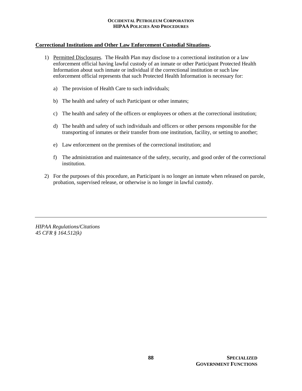## **Correctional Institutions and Other Law Enforcement Custodial Situations.**

- 1) Permitted Disclosures. The Health Plan may disclose to a correctional institution or a law enforcement official having lawful custody of an inmate or other Participant Protected Health Information about such inmate or individual if the correctional institution or such law enforcement official represents that such Protected Health Information is necessary for:
	- a) The provision of Health Care to such individuals;
	- b) The health and safety of such Participant or other inmates;
	- c) The health and safety of the officers or employees or others at the correctional institution;
	- d) The health and safety of such individuals and officers or other persons responsible for the transporting of inmates or their transfer from one institution, facility, or setting to another;
	- e) Law enforcement on the premises of the correctional institution; and
	- f) The administration and maintenance of the safety, security, and good order of the correctional institution.
- 2) For the purposes of this procedure, an Participant is no longer an inmate when released on parole, probation, supervised release, or otherwise is no longer in lawful custody.

*HIPAA Regulations/Citations 45 CFR § 164.512(k)*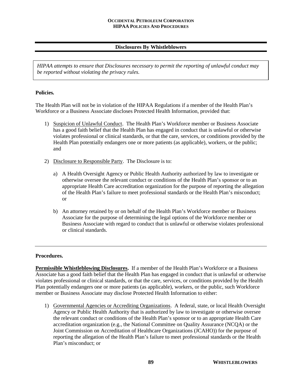# **Disclosures By Whistleblowers**

*HIPAA attempts to ensure that Disclosures necessary to permit the reporting of unlawful conduct may be reported without violating the privacy rules.*

## **Policies***.*

The Health Plan will not be in violation of the HIPAA Regulations if a member of the Health Plan's Workforce or a Business Associate discloses Protected Health Information, provided that:

- 1) Suspicion of Unlawful Conduct. The Health Plan's Workforce member or Business Associate has a good faith belief that the Health Plan has engaged in conduct that is unlawful or otherwise violates professional or clinical standards, or that the care, services, or conditions provided by the Health Plan potentially endangers one or more patients (as applicable), workers, or the public; and
- 2) Disclosure to Responsible Party. The Disclosure is to:
	- a) A Health Oversight Agency or Public Health Authority authorized by law to investigate or otherwise oversee the relevant conduct or conditions of the Health Plan's sponsor or to an appropriate Health Care accreditation organization for the purpose of reporting the allegation of the Health Plan's failure to meet professional standards or the Health Plan's misconduct; or
	- b) An attorney retained by or on behalf of the Health Plan's Workforce member or Business Associate for the purpose of determining the legal options of the Workforce member or Business Associate with regard to conduct that is unlawful or otherwise violates professional or clinical standards.

#### **Procedures.**

**Permissible Whistleblowing Disclosures.** If a member of the Health Plan's Workforce or a Business Associate has a good faith belief that the Health Plan has engaged in conduct that is unlawful or otherwise violates professional or clinical standards, or that the care, services, or conditions provided by the Health Plan potentially endangers one or more patients (as applicable), workers, or the public, such Workforce member or Business Associate may disclose Protected Health Information to either:

1) Governmental Agencies or Accrediting Organizations. A federal, state, or local Health Oversight Agency or Public Health Authority that is authorized by law to investigate or otherwise oversee the relevant conduct or conditions of the Health Plan's sponsor or to an appropriate Health Care accreditation organization (e.g., the National Committee on Quality Assurance (NCQA) or the Joint Commission on Accreditation of Healthcare Organizations (JCAHO)) for the purpose of reporting the allegation of the Health Plan's failure to meet professional standards or the Health Plan's misconduct; or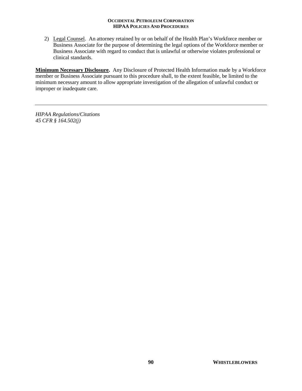2) Legal Counsel. An attorney retained by or on behalf of the Health Plan's Workforce member or Business Associate for the purpose of determining the legal options of the Workforce member or Business Associate with regard to conduct that is unlawful or otherwise violates professional or clinical standards.

**Minimum Necessary Disclosure.** Any Disclosure of Protected Health Information made by a Workforce member or Business Associate pursuant to this procedure shall, to the extent feasible, be limited to the minimum necessary amount to allow appropriate investigation of the allegation of unlawful conduct or improper or inadequate care.

*HIPAA Regulations/Citations 45 CFR § 164.502(j)*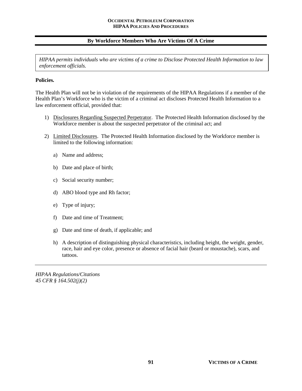# **By Workforce Members Who Are Victims Of A Crime**

*HIPAA permits individuals who are victims of a crime to Disclose Protected Health Information to law enforcement officials.*

## **Policies***.*

The Health Plan will not be in violation of the requirements of the HIPAA Regulations if a member of the Health Plan's Workforce who is the victim of a criminal act discloses Protected Health Information to a law enforcement official, provided that:

- 1) Disclosures Regarding Suspected Perpetrator. The Protected Health Information disclosed by the Workforce member is about the suspected perpetrator of the criminal act; and
- 2) Limited Disclosures. The Protected Health Information disclosed by the Workforce member is limited to the following information:
	- a) Name and address;
	- b) Date and place of birth;
	- c) Social security number;
	- d) ABO blood type and Rh factor;
	- e) Type of injury;
	- f) Date and time of Treatment;
	- g) Date and time of death, if applicable; and
	- h) A description of distinguishing physical characteristics, including height, the weight, gender, race, hair and eye color, presence or absence of facial hair (beard or moustache), scars, and tattoos.

*HIPAA Regulations/Citations 45 CFR § 164.502(j)(2)*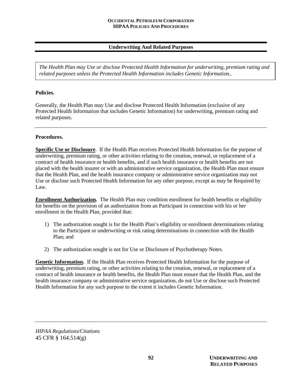# **Underwriting And Related Purposes**

*The Health Plan may Use or disclose Protected Health Information for underwriting, premium rating and related purposes unless the Protected Health Information includes Genetic Information..*

#### **Policies***.*

Generally, the Health Plan may Use and disclose Protected Health Information (exclusive of any Protected Health Information that includes Genetic Information) for underwriting, premium rating and related purposes.

## **Procedures***.*

**Specific Use or Disclosure**. If the Health Plan receives Protected Health Information for the purpose of underwriting, premium rating, or other activities relating to the creation, renewal, or replacement of a contract of health insurance or health benefits, and if such health insurance or health benefits are not placed with the health insurer or with an administrative service organization, the Health Plan must ensure that the Health Plan, and the health insurance company or administrative service organization may not Use or disclose such Protected Health Information for any other purpose, except as may be Required by Law.

**Enrollment Authorization.** The Health Plan may condition enrollment for health benefits or eligibility for benefits on the provision of an authorization from an Participant in connection with his or her enrollment in the Health Plan, provided that:

- 1) The authorization sought is for the Health Plan's eligibility or enrollment determinations relating to the Participant or underwriting or risk rating determinations in connection with the Health Plan; and
- 2) The authorization sought is not for Use or Disclosure of Psychotherapy Notes.

**Genetic Information.** If the Health Plan receives Protected Health Information for the purpose of underwriting, premium rating, or other activities relating to the creation, renewal, or replacement of a contract of health insurance or health benefits, the Health Plan must ensure that the Health Plan, and the health insurance company or administrative service organization, do not Use or disclose such Protected Health Information for any such purpose to the extent it includes Genetic Information.

*HIPAA Regulations/Citations* 45 CFR § 164.514(g)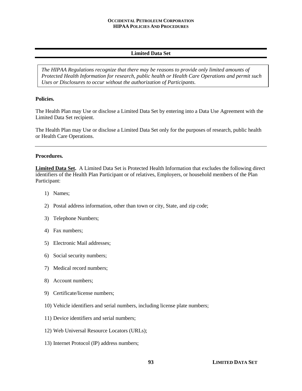# **Limited Data Set**

*The HIPAA Regulations recognize that there may be reasons to provide only limited amounts of Protected Health Information for research, public health or Health Care Operations and permit such Uses or Disclosures to occur without the authorization of Participants.*

#### **Policies***.*

The Health Plan may Use or disclose a Limited Data Set by entering into a Data Use Agreement with the Limited Data Set recipient.

The Health Plan may Use or disclose a Limited Data Set only for the purposes of research, public health or Health Care Operations.

## **Procedures***.*

**Limited Data Set.** A Limited Data Set is Protected Health Information that excludes the following direct identifiers of the Health Plan Participant or of relatives, Employers, or household members of the Plan Participant:

- 1) Names;
- 2) Postal address information, other than town or city, State, and zip code;
- 3) Telephone Numbers;
- 4) Fax numbers;
- 5) Electronic Mail addresses;
- 6) Social security numbers;
- 7) Medical record numbers;
- 8) Account numbers;
- 9) Certificate/license numbers;
- 10) Vehicle identifiers and serial numbers, including license plate numbers;
- 11) Device identifiers and serial numbers;
- 12) Web Universal Resource Locators (URLs);
- 13) Internet Protocol (IP) address numbers;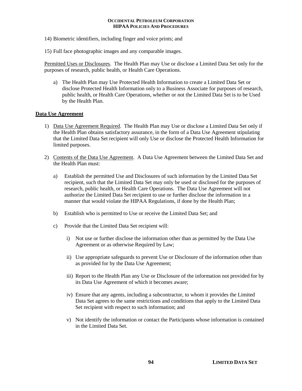- 14) Biometric identifiers, including finger and voice prints; and
- 15) Full face photographic images and any comparable images.

Permitted Uses or Disclosures. The Health Plan may Use or disclose a Limited Data Set only for the purposes of research, public health, or Health Care Operations.

a) The Health Plan may Use Protected Health Information to create a Limited Data Set or disclose Protected Health Information only to a Business Associate for purposes of research, public health, or Health Care Operations, whether or not the Limited Data Set is to be Used by the Health Plan.

## **Data Use Agreement**

- 1) Data Use Agreement Required. The Health Plan may Use or disclose a Limited Data Set only if the Health Plan obtains satisfactory assurance, in the form of a Data Use Agreement stipulating that the Limited Data Set recipient will only Use or disclose the Protected Health Information for limited purposes.
- 2) Contents of the Data Use Agreement. A Data Use Agreement between the Limited Data Set and the Health Plan must:
	- a) Establish the permitted Use and Disclosures of such information by the Limited Data Set recipient, such that the Limited Data Set may only be used or disclosed for the purposes of research, public health, or Health Care Operations. The Data Use Agreement will not authorize the Limited Data Set recipient to use or further disclose the information in a manner that would violate the HIPAA Regulations, if done by the Health Plan;
	- b) Establish who is permitted to Use or receive the Limited Data Set; and
	- c) Provide that the Limited Data Set recipient will:
		- i) Not use or further disclose the information other than as permitted by the Data Use Agreement or as otherwise Required by Law;
		- ii) Use appropriate safeguards to prevent Use or Disclosure of the information other than as provided for by the Data Use Agreement;
		- iii) Report to the Health Plan any Use or Disclosure of the information not provided for by its Data Use Agreement of which it becomes aware;
		- iv) Ensure that any agents, including a subcontractor, to whom it provides the Limited Data Set agrees to the same restrictions and conditions that apply to the Limited Data Set recipient with respect to such information; and
		- v) Not identify the information or contact the Participants whose information is contained in the Limited Data Set.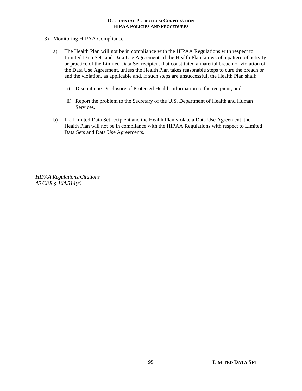## 3) Monitoring HIPAA Compliance.

- a) The Health Plan will not be in compliance with the HIPAA Regulations with respect to Limited Data Sets and Data Use Agreements if the Health Plan knows of a pattern of activity or practice of the Limited Data Set recipient that constituted a material breach or violation of the Data Use Agreement, unless the Health Plan takes reasonable steps to cure the breach or end the violation, as applicable and, if such steps are unsuccessful, the Health Plan shall:
	- i) Discontinue Disclosure of Protected Health Information to the recipient; and
	- ii) Report the problem to the Secretary of the U.S. Department of Health and Human Services.
- b) If a Limited Data Set recipient and the Health Plan violate a Data Use Agreement, the Health Plan will not be in compliance with the HIPAA Regulations with respect to Limited Data Sets and Data Use Agreements.

*HIPAA Regulations/Citations 45 CFR § 164.514(e)*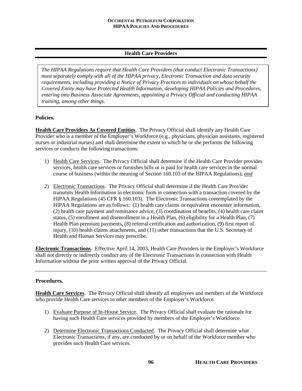# **Health Care Providers**

*The HIPAA Regulations require that Health Care Providers (that conduct Electronic Transactions) must separately comply with all of the HIPAA privacy, Electronic Transaction and data security requirements, including providing a Notice of Privacy Practices to individuals on whose behalf the Covered Entity may have Protected Health Information, developing HIPAA Policies and Procedures, entering into Business Associate Agreements, appointing a Privacy Official and conducting HIPAA training, among other things.*

# **Policies***.*

**Health Care Providers As Covered Entities**. The Privacy Official shall identify any Health Care Provider who is a member of the Employer's Workforce (e.g., physicians, physician assistants, registered nurses or industrial nurses) and shall determine the extent to which he or she performs the following services or conducts the following transactions:

- 1) Health Care Services. The Privacy Official shall determine if the Health Care Provider provides services, health care services or furnishes bills or is paid for health care services in the normal course of business (within the meaning of Section 160.103 of the HIPAA Regulations); *and*
- 2) Electronic Transactions. The Privacy Official shall determine if the Health Care Provider transmits Health Information in electronic form in connection with a transaction covered by the HIPAA Regulations (45 CFR § 160.103). The Electronic Transactions contemplated by the HIPAA Regulations are as follows: (1) health care claims or equivalent encounter information, (2) health care payment and remittance advice, (3) coordination of benefits, (4) health care claim status, (5) enrollment and disenrollment in a Health Plan, (6) eligibility for a Health Plan, (7) Health Plan premium payments, (8) referral certification and authorization, (9) first report of injury, (10) health claims attachments, and (11) other transactions that the U.S. Secretary of Health and Human Services may prescribe.

**Electronic Transactions**. Effective April 14, 2003, Health Care Providers in the Employer's Workforce shall not directly or indirectly conduct any of the Electronic Transactions in connection with Health Information without the prior written approval of the Privacy Official.

## **Procedures***.*

**Health Care Services**. The Privacy Official shall identify all employees and members of the Workforce who provide Health Care services to other members of the Employer's Workforce.

- 1) Evaluate Purpose of In-House Service. The Privacy Official shall evaluate the rationale for having such Health Care services provided by members of the Employer's Workforce.
- 2) Determine Electronic Transactions Conducted. The Privacy Official shall determine what Electronic Transactions, if any, are conducted by or on behalf of the Workforce member who provides such Health Care services.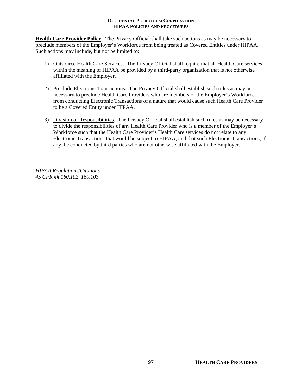**Health Care Provider Policy**. The Privacy Official shall take such actions as may be necessary to preclude members of the Employer's Workforce from being treated as Covered Entities under HIPAA. Such actions may include, but not be limited to:

- 1) Outsource Health Care Services. The Privacy Official shall require that all Health Care services within the meaning of HIPAA be provided by a third-party organization that is not otherwise affiliated with the Employer.
- 2) Preclude Electronic Transactions. The Privacy Official shall establish such rules as may be necessary to preclude Health Care Providers who are members of the Employer's Workforce from conducting Electronic Transactions of a nature that would cause such Health Care Provider to be a Covered Entity under HIPAA.
- 3) Division of Responsibilities. The Privacy Official shall establish such rules as may be necessary to divide the responsibilities of any Health Care Provider who is a member of the Employer's Workforce such that the Health Care Provider's Health Care services do not relate to any Electronic Transactions that would be subject to HIPAA, and that such Electronic Transactions, if any, be conducted by third parties who are not otherwise affiliated with the Employer.

*HIPAA Regulations/Citations 45 CFR §§ 160.102, 160.103*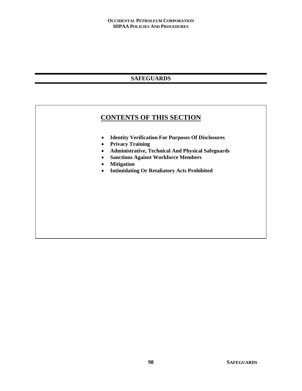# **SAFEGUARDS**

# **CONTENTS OF THIS SECTION**

- **Identity Verification For Purposes Of Disclosures**
- **Privacy Training**
- **Administrative, Technical And Physical Safeguards**
- **Sanctions Against Workforce Members**
- **Mitigation**
- **Intimidating Or Retaliatory Acts Prohibited**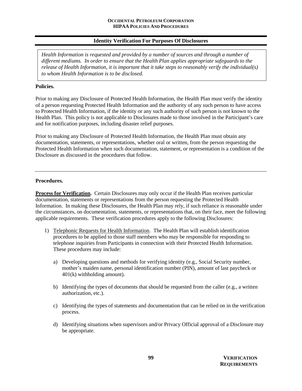# **Identity Verification For Purposes Of Disclosures**

*Health Information is requested and provided by a number of sources and through a number of different mediums. In order to ensure that the Health Plan applies appropriate safeguards to the release of Health Information, it is important that it take steps to reasonably verify the individual(s) to whom Health Information is to be disclosed.*

## **Policies***.*

Prior to making any Disclosure of Protected Health Information, the Health Plan must verify the identity of a person requesting Protected Health Information and the authority of any such person to have access to Protected Health Information, if the identity or any such authority of such person is not known to the Health Plan. This policy is not applicable to Disclosures made to those involved in the Participant's care and for notification purposes, including disaster relief purposes.

Prior to making any Disclosure of Protected Health Information, the Health Plan must obtain any documentation, statements, or representations, whether oral or written, from the person requesting the Protected Health Information when such documentation, statement, or representation is a condition of the Disclosure as discussed in the procedures that follow.

## **Procedures***.*

**Process for Verification.** Certain Disclosures may only occur if the Health Plan receives particular documentation, statements or representations from the person requesting the Protected Health Information. In making these Disclosures, the Health Plan may rely, if such reliance is reasonable under the circumstances, on documentation, statements, or representations that, on their face, meet the following applicable requirements. These verification procedures apply to the following Disclosures:

- 1) Telephonic Requests for Health Information. The Health Plan will establish identification procedures to be applied to those staff members who may be responsible for responding to telephone inquiries from Participants in connection with their Protected Health Information. These procedures may include:
	- a) Developing questions and methods for verifying identity (e.g., Social Security number, mother's maiden name, personal identification number (PIN), amount of last paycheck or 401(k) withholding amount).
	- b) Identifying the types of documents that should be requested from the caller (e.g., a written authorization, etc.).
	- c) Identifying the types of statements and documentation that can be relied on in the verification process.
	- d) Identifying situations when supervisors and/or Privacy Official approval of a Disclosure may be appropriate.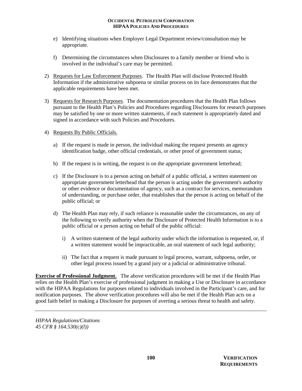- e) Identifying situations when Employer Legal Department review/consultation may be appropriate.
- f) Determining the circumstances when Disclosures to a family member or friend who is involved in the individual's care may be permitted.
- 2) Requests for Law Enforcement Purposes. The Health Plan will disclose Protected Health Information if the administrative subpoena or similar process on its face demonstrates that the applicable requirements have been met.
- 3) Requests for Research Purposes. The documentation procedures that the Health Plan follows pursuant to the Health Plan's Policies and Procedures regarding Disclosures for research purposes may be satisfied by one or more written statements, if each statement is appropriately dated and signed in accordance with such Policies and Procedures.
- 4) Requests By Public Officials.
	- a) If the request is made in person, the individual making the request presents an agency identification badge, other official credentials, or other proof of government status;
	- b) If the request is in writing, the request is on the appropriate government letterhead;
	- c) If the Disclosure is to a person acting on behalf of a public official, a written statement on appropriate government letterhead that the person is acting under the government's authority or other evidence or documentation of agency, such as a contract for services, memorandum of understanding, or purchase order, that establishes that the person is acting on behalf of the public official; or
	- d) The Health Plan may rely, if such reliance is reasonable under the circumstances, on any of the following to verify authority when the Disclosure of Protected Health Information is to a public official or a person acting on behalf of the public official:
		- i) A written statement of the legal authority under which the information is requested, or, if a written statement would be impracticable, an oral statement of such legal authority;
		- ii) The fact that a request is made pursuant to legal process, warrant, subpoena, order, or other legal process issued by a grand jury or a judicial or administrative tribunal.

**Exercise of Professional Judgment.** The above verification procedures will be met if the Health Plan relies on the Health Plan's exercise of professional judgment in making a Use or Disclosure in accordance with the HIPAA Regulations for purposes related to individuals involved in the Participant's care, and for notification purposes. The above verification procedures will also be met if the Health Plan acts on a good faith belief in making a Disclosure for purposes of averting a serious threat to health and safety.

*HIPAA Regulations/Citations 45 CFR § 164.530(c)(l))*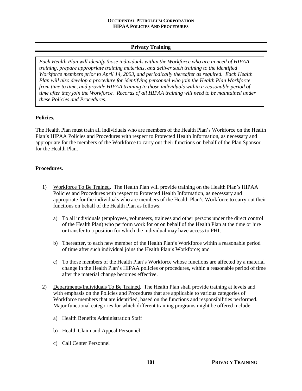# **Privacy Training**

*Each Health Plan will identify those individuals within the Workforce who are in need of HIPAA training, prepare appropriate training materials, and deliver such training to the identified Workforce members prior to April 14, 2003, and periodically thereafter as required. Each Health Plan will also develop a procedure for identifying personnel who join the Health Plan Workforce from time to time, and provide HIPAA training to those individuals within a reasonable period of time after they join the Workforce. Records of all HIPAA training will need to be maintained under these Policies and Procedures.*

## **Policies***.*

The Health Plan must train all individuals who are members of the Health Plan's Workforce on the Health Plan's HIPAA Policies and Procedures with respect to Protected Health Information, as necessary and appropriate for the members of the Workforce to carry out their functions on behalf of the Plan Sponsor for the Health Plan.

## **Procedures***.*

- 1) Workforce To Be Trained. The Health Plan will provide training on the Health Plan's HIPAA Policies and Procedures with respect to Protected Health Information, as necessary and appropriate for the individuals who are members of the Health Plan's Workforce to carry out their functions on behalf of the Health Plan as follows:
	- a) To all individuals (employees, volunteers, trainees and other persons under the direct control of the Health Plan) who perform work for or on behalf of the Health Plan at the time or hire or transfer to a position for which the individual may have access to PHI;
	- b) Thereafter, to each new member of the Health Plan's Workforce within a reasonable period of time after such individual joins the Health Plan's Workforce; and
	- c) To those members of the Health Plan's Workforce whose functions are affected by a material change in the Health Plan's HIPAA policies or procedures, within a reasonable period of time after the material change becomes effective.
- 2) Departments/Individuals To Be Trained. The Health Plan shall provide training at levels and with emphasis on the Policies and Procedures that are applicable to various categories of Workforce members that are identified, based on the functions and responsibilities performed. Major functional categories for which different training programs might be offered include:
	- a) Health Benefits Administration Staff
	- b) Health Claim and Appeal Personnel
	- c) Call Center Personnel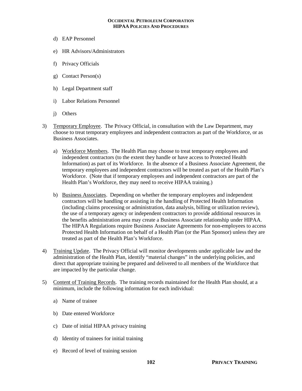- d) EAP Personnel
- e) HR Advisors/Administrators
- f) Privacy Officials
- g) Contact Person(s)
- h) Legal Department staff
- i) Labor Relations Personnel
- j) Others
- 3) Temporary Employee. The Privacy Official, in consultation with the Law Department, may choose to treat temporary employees and independent contractors as part of the Workforce, or as Business Associates.
	- a) Workforce Members. The Health Plan may choose to treat temporary employees and independent contractors (to the extent they handle or have access to Protected Health Information) as part of its Workforce. In the absence of a Business Associate Agreement, the temporary employees and independent contractors will be treated as part of the Health Plan's Workforce. (Note that if temporary employees and independent contractors are part of the Health Plan's Workforce, they may need to receive HIPAA training.)
	- b) Business Associates. Depending on whether the temporary employees and independent contractors will be handling or assisting in the handling of Protected Health Information (including claims processing or administration, data analysis, billing or utilization review), the use of a temporary agency or independent contractors to provide additional resources in the benefits administration area may create a Business Associate relationship under HIPAA. The HIPAA Regulations require Business Associate Agreements for non-employees to access Protected Health Information on behalf of a Health Plan (or the Plan Sponsor) unless they are treated as part of the Health Plan's Workforce.
- 4) Training Update. The Privacy Official will monitor developments under applicable law and the administration of the Health Plan, identify "material changes" in the underlying policies, and direct that appropriate training be prepared and delivered to all members of the Workforce that are impacted by the particular change.
- 5) Content of Training Records. The training records maintained for the Health Plan should, at a minimum, include the following information for each individual:
	- a) Name of trainee
	- b) Date entered Workforce
	- c) Date of initial HIPAA privacy training
	- d) Identity of trainees for initial training
	- e) Record of level of training session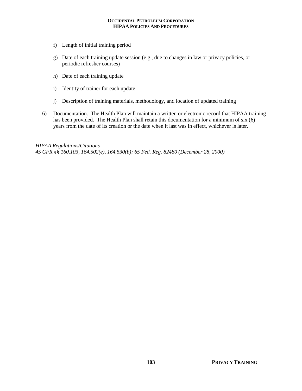- f) Length of initial training period
- g) Date of each training update session (e.g., due to changes in law or privacy policies, or periodic refresher courses)
- h) Date of each training update
- i) Identity of trainer for each update
- j) Description of training materials, methodology, and location of updated training
- 6) Documentation. The Health Plan will maintain a written or electronic record that HIPAA training has been provided. The Health Plan shall retain this documentation for a minimum of six (6) years from the date of its creation or the date when it last was in effect, whichever is later.

# *HIPAA Regulations/Citations*

*45 CFR §§ 160.103, 164.502(e), 164.530(b); 65 Fed. Reg. 82480 (December 28, 2000)*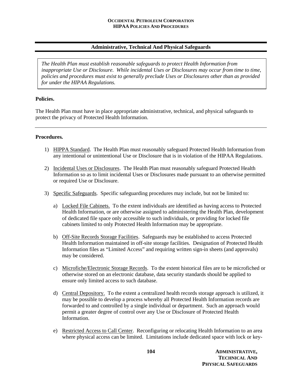# **Administrative, Technical And Physical Safeguards**

*The Health Plan must establish reasonable safeguards to protect Health Information from inappropriate Use or Disclosure. While incidental Uses or Disclosures may occur from time to time, policies and procedures must exist to generally preclude Uses or Disclosures other than as provided for under the HIPAA Regulations.*

## **Policies.**

The Health Plan must have in place appropriate administrative, technical, and physical safeguards to protect the privacy of Protected Health Information.

## **Procedures***.*

- 1) HIPPA Standard. The Health Plan must reasonably safeguard Protected Health Information from any intentional or unintentional Use or Disclosure that is in violation of the HIPAA Regulations.
- 2) Incidental Uses or Disclosures. The Health Plan must reasonably safeguard Protected Health Information so as to limit incidental Uses or Disclosures made pursuant to an otherwise permitted or required Use or Disclosure.
- 3) Specific Safeguards. Specific safeguarding procedures may include, but not be limited to:
	- a) Locked File Cabinets. To the extent individuals are identified as having access to Protected Health Information, or are otherwise assigned to administering the Health Plan, development of dedicated file space only accessible to such individuals, or providing for locked file cabinets limited to only Protected Health Information may be appropriate.
	- b) Off-Site Records Storage Facilities. Safeguards may be established to access Protected Health Information maintained in off-site storage facilities. Designation of Protected Health Information files as "Limited Access" and requiring written sign-in sheets (and approvals) may be considered.
	- c) Microfiche/Electronic Storage Records. To the extent historical files are to be microfiched or otherwise stored on an electronic database, data security standards should be applied to ensure only limited access to such database.
	- d) Central Depository. To the extent a centralized health records storage approach is utilized, it may be possible to develop a process whereby all Protected Health Information records are forwarded to and controlled by a single individual or department. Such an approach would permit a greater degree of control over any Use or Disclosure of Protected Health Information.
	- e) Restricted Access to Call Center. Reconfiguring or relocating Health Information to an area where physical access can be limited. Limitations include dedicated space with lock or key-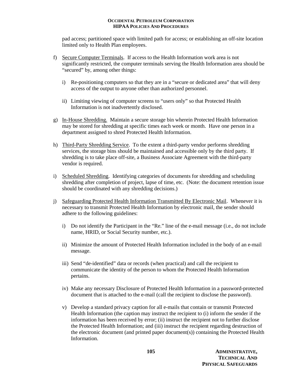pad access; partitioned space with limited path for access; or establishing an off-site location limited only to Health Plan employees.

- f) Secure Computer Terminals. If access to the Health Information work area is not significantly restricted, the computer terminals serving the Health Information area should be "secured" by, among other things:
	- i) Re-positioning computers so that they are in a "secure or dedicated area" that will deny access of the output to anyone other than authorized personnel.
	- ii) Limiting viewing of computer screens to "users only" so that Protected Health Information is not inadvertently disclosed.
- g) In-House Shredding. Maintain a secure storage bin wherein Protected Health Information may be stored for shredding at specific times each week or month. Have one person in a department assigned to shred Protected Health Information.
- h) Third-Party Shredding Service. To the extent a third-party vendor performs shredding services, the storage bins should be maintained and accessible only by the third party. If shredding is to take place off-site, a Business Associate Agreement with the third-party vendor is required.
- i) Scheduled Shredding. Identifying categories of documents for shredding and scheduling shredding after completion of project, lapse of time, etc. (Note: the document retention issue should be coordinated with any shredding decisions.)
- j) Safeguarding Protected Health Information Transmitted By Electronic Mail. Whenever it is necessary to transmit Protected Health Information by electronic mail, the sender should adhere to the following guidelines:
	- i) Do not identify the Participant in the "Re." line of the e-mail message (i.e., do not include name, HRID, or Social Security number, etc.).
	- ii) Minimize the amount of Protected Health Information included in the body of an e-mail message.
	- iii) Send "de-identified" data or records (when practical) and call the recipient to communicate the identity of the person to whom the Protected Health Information pertains.
	- iv) Make any necessary Disclosure of Protected Health Information in a password-protected document that is attached to the e-mail (call the recipient to disclose the password).
	- v) Develop a standard privacy caption for all e-mails that contain or transmit Protected Health Information (the caption may instruct the recipient to (i) inform the sender if the information has been received by error; (ii) instruct the recipient not to further disclose the Protected Health Information; and (iii) instruct the recipient regarding destruction of the electronic document (and printed paper document(s)) containing the Protected Health Information.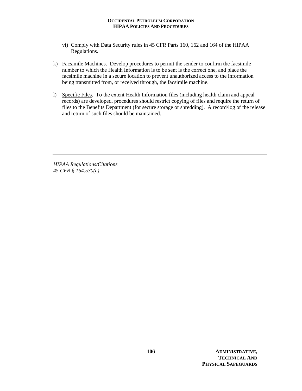- vi) Comply with Data Security rules in 45 CFR Parts 160, 162 and 164 of the HIPAA Regulations.
- k) Facsimile Machines. Develop procedures to permit the sender to confirm the facsimile number to which the Health Information is to be sent is the correct one, and place the facsimile machine in a secure location to prevent unauthorized access to the information being transmitted from, or received through, the facsimile machine.
- l) Specific Files. To the extent Health Information files (including health claim and appeal records) are developed, procedures should restrict copying of files and require the return of files to the Benefits Department (for secure storage or shredding). A record/log of the release and return of such files should be maintained.

*HIPAA Regulations/Citations 45 CFR § 164.530(c)*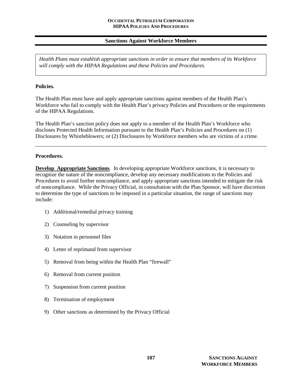### **Sanctions Against Workforce Members**

*Health Plans must establish appropriate sanctions in order to ensure that members of its Workforce will comply with the HIPAA Regulations and these Policies and Procedures.*

#### **Policies***.*

The Health Plan must have and apply appropriate sanctions against members of the Health Plan's Workforce who fail to comply with the Health Plan's privacy Policies and Procedures or the requirements of the HIPAA Regulations.

The Health Plan's sanction policy does not apply to a member of the Health Plan's Workforce who discloses Protected Health Information pursuant to the Health Plan's Policies and Procedures on (1) Disclosures by Whistleblowers; or (2) Disclosures by Workforce members who are victims of a crime.

#### **Procedures***.*

**Develop Appropriate Sanctions**. In developing appropriate Workforce sanctions, it is necessary to recognize the nature of the noncompliance, develop any necessary modifications to the Policies and Procedures to avoid further noncompliance, and apply appropriate sanctions intended to mitigate the risk of noncompliance. While the Privacy Official, in consultation with the Plan Sponsor, will have discretion to determine the type of sanctions to be imposed in a particular situation, the range of sanctions may include:

- 1) Additional/remedial privacy training
- 2) Counseling by supervisor
- 3) Notation in personnel files
- 4) Letter of reprimand from supervisor
- 5) Removal from being within the Health Plan "firewall"
- 6) Removal from current position
- 7) Suspension from current position
- 8) Termination of employment
- 9) Other sanctions as determined by the Privacy Official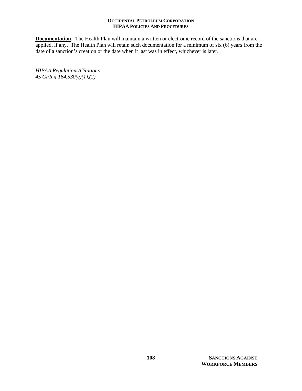**Documentation**. The Health Plan will maintain a written or electronic record of the sanctions that are applied, if any. The Health Plan will retain such documentation for a minimum of six (6) years from the date of a sanction's creation or the date when it last was in effect, whichever is later.

*HIPAA Regulations/Citations 45 CFR § 164.530(e)(1),(2)*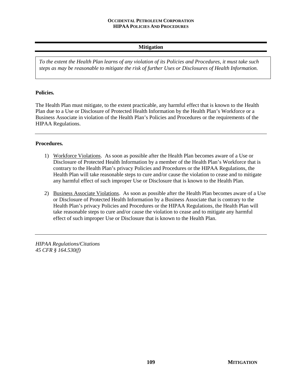### **Mitigation**

*To the extent the Health Plan learns of any violation of its Policies and Procedures, it must take such steps as may be reasonable to mitigate the risk of further Uses or Disclosures of Health Information.*

#### **Policies***.*

The Health Plan must mitigate, to the extent practicable, any harmful effect that is known to the Health Plan due to a Use or Disclosure of Protected Health Information by the Health Plan's Workforce or a Business Associate in violation of the Health Plan's Policies and Procedures or the requirements of the HIPAA Regulations.

#### **Procedures***.*

- 1) Workforce Violations. As soon as possible after the Health Plan becomes aware of a Use or Disclosure of Protected Health Information by a member of the Health Plan's Workforce that is contrary to the Health Plan's privacy Policies and Procedures or the HIPAA Regulations, the Health Plan will take reasonable steps to cure and/or cause the violation to cease and to mitigate any harmful effect of such improper Use or Disclosure that is known to the Health Plan.
- 2) Business Associate Violations. As soon as possible after the Health Plan becomes aware of a Use or Disclosure of Protected Health Information by a Business Associate that is contrary to the Health Plan's privacy Policies and Procedures or the HIPAA Regulations, the Health Plan will take reasonable steps to cure and/or cause the violation to cease and to mitigate any harmful effect of such improper Use or Disclosure that is known to the Health Plan.

*HIPAA Regulations/Citations 45 CFR § 164.530(f)*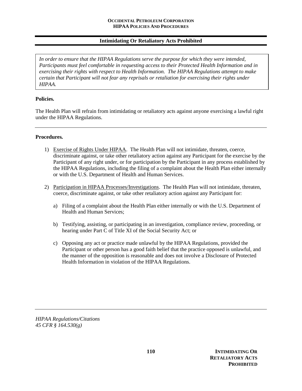### **Intimidating Or Retaliatory Acts Prohibited**

*In order to ensure that the HIPAA Regulations serve the purpose for which they were intended, Participants must feel comfortable in requesting access to their Protected Health Information and in exercising their rights with respect to Health Information. The HIPAA Regulations attempt to make certain that Participant will not fear any reprisals or retaliation for exercising their rights under HIPAA.*

#### **Policies***.*

The Health Plan will refrain from intimidating or retaliatory acts against anyone exercising a lawful right under the HIPAA Regulations.

#### **Procedures***.*

- 1) Exercise of Rights Under HIPAA. The Health Plan will not intimidate, threaten, coerce, discriminate against, or take other retaliatory action against any Participant for the exercise by the Participant of any right under, or for participation by the Participant in any process established by the HIPAA Regulations, including the filing of a complaint about the Health Plan either internally or with the U.S. Department of Health and Human Services.
- 2) Participation in HIPAA Processes/Investigations. The Health Plan will not intimidate, threaten, coerce, discriminate against, or take other retaliatory action against any Participant for:
	- a) Filing of a complaint about the Health Plan either internally or with the U.S. Department of Health and Human Services;
	- b) Testifying, assisting, or participating in an investigation, compliance review, proceeding, or hearing under Part C of Title XI of the Social Security Act; or
	- c) Opposing any act or practice made unlawful by the HIPAA Regulations, provided the Participant or other person has a good faith belief that the practice opposed is unlawful, and the manner of the opposition is reasonable and does not involve a Disclosure of Protected Health Information in violation of the HIPAA Regulations.

*HIPAA Regulations/Citations 45 CFR § 164.530(g)*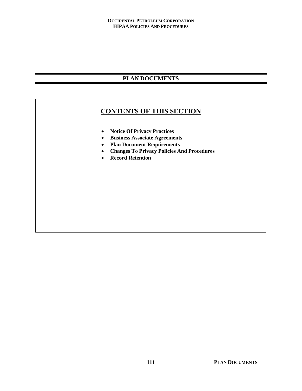# **PLAN DOCUMENTS**

# **CONTENTS OF THIS SECTION**

- **Notice Of Privacy Practices**
- **Business Associate Agreements**
- **Plan Document Requirements**
- **Changes To Privacy Policies And Procedures**
- **Record Retention**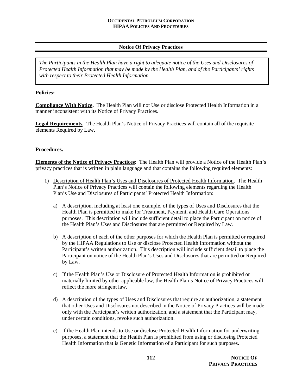### **Notice Of Privacy Practices**

*The Participants in the Health Plan have a right to adequate notice of the Uses and Disclosures of Protected Health Information that may be made by the Health Plan, and of the Participants' rights with respect to their Protected Health Information.*

#### **Policies:**

**Compliance With Notice.** The Health Plan will not Use or disclose Protected Health Information in a manner inconsistent with its Notice of Privacy Practices.

**Legal Requirements***.* The Health Plan's Notice of Privacy Practices will contain all of the requisite elements Required by Law.

#### **Procedures.**

**Elements of the Notice of Privacy Practices**: The Health Plan will provide a Notice of the Health Plan's privacy practices that is written in plain language and that contains the following required elements:

- 1) Description of Health Plan's Uses and Disclosures of Protected Health Information. The Health Plan's Notice of Privacy Practices will contain the following elements regarding the Health Plan's Use and Disclosures of Participants' Protected Health Information:
	- a) A description, including at least one example, of the types of Uses and Disclosures that the Health Plan is permitted to make for Treatment, Payment, and Health Care Operations purposes. This description will include sufficient detail to place the Participant on notice of the Health Plan's Uses and Disclosures that are permitted or Required by Law.
	- b) A description of each of the other purposes for which the Health Plan is permitted or required by the HIPAA Regulations to Use or disclose Protected Health Information without the Participant's written authorization. This description will include sufficient detail to place the Participant on notice of the Health Plan's Uses and Disclosures that are permitted or Required by Law.
	- c) If the Health Plan's Use or Disclosure of Protected Health Information is prohibited or materially limited by other applicable law, the Health Plan's Notice of Privacy Practices will reflect the more stringent law.
	- d) A description of the types of Uses and Disclosures that require an authorization, a statement that other Uses and Disclosures not described in the Notice of Privacy Practices will be made only with the Participant's written authorization, and a statement that the Participant may, under certain conditions, revoke such authorization.
	- e) If the Health Plan intends to Use or disclose Protected Health Information for underwriting purposes, a statement that the Health Plan is prohibited from using or disclosing Protected Health Information that is Genetic Information of a Participant for such purposes.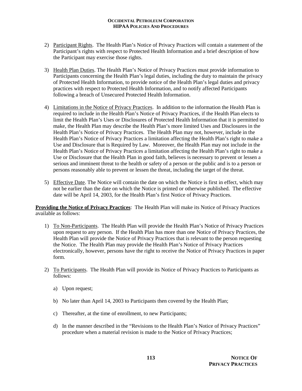- 2) Participant Rights. The Health Plan's Notice of Privacy Practices will contain a statement of the Participant's rights with respect to Protected Health Information and a brief description of how the Participant may exercise those rights.
- 3) Health Plan Duties. The Health Plan's Notice of Privacy Practices must provide information to Participants concerning the Health Plan's legal duties, including the duty to maintain the privacy of Protected Health Information, to provide notice of the Health Plan's legal duties and privacy practices with respect to Protected Health Information, and to notify affected Participants following a breach of Unsecured Protected Health Information.
- 4) Limitations in the Notice of Privacy Practices. In addition to the information the Health Plan is required to include in the Health Plan's Notice of Privacy Practices, if the Health Plan elects to limit the Health Plan's Uses or Disclosures of Protected Health Information that it is permitted to make, the Health Plan may describe the Health Plan's more limited Uses and Disclosures in the Health Plan's Notice of Privacy Practices. The Health Plan may not, however, include in the Health Plan's Notice of Privacy Practices a limitation affecting the Health Plan's right to make a Use and Disclosure that is Required by Law. Moreover, the Health Plan may not include in the Health Plan's Notice of Privacy Practices a limitation affecting the Health Plan's right to make a Use or Disclosure that the Health Plan in good faith, believes is necessary to prevent or lessen a serious and imminent threat to the health or safety of a person or the public and is to a person or persons reasonably able to prevent or lessen the threat, including the target of the threat.
- 5) Effective Date. The Notice will contain the date on which the Notice is first in effect, which may not be earlier than the date on which the Notice is printed or otherwise published. The effective date will be April 14, 2003, for the Health Plan's first Notice of Privacy Practices.

**Providing the Notice of Privacy Practices**: The Health Plan will make its Notice of Privacy Practices available as follows:

- 1) To Non-Participants. The Health Plan will provide the Health Plan's Notice of Privacy Practices upon request to any person. If the Health Plan has more than one Notice of Privacy Practices, the Health Plan will provide the Notice of Privacy Practices that is relevant to the person requesting the Notice. The Health Plan may provide the Health Plan's Notice of Privacy Practices electronically, however, persons have the right to receive the Notice of Privacy Practices in paper form.
- 2) To Participants. The Health Plan will provide its Notice of Privacy Practices to Participants as follows:
	- a) Upon request;
	- b) No later than April 14, 2003 to Participants then covered by the Health Plan;
	- c) Thereafter, at the time of enrollment, to new Participants;
	- d) In the manner described in the "Revisions to the Health Plan's Notice of Privacy Practices" procedure when a material revision is made to the Notice of Privacy Practices;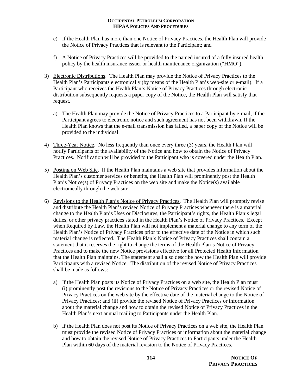- e) If the Health Plan has more than one Notice of Privacy Practices, the Health Plan will provide the Notice of Privacy Practices that is relevant to the Participant; and
- f) A Notice of Privacy Practices will be provided to the named insured of a fully insured health policy by the health insurance issuer or health maintenance organization ("HMO").
- 3) Electronic Distributions. The Health Plan may provide the Notice of Privacy Practices to the Health Plan's Participants electronically (by means of the Health Plan's web-site or e-mail). If a Participant who receives the Health Plan's Notice of Privacy Practices through electronic distribution subsequently requests a paper copy of the Notice, the Health Plan will satisfy that request.
	- a) The Health Plan may provide the Notice of Privacy Practices to a Participant by e-mail, if the Participant agrees to electronic notice and such agreement has not been withdrawn. If the Health Plan knows that the e-mail transmission has failed, a paper copy of the Notice will be provided to the individual.
- 4) Three-Year Notice. No less frequently than once every three (3) years, the Health Plan will notify Participants of the availability of the Notice and how to obtain the Notice of Privacy Practices. Notification will be provided to the Participant who is covered under the Health Plan.
- 5) Posting on Web Site. If the Health Plan maintains a web site that provides information about the Health Plan's customer services or benefits, the Health Plan will prominently post the Health Plan's Notice(s) of Privacy Practices on the web site and make the Notice(s) available electronically through the web site.
- 6) Revisions to the Health Plan's Notice of Privacy Practices. The Health Plan will promptly revise and distribute the Health Plan's revised Notice of Privacy Practices whenever there is a material change to the Health Plan's Uses or Disclosures, the Participant's rights, the Health Plan's legal duties, or other privacy practices stated in the Health Plan's Notice of Privacy Practices. Except when Required by Law, the Health Plan will not implement a material change to any term of the Health Plan's Notice of Privacy Practices prior to the effective date of the Notice in which such material change is reflected. The Health Plan's Notice of Privacy Practices shall contain a statement that it reserves the right to change the terms of the Health Plan's Notice of Privacy Practices and to make the new Notice provisions effective for all Protected Health Information that the Health Plan maintains. The statement shall also describe how the Health Plan will provide Participants with a revised Notice. The distribution of the revised Notice of Privacy Practices shall be made as follows:
	- a) If the Health Plan posts its Notice of Privacy Practices on a web site, the Health Plan must (i) prominently post the revisions to the Notice of Privacy Practices or the revised Notice of Privacy Practices on the web site by the effective date of the material change to the Notice of Privacy Practices; and (ii) provide the revised Notice of Privacy Practices or information about the material change and how to obtain the revised Notice of Privacy Practices in the Health Plan's next annual mailing to Participants under the Health Plan.
	- b) If the Health Plan does not post its Notice of Privacy Practices on a web site, the Health Plan must provide the revised Notice of Privacy Practices or information about the material change and how to obtain the revised Notice of Privacy Practices to Participants under the Health Plan within 60 days of the material revision to the Notice of Privacy Practices.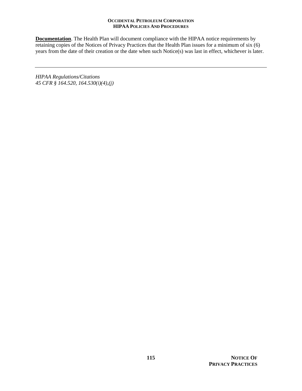**Documentation**. The Health Plan will document compliance with the HIPAA notice requirements by retaining copies of the Notices of Privacy Practices that the Health Plan issues for a minimum of six (6) years from the date of their creation or the date when such Notice(s) was last in effect, whichever is later.

*HIPAA Regulations/Citations 45 CFR § 164.520, 164.530(i)(4),(j)*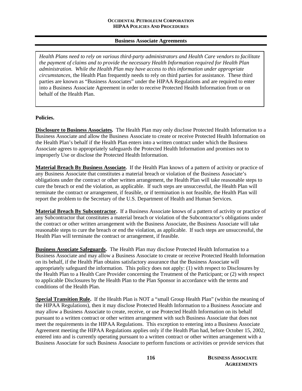### **Business Associate Agreements**

*Health Plans need to rely on various third-party administrators and Health Care vendors to facilitate the payment of claims and to provide the necessary Health Information required for Health Plan administration. While the Health Plan may have access to this information under appropriate circumstances,* the Health Plan frequently needs to rely on third parties for assistance. These third parties are known as "Business Associates" under the HIPAA Regulations and are required to enter into a Business Associate Agreement in order to receive Protected Health Information from or on behalf of the Health Plan.

#### **Policies.**

**Disclosure to Business Associates***.* The Health Plan may only disclose Protected Health Information to a Business Associate and allow the Business Associate to create or receive Protected Health Information on the Health Plan's behalf if the Health Plan enters into a written contract under which the Business Associate agrees to appropriately safeguards the Protected Health Information and promises not to improperly Use or disclose the Protected Health Information.

**Material Breach By Business Associate***.* If the Health Plan knows of a pattern of activity or practice of any Business Associate that constitutes a material breach or violation of the Business Associate's obligations under the contract or other written arrangement, the Health Plan will take reasonable steps to cure the breach or end the violation, as applicable. If such steps are unsuccessful, the Health Plan will terminate the contract or arrangement, if feasible, or if termination is not feasible, the Health Plan will report the problem to the Secretary of the U.S. Department of Health and Human Services.

**Material Breach By Subcontractor.** If a Business Associate knows of a pattern of activity or practice of any Subcontractor that constitutes a material breach or violation of the Subcontractor's obligations under the contract or other written arrangement with the Business Associate, the Business Associate will take reasonable steps to cure the breach or end the violation, as applicable. If such steps are unsuccessful, the Health Plan will terminate the contract or arrangement, if feasible.

**Business Associate Safeguards.** The Health Plan may disclose Protected Health Information to a Business Associate and may allow a Business Associate to create or receive Protected Health Information on its behalf, if the Health Plan obtains satisfactory assurance that the Business Associate will appropriately safeguard the information. This policy does not apply: (1) with respect to Disclosures by the Health Plan to a Health Care Provider concerning the Treatment of the Participant; or (2) with respect to applicable Disclosures by the Health Plan to the Plan Sponsor in accordance with the terms and conditions of the Health Plan.

**Special Transition Rule.** If the Health Plan is NOT a "small Group Health Plan" (within the meaning of the HIPAA Regulations), then it may disclose Protected Health Information to a Business Associate and may allow a Business Associate to create, receive, or use Protected Health Information on its behalf pursuant to a written contract or other written arrangement with such Business Associate that does not meet the requirements in the HIPAA Regulations. This exception to entering into a Business Associate Agreement meeting the HIPAA Regulations applies only if the Health Plan had, before October 15, 2002, entered into and is currently operating pursuant to a written contract or other written arrangement with a Business Associate for such Business Associate to perform functions or activities or provide services that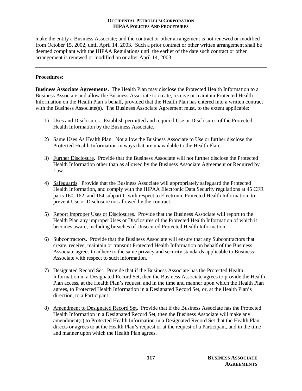make the entity a Business Associate; and the contract or other arrangement is not renewed or modified from October 15, 2002, until April 14, 2003. Such a prior contract or other written arrangement shall be deemed compliant with the HIPAA Regulations until the earlier of the date such contract or other arrangement is renewed or modified on or after April 14, 2003.

### **Procedures***:*

**Business Associate Agreements.** The Health Plan may disclose the Protected Health Information to a Business Associate and allow the Business Associate to create, receive or maintain Protected Health Information on the Health Plan's behalf, provided that the Health Plan has entered into a written contract with the Business Associate(s). The Business Associate Agreement must, to the extent applicable:

- 1) Uses and Disclosures. Establish permitted and required Use or Disclosures of the Protected Health Information by the Business Associate.
- 2) Same Uses As Health Plan. Not allow the Business Associate to Use or further disclose the Protected Health Information in ways that are unavailable to the Health Plan.
- 3) Further Disclosure. Provide that the Business Associate will not further disclose the Protected Health Information other than as allowed by the Business Associate Agreement or Required by Law.
- 4) Safeguards. Provide that the Business Associate will appropriately safeguard the Protected Health Information, and comply with the HIPAA Electronic Data Security regulations at 45 CFR parts 160, 162, and 164 subpart C with respect to Electronic Protected Health Information, to prevent Use or Disclosure not allowed by the contract.
- 5) Report Improper Uses or Disclosures. Provide that the Business Associate will report to the Health Plan any improper Uses or Disclosures of the Protected Health Information of which it becomes aware, including breaches of Unsecured Protected Health Information.
- 6) Subcontractors. Provide that the Business Associate will ensure that any Subcontractors that create, receive, maintain or transmit Protected Health Information on behalf of the Business Associate agrees to adhere to the same privacy and security standards applicable to Business Associate with respect to such information.
- 7) Designated Record Set. Provide that if the Business Associate has the Protected Health Information in a Designated Record Set, then the Business Associate agrees to provide the Health Plan access, at the Health Plan's request, and in the time and manner upon which the Health Plan agrees, to Protected Health Information in a Designated Record Set, or, at the Health Plan's direction, to a Participant.
- 8) Amendment to Designated Record Set. Provide that if the Business Associate has the Protected Health Information in a Designated Record Set, then the Business Associate will make any amendment(s) to Protected Health Information in a Designated Record Set that the Health Plan directs or agrees to at the Health Plan's request or at the request of a Participant, and in the time and manner upon which the Health Plan agrees.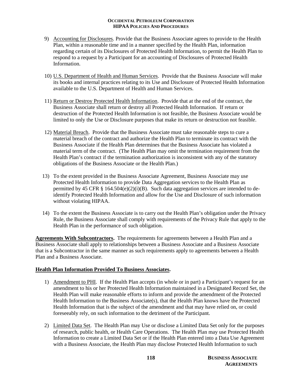- 9) Accounting for Disclosures. Provide that the Business Associate agrees to provide to the Health Plan, within a reasonable time and in a manner specified by the Health Plan, information regarding certain of its Disclosures of Protected Health Information, to permit the Health Plan to respond to a request by a Participant for an accounting of Disclosures of Protected Health Information.
- 10) U.S. Department of Health and Human Services. Provide that the Business Associate will make its books and internal practices relating to its Use and Disclosure of Protected Health Information available to the U.S. Department of Health and Human Services.
- 11) Return or Destroy Protected Health Information. Provide that at the end of the contract, the Business Associate shall return or destroy all Protected Health Information. If return or destruction of the Protected Health Information is not feasible, the Business Associate would be limited to only the Use or Disclosure purposes that make its return or destruction not feasible.
- 12) Material Breach. Provide that the Business Associate must take reasonable steps to cure a material breach of the contract and authorize the Health Plan to terminate its contract with the Business Associate if the Health Plan determines that the Business Associate has violated a material term of the contract. (The Health Plan may omit the termination requirement from the Health Plan's contract if the termination authorization is inconsistent with any of the statutory obligations of the Business Associate or the Health Plan.)
- 13) To the extent provided in the Business Associate Agreement, Business Associate may use Protected Health Information to provide Data Aggregation services to the Health Plan as permitted by 45 CFR § 164.504 $\overline{e}$ )(2)(i)(B). Such data aggregation services are intended to deidentify Protected Health Information and allow for the Use and Disclosure of such information without violating HIPAA.
- 14) To the extent the Business Associate is to carry out the Health Plan's obligation under the Privacy Rule, the Business Associate shall comply with requirements of the Privacy Rule that apply to the Health Plan in the performance of such obligation.

**Agreements With Subcontractors.** The requirements for agreements between a Health Plan and a Business Associate shall apply to relationships between a Business Associate and a Business Associate that is a Subcontractor in the same manner as such requirements apply to agreements between a Health Plan and a Business Associate.

### **Health Plan Information Provided To Business Associates.**

- 1) Amendment to PHI. If the Health Plan accepts (in whole or in part) a Participant's request for an amendment to his or her Protected Health Information maintained in a Designated Record Set, the Health Plan will make reasonable efforts to inform and provide the amendment of the Protected Health Information to the Business Associate(s), that the Health Plan knows have the Protected Health Information that is the subject of the amendment and that may have relied on, or could foreseeably rely, on such information to the detriment of the Participant.
- 2) Limited Data Set. The Health Plan may Use or disclose a Limited Data Set only for the purposes of research, public health, or Health Care Operations. The Health Plan may use Protected Health Information to create a Limited Data Set or if the Health Plan entered into a Data Use Agreement with a Business Associate, the Health Plan may disclose Protected Health Information to such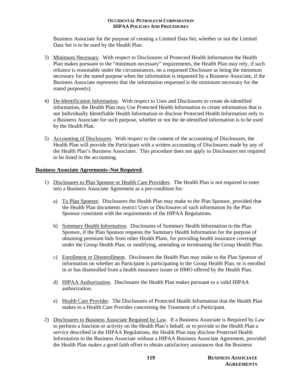Business Associate for the purpose of creating a Limited Data Set, whether or not the Limited Data Set is to be used by the Health Plan.

- 3) Minimum Necessary. With respect to Disclosures of Protected Health Information the Health Plan makes pursuant to the "minimum necessary" requirements, the Health Plan may rely, if such reliance is reasonable under the circumstances, on a requested Disclosure as being the minimum necessary for the stated purpose when the information is requested by a Business Associate, if the Business Associate represents that the information requested is the minimum necessary for the stated purpose(s).
- 4) De-Identification Information. With respect to Uses and Disclosures to create de-identified information, the Health Plan may Use Protected Health Information to create information that is not Individually Identifiable Health Information or disclose Protected Health Information only to a Business Associate for such purpose, whether or not the de-identified information is to be used by the Health Plan.
- 5) Accounting of Disclosures. With respect to the content of the accounting of Disclosures, the Health Plan will provide the Participant with a written accounting of Disclosures made by any of the Health Plan's Business Associates. This procedure does not apply to Disclosures not required to be listed in the accounting.

### **Business Associate Agreements–Not Required.**

- 1) Disclosures to Plan Sponsor or Health Care Providers. The Health Plan is not required to enter into a Business Associate Agreement as a pre-condition for:
	- a) To Plan Sponsor. Disclosures the Health Plan may make to the Plan Sponsor, provided that the Health Plan documents restrict Uses or Disclosures of such information by the Plan Sponsor consistent with the requirements of the HIPAA Regulations.
	- b) Summary Health Information. Disclosures of Summary Health Information to the Plan Sponsor, if the Plan Sponsor requests the Summary Health Information for the purpose of obtaining premium bids from other Health Plans, for providing health insurance coverage under the Group Health Plan, or modifying, amending or terminating the Group Health Plan.
	- c) Enrollment or Disenrollment. Disclosures the Health Plan may make to the Plan Sponsor of information on whether an Participant is participating in the Group Health Plan, or is enrolled in or has disenrolled from a health insurance issuer or HMO offered by the Health Plan.
	- d) HIPAA Authorization. Disclosures the Health Plan makes pursuant to a valid HIPAA authorization.
	- e) Health Care Provider. The Disclosures of Protected Health Information that the Health Plan makes to a Health Care Provider concerning the Treatment of a Participant.
- 2) Disclosures to Business Associate Required by Law. If a Business Associate is Required by Law to perform a function or activity on the Health Plan's behalf, or to provide to the Health Plan a service described in the HIPAA Regulations, the Health Plan may disclose Protected Health Information to the Business Associate without a HIPAA Business Associate Agreement, provided the Health Plan makes a good faith effort to obtain satisfactory assurances that the Business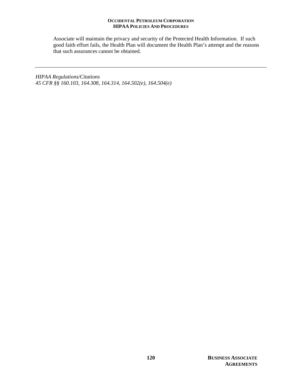Associate will maintain the privacy and security of the Protected Health Information. If such good faith effort fails, the Health Plan will document the Health Plan's attempt and the reasons that such assurances cannot be obtained.

*HIPAA Regulations/Citations 45 CFR §§ 160.103, 164.308, 164.314, 164.502(e), 164.504(e)*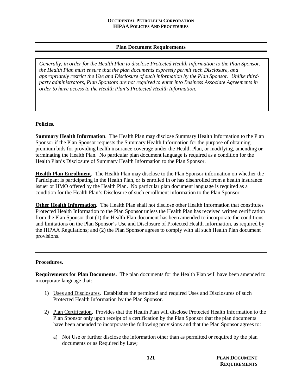### **Plan Document Requirements**

*Generally, in order for the Health Plan to disclose Protected Health Information to the Plan Sponsor, the Health Plan must ensure that the plan documents expressly permit such Disclosure, and appropriately restrict the Use and Disclosure of such information by the Plan Sponsor. Unlike thirdparty administrators, Plan Sponsors are not required to enter into Business Associate Agreements in order to have access to the Health Plan's Protected Health Information.*

**Policies.**

**Summary Health Information**. The Health Plan may disclose Summary Health Information to the Plan Sponsor if the Plan Sponsor requests the Summary Health Information for the purpose of obtaining premium bids for providing health insurance coverage under the Health Plan, or modifying, amending or terminating the Health Plan. No particular plan document language is required as a condition for the Health Plan's Disclosure of Summary Health Information to the Plan Sponsor.

**Health Plan Enrollment.** The Health Plan may disclose to the Plan Sponsor information on whether the Participant is participating in the Health Plan, or is enrolled in or has disenrolled from a health insurance issuer or HMO offered by the Health Plan. No particular plan document language is required as a condition for the Health Plan's Disclosure of such enrollment information to the Plan Sponsor.

**Other Health Information.** The Health Plan shall not disclose other Health Information that constitutes Protected Health Information to the Plan Sponsor unless the Health Plan has received written certification from the Plan Sponsor that (1) the Health Plan document has been amended to incorporate the conditions and limitations on the Plan Sponsor's Use and Disclosure of Protected Health Information, as required by the HIPAA Regulations; and (2) the Plan Sponsor agrees to comply with all such Health Plan document provisions.

### **Procedures.**

**Requirements for Plan Documents.** The plan documents for the Health Plan will have been amended to incorporate language that:

- 1) Uses and Disclosures. Establishes the permitted and required Uses and Disclosures of such Protected Health Information by the Plan Sponsor.
- 2) Plan Certification. Provides that the Health Plan will disclose Protected Health Information to the Plan Sponsor only upon receipt of a certification by the Plan Sponsor that the plan documents have been amended to incorporate the following provisions and that the Plan Sponsor agrees to:
	- a) Not Use or further disclose the information other than as permitted or required by the plan documents or as Required by Law;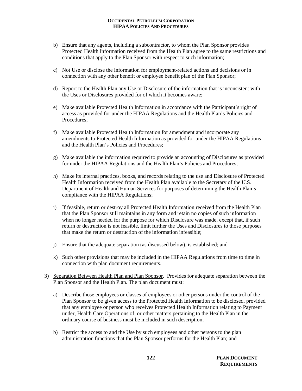- b) Ensure that any agents, including a subcontractor, to whom the Plan Sponsor provides Protected Health Information received from the Health Plan agree to the same restrictions and conditions that apply to the Plan Sponsor with respect to such information;
- c) Not Use or disclose the information for employment-related actions and decisions or in connection with any other benefit or employee benefit plan of the Plan Sponsor;
- d) Report to the Health Plan any Use or Disclosure of the information that is inconsistent with the Uses or Disclosures provided for of which it becomes aware;
- e) Make available Protected Health Information in accordance with the Participant's right of access as provided for under the HIPAA Regulations and the Health Plan's Policies and Procedures;
- f) Make available Protected Health Information for amendment and incorporate any amendments to Protected Health Information as provided for under the HIPAA Regulations and the Health Plan's Policies and Procedures;
- g) Make available the information required to provide an accounting of Disclosures as provided for under the HIPAA Regulations and the Health Plan's Policies and Procedures;
- h) Make its internal practices, books, and records relating to the use and Disclosure of Protected Health Information received from the Health Plan available to the Secretary of the U.S. Department of Health and Human Services for purposes of determining the Health Plan's compliance with the HIPAA Regulations;
- i) If feasible, return or destroy all Protected Health Information received from the Health Plan that the Plan Sponsor still maintains in any form and retain no copies of such information when no longer needed for the purpose for which Disclosure was made, except that, if such return or destruction is not feasible, limit further the Uses and Disclosures to those purposes that make the return or destruction of the information infeasible;
- j) Ensure that the adequate separation (as discussed below), is established; and
- k) Such other provisions that may be included in the HIPAA Regulations from time to time in connection with plan document requirements.
- 3) Separation Between Health Plan and Plan Sponsor. Provides for adequate separation between the Plan Sponsor and the Health Plan. The plan document must:
	- a) Describe those employees or classes of employees or other persons under the control of the Plan Sponsor to be given access to the Protected Health Information to be disclosed, provided that any employee or person who receives Protected Health Information relating to Payment under, Health Care Operations of, or other matters pertaining to the Health Plan in the ordinary course of business must be included in such description;
	- b) Restrict the access to and the Use by such employees and other persons to the plan administration functions that the Plan Sponsor performs for the Health Plan; and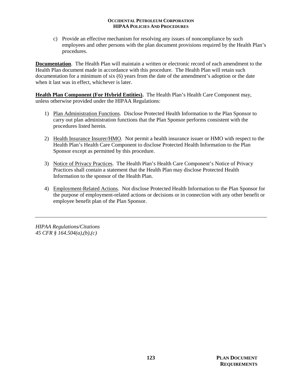c) Provide an effective mechanism for resolving any issues of noncompliance by such employees and other persons with the plan document provisions required by the Health Plan's procedures.

**Documentation**. The Health Plan will maintain a written or electronic record of each amendment to the Health Plan document made in accordance with this procedure. The Health Plan will retain such documentation for a minimum of six (6) years from the date of the amendment's adoption or the date when it last was in effect, whichever is later.

**Health Plan Component (For Hybrid Entities).** The Health Plan's Health Care Component may, unless otherwise provided under the HIPAA Regulations:

- 1) Plan Administration Functions. Disclose Protected Health Information to the Plan Sponsor to carry out plan administration functions that the Plan Sponsor performs consistent with the procedures listed herein.
- 2) Health Insurance Insurer/HMO. Not permit a health insurance issuer or HMO with respect to the Health Plan's Health Care Component to disclose Protected Health Information to the Plan Sponsor except as permitted by this procedure.
- 3) Notice of Privacy Practices. The Health Plan's Health Care Component's Notice of Privacy Practices shall contain a statement that the Health Plan may disclose Protected Health Information to the sponsor of the Health Plan.
- 4) Employment-Related Actions. Not disclose Protected Health Information to the Plan Sponsor for the purpose of employment-related actions or decisions or in connection with any other benefit or employee benefit plan of the Plan Sponsor.

*HIPAA Regulations/Citations 45 CFR § 164.504(a),(b),(c)*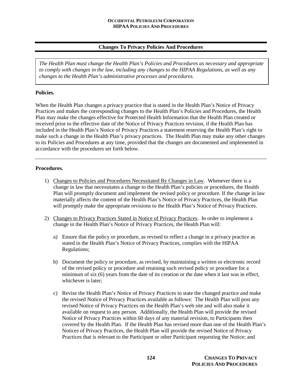### **Changes To Privacy Policies And Procedures**

*The Health Plan must change the Health Plan's Policies and Procedures as necessary and appropriate to comply with changes in the law, including any changes to the HIPAA Regulations, as well as any changes to the Health Plan's administrative processes and procedures.*

### **Policies***.*

When the Health Plan changes a privacy practice that is stated in the Health Plan's Notice of Privacy Practices and makes the corresponding changes to the Health Plan's Policies and Procedures, the Health Plan may make the changes effective for Protected Health Information that the Health Plan created or received prior to the effective date of the Notice of Privacy Practices revision, if the Health Plan has included in the Health Plan's Notice of Privacy Practices a statement reserving the Health Plan's right to make such a change in the Health Plan's privacy practices. The Health Plan may make any other changes to its Policies and Procedures at any time, provided that the changes are documented and implemented in accordance with the procedures set forth below.

#### **Procedures***.*

- 1) Changes to Policies and Procedures Necessitated By Changes in Law. Whenever there is a change in law that necessitates a change to the Health Plan's policies or procedures, the Health Plan will promptly document and implement the revised policy or procedure. If the change in law materially affects the content of the Health Plan's Notice of Privacy Practices, the Health Plan will promptly make the appropriate revisions to the Health Plan's Notice of Privacy Practices.
- 2) Changes to Privacy Practices Stated in Notice of Privacy Practices. In order to implement a change in the Health Plan's Notice of Privacy Practices, the Health Plan will:
	- a) Ensure that the policy or procedure, as revised to reflect a change in a privacy practice as stated in the Health Plan's Notice of Privacy Practices, complies with the HIPAA Regulations;
	- b) Document the policy or procedure, as revised, by maintaining a written or electronic record of the revised policy or procedure and retaining such revised policy or procedure for a minimum of six (6) years from the date of its creation or the date when it last was in effect, whichever is later;
	- c) Revise the Health Plan's Notice of Privacy Practices to state the changed practice and make the revised Notice of Privacy Practices available as follows: The Health Plan will post any revised Notice of Privacy Practices on the Health Plan's web site and will also make it available on request to any person. Additionally, the Health Plan will provide the revised Notice of Privacy Practices within 60 days of any material revision, to Participants then covered by the Health Plan. If the Health Plan has revised more than one of the Health Plan's Notices of Privacy Practices, the Health Plan will provide the revised Notice of Privacy Practices that is relevant to the Participant or other Participant requesting the Notice; and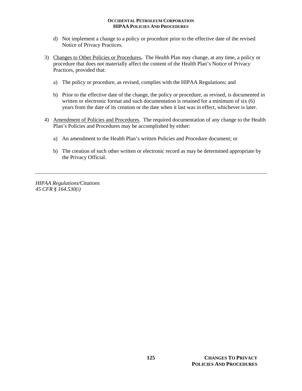- d) Not implement a change to a policy or procedure prior to the effective date of the revised Notice of Privacy Practices.
- 3) Changes to Other Policies or Procedures**.** The Health Plan may change, at any time, a policy or procedure that does not materially affect the content of the Health Plan's Notice of Privacy Practices, provided that:
	- a) The policy or procedure, as revised, complies with the HIPAA Regulations; and
	- b) Prior to the effective date of the change, the policy or procedure, as revised, is documented in written or electronic format and such documentation is retained for a minimum of six (6) years from the date of its creation or the date when it last was in effect, whichever is later.
- 4) Amendment of Policies and Procedures. The required documentation of any change to the Health Plan's Policies and Procedures may be accomplished by either:
	- a) An amendment to the Health Plan's written Policies and Procedure document; or
	- b) The creation of such other written or electronic record as may be determined appropriate by the Privacy Official.

*HIPAA Regulations/Citations 45 CFR § 164.530(i)*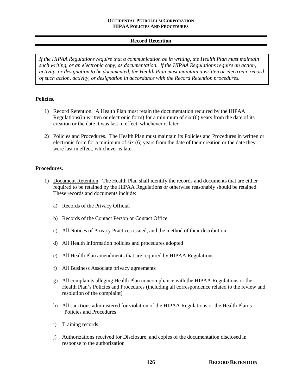# **Record Retention**

*If the HIPAA Regulations require that a communication be in writing, the Health Plan must maintain such writing, or an electronic copy, as documentation. If the HIPAA Regulations require an action, activity, or designation to be documented, the Health Plan must maintain a written or electronic record of such action, activity, or designation in accordance with the Record Retention procedures.*

#### **Policies***.*

- 1) Record Retention. A Health Plan must retain the documentation required by the HIPAA Regulations(in written or electronic form) for a minimum of six (6) years from the date of its creation or the date it was last in effect, whichever is later.
- 2) Policies and Procedures. The Health Plan must maintain its Policies and Procedures in written or electronic form for a minimum of six (6) years from the date of their creation or the date they were last in effect, whichever is later.

#### **Procedures***.*

- 1) Document Retention. The Health Plan shall identify the records and documents that are either required to be retained by the HIPAA Regulations or otherwise reasonably should be retained. These records and documents include:
	- a) Records of the Privacy Official
	- b) Records of the Contact Person or Contact Office
	- c) All Notices of Privacy Practices issued, and the method of their distribution
	- d) All Health Information policies and procedures adopted
	- e) All Health Plan amendments that are required by HIPAA Regulations
	- f) All Business Associate privacy agreements
	- g) All complaints alleging Health Plan noncompliance with the HIPAA Regulations or the Health Plan's Policies and Procedures (including all correspondence related to the review and resolution of the complaint)
	- h) All sanctions administered for violation of the HIPAA Regulations or the Health Plan's Policies and Procedures
	- i) Training records
	- j) Authorizations received for Disclosure, and copies of the documentation disclosed in response to the authorization